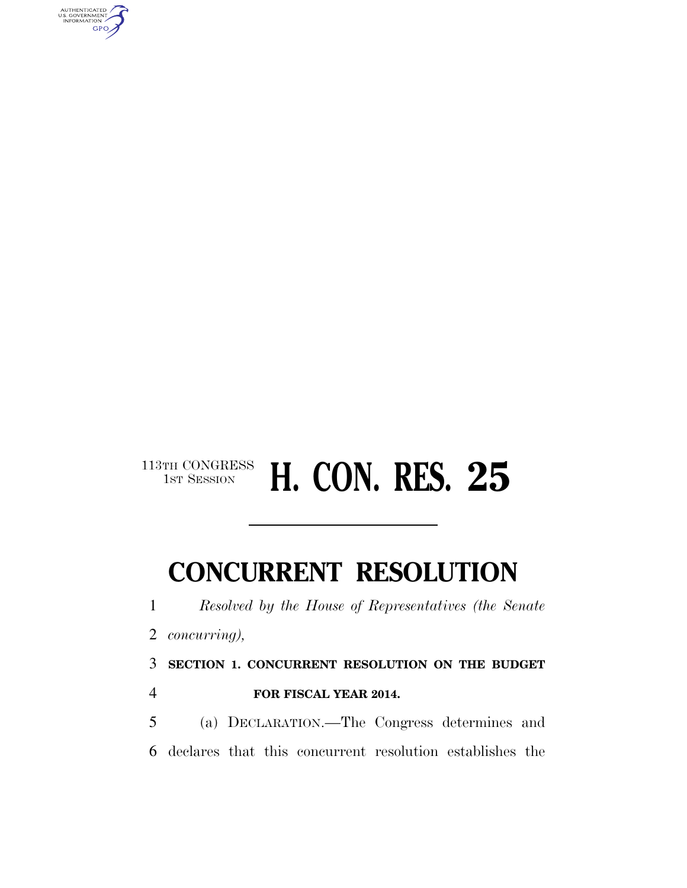

# 113TH CONGRESS **H. CON. RES. 25**

## **CONCURRENT RESOLUTION**

*Resolved by the House of Representatives (the Senate* 

*concurring),* 

**SECTION 1. CONCURRENT RESOLUTION ON THE BUDGET** 

**FOR FISCAL YEAR 2014.** 

 (a) DECLARATION.—The Congress determines and declares that this concurrent resolution establishes the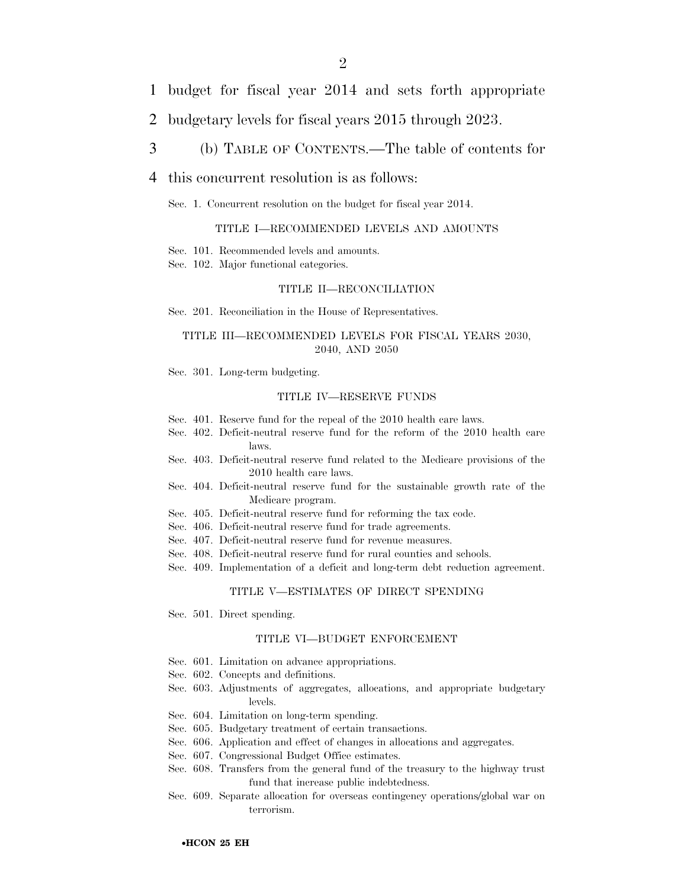- 1 budget for fiscal year 2014 and sets forth appropriate
- 2 budgetary levels for fiscal years 2015 through 2023.
- 3 (b) TABLE OF CONTENTS.—The table of contents for

#### 4 this concurrent resolution is as follows:

Sec. 1. Concurrent resolution on the budget for fiscal year 2014.

#### TITLE I—RECOMMENDED LEVELS AND AMOUNTS

Sec. 101. Recommended levels and amounts.

Sec. 102. Major functional categories.

#### TITLE II—RECONCILIATION

Sec. 201. Reconciliation in the House of Representatives.

#### TITLE III—RECOMMENDED LEVELS FOR FISCAL YEARS 2030, 2040, AND 2050

Sec. 301. Long-term budgeting.

#### TITLE IV—RESERVE FUNDS

- Sec. 401. Reserve fund for the repeal of the 2010 health care laws.
- Sec. 402. Deficit-neutral reserve fund for the reform of the 2010 health care laws.
- Sec. 403. Deficit-neutral reserve fund related to the Medicare provisions of the 2010 health care laws.
- Sec. 404. Deficit-neutral reserve fund for the sustainable growth rate of the Medicare program.
- Sec. 405. Deficit-neutral reserve fund for reforming the tax code.
- Sec. 406. Deficit-neutral reserve fund for trade agreements.
- Sec. 407. Deficit-neutral reserve fund for revenue measures.
- Sec. 408. Deficit-neutral reserve fund for rural counties and schools.
- Sec. 409. Implementation of a deficit and long-term debt reduction agreement.

#### TITLE V—ESTIMATES OF DIRECT SPENDING

Sec. 501. Direct spending.

#### TITLE VI—BUDGET ENFORCEMENT

- Sec. 601. Limitation on advance appropriations.
- Sec. 602. Concepts and definitions.
- Sec. 603. Adjustments of aggregates, allocations, and appropriate budgetary levels.
- Sec. 604. Limitation on long-term spending.
- Sec. 605. Budgetary treatment of certain transactions.
- Sec. 606. Application and effect of changes in allocations and aggregates.
- Sec. 607. Congressional Budget Office estimates.
- Sec. 608. Transfers from the general fund of the treasury to the highway trust fund that increase public indebtedness.
- Sec. 609. Separate allocation for overseas contingency operations/global war on terrorism.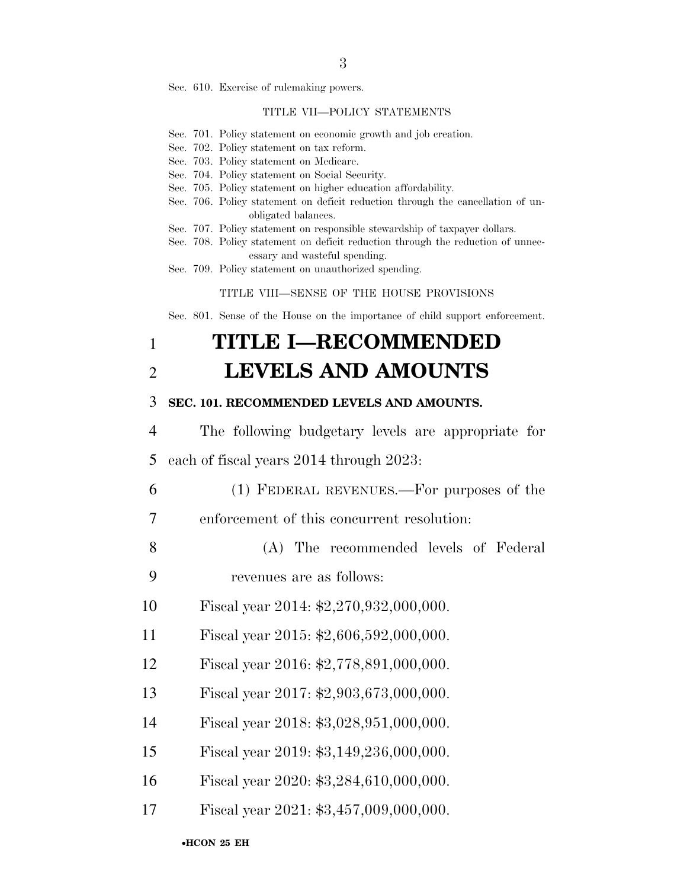Sec. 610. Exercise of rulemaking powers.

#### TITLE VII—POLICY STATEMENTS

- Sec. 701. Policy statement on economic growth and job creation.
- Sec. 702. Policy statement on tax reform.
- Sec. 703. Policy statement on Medicare.
- Sec. 704. Policy statement on Social Security.
- Sec. 705. Policy statement on higher education affordability.
- Sec. 706. Policy statement on deficit reduction through the cancellation of unobligated balances.
- Sec. 707. Policy statement on responsible stewardship of taxpayer dollars.
- Sec. 708. Policy statement on deficit reduction through the reduction of unnecessary and wasteful spending.
- Sec. 709. Policy statement on unauthorized spending.

#### TITLE VIII—SENSE OF THE HOUSE PROVISIONS

Sec. 801. Sense of the House on the importance of child support enforcement.

### 1 **TITLE I—RECOMMENDED**  2 **LEVELS AND AMOUNTS**

#### 3 **SEC. 101. RECOMMENDED LEVELS AND AMOUNTS.**

- 4 The following budgetary levels are appropriate for 5 each of fiscal years 2014 through 2023:
- 6 (1) FEDERAL REVENUES.—For purposes of the
- 7 enforcement of this concurrent resolution:
- 8 (A) The recommended levels of Federal
- 9 revenues are as follows:
- 10 Fiscal year 2014: \$2,270,932,000,000.
- 11 Fiscal year 2015: \$2,606,592,000,000.
- 12 Fiscal year 2016: \$2,778,891,000,000.
- 13 Fiscal year 2017: \$2,903,673,000,000.
- 14 Fiscal year 2018: \$3,028,951,000,000.
- 15 Fiscal year 2019: \$3,149,236,000,000.
- 16 Fiscal year 2020: \$3,284,610,000,000.
- 17 Fiscal year 2021: \$3,457,009,000,000.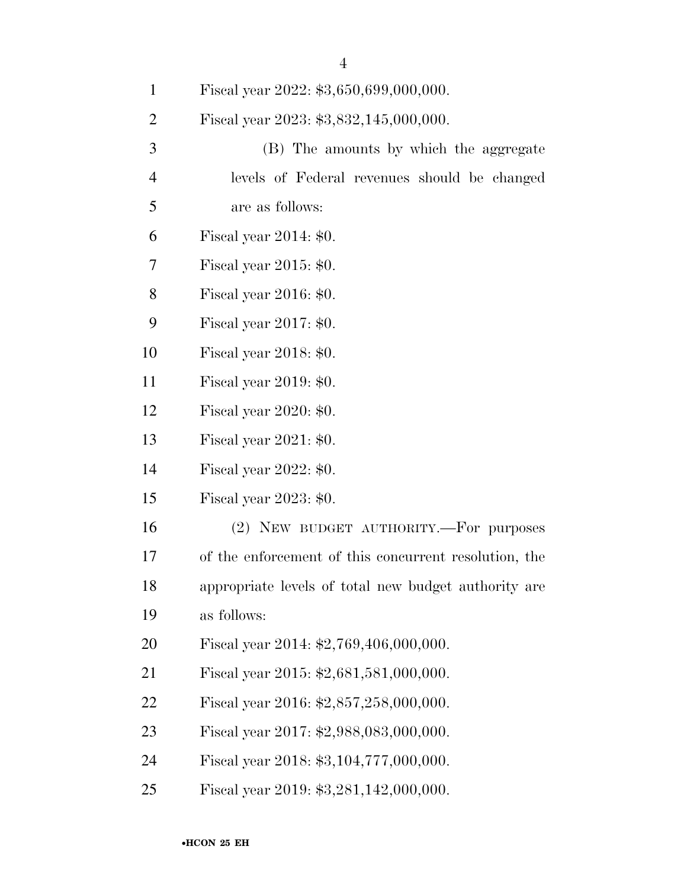| $\mathbf{1}$   | Fiscal year 2022: \$3,650,699,000,000.                |
|----------------|-------------------------------------------------------|
| $\overline{2}$ | Fiscal year 2023: \$3,832,145,000,000.                |
| 3              | (B) The amounts by which the aggregate                |
| $\overline{4}$ | levels of Federal revenues should be changed          |
| 5              | are as follows:                                       |
| 6              | Fiscal year $2014: $0.$                               |
| 7              | Fiscal year 2015: \$0.                                |
| 8              | Fiscal year $2016: $0.$                               |
| 9              | Fiscal year $2017: $0.$                               |
| 10             | Fiscal year 2018: \$0.                                |
| 11             | Fiscal year 2019: \$0.                                |
| 12             | Fiscal year $2020: $0.$                               |
| 13             | Fiscal year 2021: \$0.                                |
| 14             | Fiscal year $2022: $0.$                               |
| 15             | Fiscal year $2023: $0.$                               |
| 16             | (2) NEW BUDGET AUTHORITY.—For purposes                |
| 17             | of the enforcement of this concurrent resolution, the |
| 18             | appropriate levels of total new budget authority are  |
| 19             | as follows:                                           |
| 20             | Fiscal year 2014: \$2,769,406,000,000.                |
| 21             | Fiscal year 2015: \$2,681,581,000,000.                |
| 22             | Fiscal year 2016: \$2,857,258,000,000.                |
| 23             | Fiscal year 2017: \$2,988,083,000,000.                |
| 24             | Fiscal year 2018: \$3,104,777,000,000.                |
| 25             | Fiscal year 2019: \$3,281,142,000,000.                |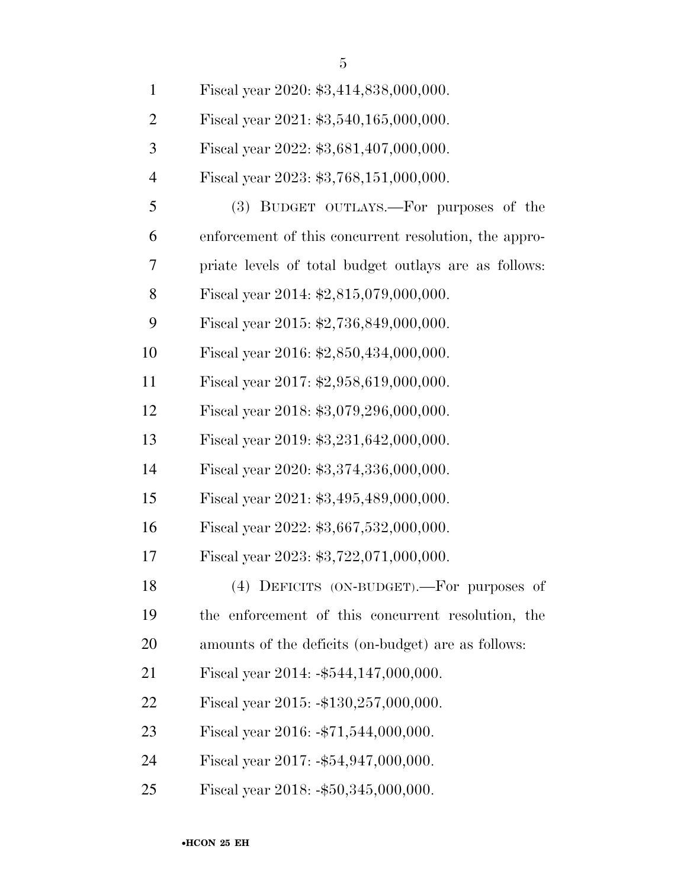| $\mathbf{1}$   | Fiscal year 2020: \$3,414,838,000,000.                |
|----------------|-------------------------------------------------------|
| $\overline{2}$ | Fiscal year 2021: \$3,540,165,000,000.                |
| 3              | Fiscal year 2022: \$3,681,407,000,000.                |
| $\overline{4}$ | Fiscal year 2023: \$3,768,151,000,000.                |
| 5              | (3) BUDGET OUTLAYS.—For purposes of the               |
| 6              | enforcement of this concurrent resolution, the appro- |
| 7              | priate levels of total budget outlays are as follows: |
| 8              | Fiscal year 2014: \$2,815,079,000,000.                |
| 9              | Fiscal year 2015: \$2,736,849,000,000.                |
| 10             | Fiscal year 2016: \$2,850,434,000,000.                |
| 11             | Fiscal year 2017: \$2,958,619,000,000.                |
| 12             | Fiscal year 2018: \$3,079,296,000,000.                |
| 13             | Fiscal year 2019: \$3,231,642,000,000.                |
| 14             | Fiscal year 2020: \$3,374,336,000,000.                |
| 15             | Fiscal year 2021: \$3,495,489,000,000.                |
| 16             | Fiscal year 2022: \$3,667,532,000,000.                |
| 17             | Fiscal year 2023: \$3,722,071,000,000.                |
| 18             | (4) DEFICITS (ON-BUDGET).—For purposes of             |
| 19             | the enforcement of this concurrent resolution, the    |
| 20             | amounts of the deficits (on-budget) are as follows:   |
| 21             | Fiscal year $2014: -\$544, 147, 000, 000.$            |
| <u>22</u>      | Fiscal year $2015: -130, 257, 000, 000.$              |
| 23             | Fiscal year $2016: -\$71,544,000,000.$                |
| 24             | Fiscal year $2017: -\$54,947,000,000.$                |
| 25             | Fiscal year $2018: -\$50,345,000,000.$                |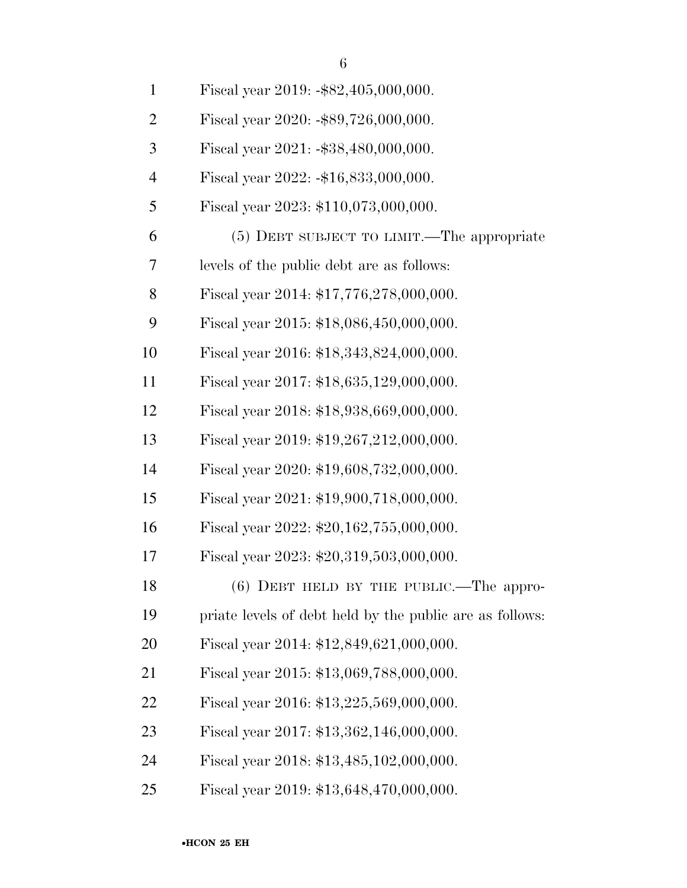| $\overline{2}$ | Fiscal year $2020: -\$89,726,000,000.$                   |
|----------------|----------------------------------------------------------|
| 3              | Fiscal year $2021: -\$38,480,000,000.$                   |
| $\overline{4}$ | Fiscal year $2022: -16,833,000,000.$                     |
| 5              | Fiscal year 2023: \$110,073,000,000.                     |
| 6              | (5) DEBT SUBJECT TO LIMIT.—The appropriate               |
| 7              | levels of the public debt are as follows:                |
| 8              | Fiscal year 2014: \$17,776,278,000,000.                  |
| 9              | Fiscal year 2015: \$18,086,450,000,000.                  |
| 10             | Fiscal year 2016: \$18,343,824,000,000.                  |
| 11             | Fiscal year 2017: \$18,635,129,000,000.                  |
| 12             | Fiscal year 2018: \$18,938,669,000,000.                  |
| 13             | Fiscal year 2019: \$19,267,212,000,000.                  |
| 14             | Fiscal year 2020: \$19,608,732,000,000.                  |
| 15             | Fiscal year 2021: \$19,900,718,000,000.                  |
| 16             | Fiscal year 2022: \$20,162,755,000,000.                  |
| 17             | Fiscal year 2023: \$20,319,503,000,000.                  |
| 18             | $(6)$ DEBT HELD BY THE PUBLIC.—The appro-                |
| 19             | priate levels of debt held by the public are as follows: |
| 20             | Fiscal year 2014: \$12,849,621,000,000.                  |
| 21             | Fiscal year 2015: \$13,069,788,000,000.                  |
| 22             | Fiscal year 2016: \$13,225,569,000,000.                  |
| 23             | Fiscal year 2017: \$13,362,146,000,000.                  |
| 24             | Fiscal year 2018: \$13,485,102,000,000.                  |
|                |                                                          |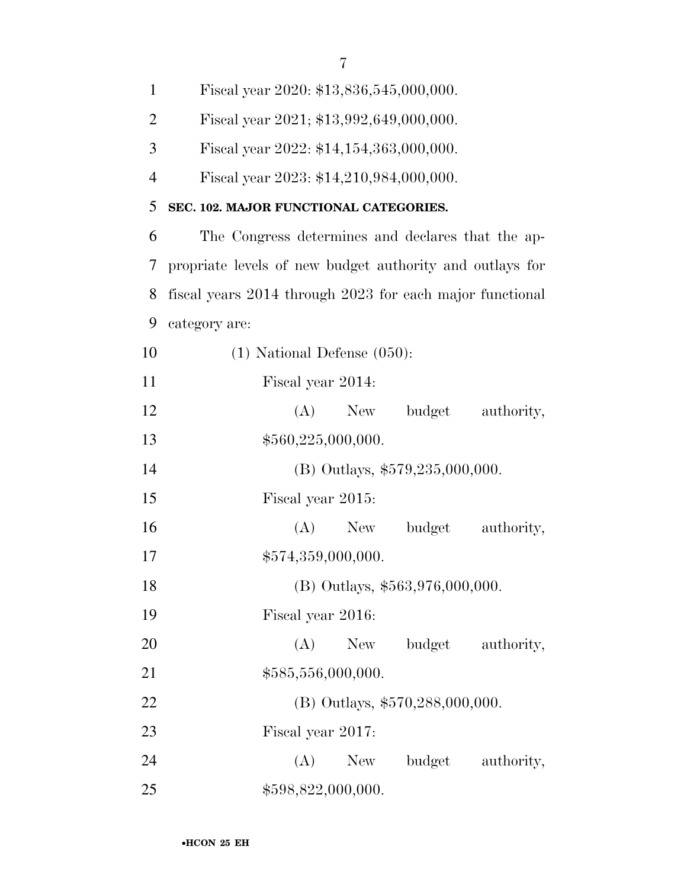| 1              | Fiscal year 2020: \$13,836,545,000,000.                  |
|----------------|----------------------------------------------------------|
| $\overline{2}$ | Fiscal year 2021; \$13,992,649,000,000.                  |
| 3              | Fiscal year 2022: \$14,154,363,000,000.                  |
| $\overline{4}$ | Fiscal year 2023: \$14,210,984,000,000.                  |
| 5              | SEC. 102. MAJOR FUNCTIONAL CATEGORIES.                   |
| 6              | The Congress determines and declares that the ap-        |
| 7              | propriate levels of new budget authority and outlays for |
| 8              | fiscal years 2014 through 2023 for each major functional |
| 9              | category are:                                            |
| 10             | $(1)$ National Defense $(050)$ :                         |
| 11             | Fiscal year 2014:                                        |
| 12             | (A)<br>budget<br>authority,<br>New                       |
| 13             | \$560,225,000,000.                                       |
| 14             | (B) Outlays, \$579,235,000,000.                          |
| 15             | Fiscal year 2015:                                        |
| 16             | (A)<br>budget authority,<br>New                          |
| 17             | \$574,359,000,000.                                       |
| 18             | (B) Outlays, \$563,976,000,000.                          |
| 19             | Fiscal year 2016:                                        |
| 20             | (A)<br>New<br>budget authority,                          |
| 21             | \$585,556,000,000.                                       |
| 22             | (B) Outlays, \$570,288,000,000.                          |
| 23             | Fiscal year 2017:                                        |
| 24             | (A)<br>budget authority,<br>New                          |
| 25             | \$598,822,000,000.                                       |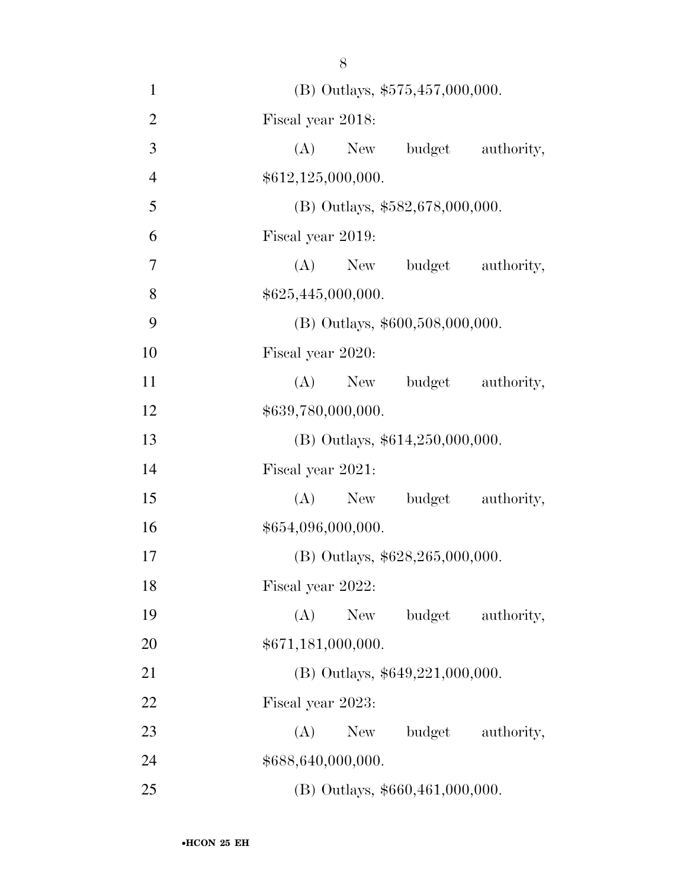(B) Outlays, \$575,457,000,000. Fiscal year 2018: (A) New budget authority,  $$612,125,000,000.$ 5 (B) Outlays,  $$582,678,000,000$ . Fiscal year 2019: (A) New budget authority,  $$625,445,000,000.$ 9 (B) Outlays,  $$600,508,000,000$ . Fiscal year 2020: 11 (A) New budget authority,  $$639,780,000,000.$  (B) Outlays, \$614,250,000,000. Fiscal year 2021: 15 (A) New budget authority,  $$654,096,000,000.$  (B) Outlays, \$628,265,000,000. Fiscal year 2022: (A) New budget authority, \$671,181,000,000. 21 (B) Outlays, \$649,221,000,000. Fiscal year 2023: 23 (A) New budget authority, \$688,640,000,000. (B) Outlays, \$660,461,000,000.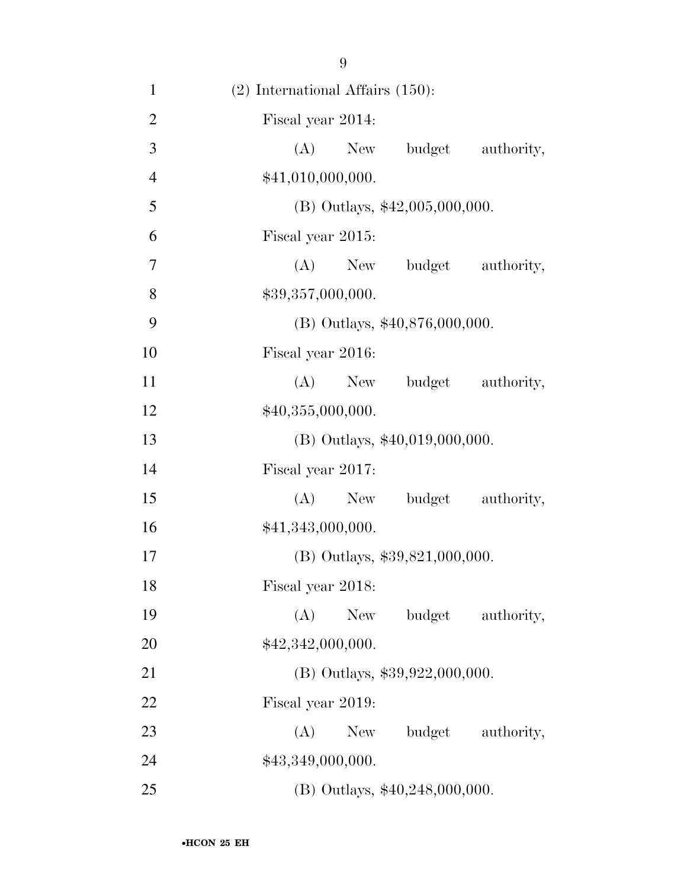| $\mathbf{1}$   | $(2)$ International Affairs $(150)$ : |
|----------------|---------------------------------------|
| $\overline{2}$ | Fiscal year 2014:                     |
| 3              | $(A)$ New<br>budget<br>authority,     |
| $\overline{4}$ | \$41,010,000,000.                     |
| 5              | (B) Outlays, \$42,005,000,000.        |
| 6              | Fiscal year 2015:                     |
| 7              | $(A)$ New<br>budget authority,        |
| 8              | \$39,357,000,000.                     |
| 9              | $(B)$ Outlays, \$40,876,000,000.      |
| 10             | Fiscal year 2016:                     |
| 11             | budget<br>$(A)$ New<br>authority,     |
| 12             | \$40,355,000,000.                     |
| 13             | $(B)$ Outlays, \$40,019,000,000.      |
| 14             | Fiscal year 2017:                     |
| 15             | $(A)$ New<br>budget<br>authority,     |
| 16             | \$41,343,000,000.                     |
| 17             | $(B)$ Outlays, \$39,821,000,000.      |
| 18             | Fiscal year 2018:                     |
| 19             | (A)<br>New<br>budget<br>authority,    |
| 20             | \$42,342,000,000.                     |
| 21             | $(B)$ Outlays, \$39,922,000,000.      |
| 22             | Fiscal year 2019:                     |
| 23             | budget<br>(A)<br>New<br>authority,    |
| 24             | \$43,349,000,000.                     |
| 25             | (B) Outlays, \$40,248,000,000.        |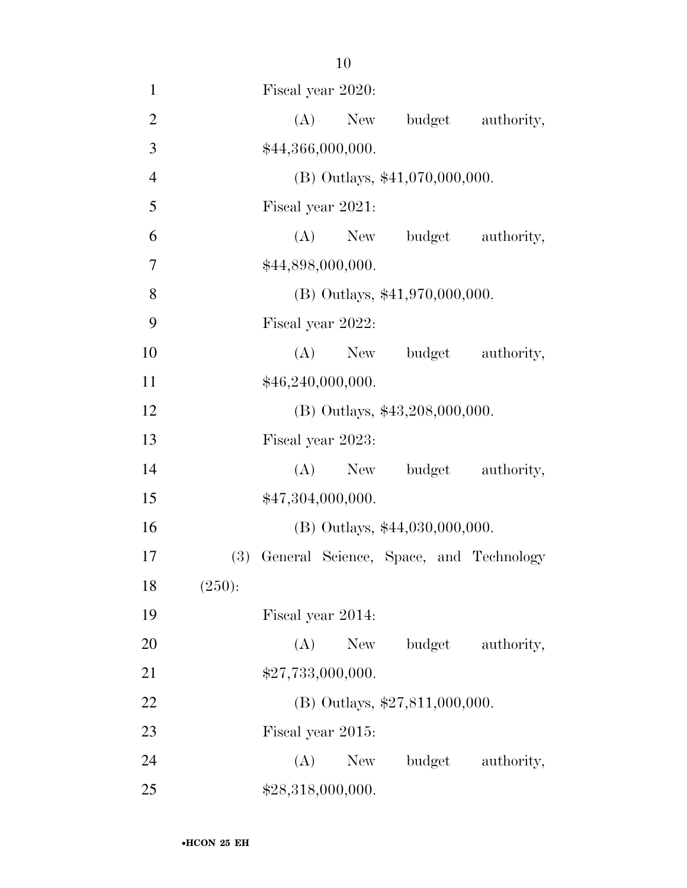| $\mathbf{1}$   | Fiscal year 2020:                             |
|----------------|-----------------------------------------------|
| $\overline{2}$ | budget<br>(A)<br>New<br>authority,            |
| 3              | \$44,366,000,000.                             |
| $\overline{4}$ | (B) Outlays, \$41,070,000,000.                |
| 5              | Fiscal year 2021:                             |
| 6              | budget authority,<br>$(A)$ New                |
| 7              | \$44,898,000,000.                             |
| 8              | $(B)$ Outlays, \$41,970,000,000.              |
| 9              | Fiscal year 2022:                             |
| 10             | (A)<br>budget authority,<br>New               |
| 11             | \$46,240,000,000.                             |
| 12             | (B) Outlays, \$43,208,000,000.                |
| 13             | Fiscal year 2023:                             |
| 14             | New budget authority,<br>(A)                  |
| 15             | \$47,304,000,000.                             |
| 16             | (B) Outlays, \$44,030,000,000.                |
| 17             | (3)<br>General Science, Space, and Technology |
| 18             | (250):                                        |
| 19             | Fiscal year 2014:                             |
| 20             | (A)<br>New<br>budget<br>authority,            |
| 21             | \$27,733,000,000.                             |
| 22             | (B) Outlays, $$27,811,000,000$ .              |
| 23             | Fiscal year 2015:                             |
| 24             | (A)<br>New<br>budget authority,               |
| 25             | \$28,318,000,000.                             |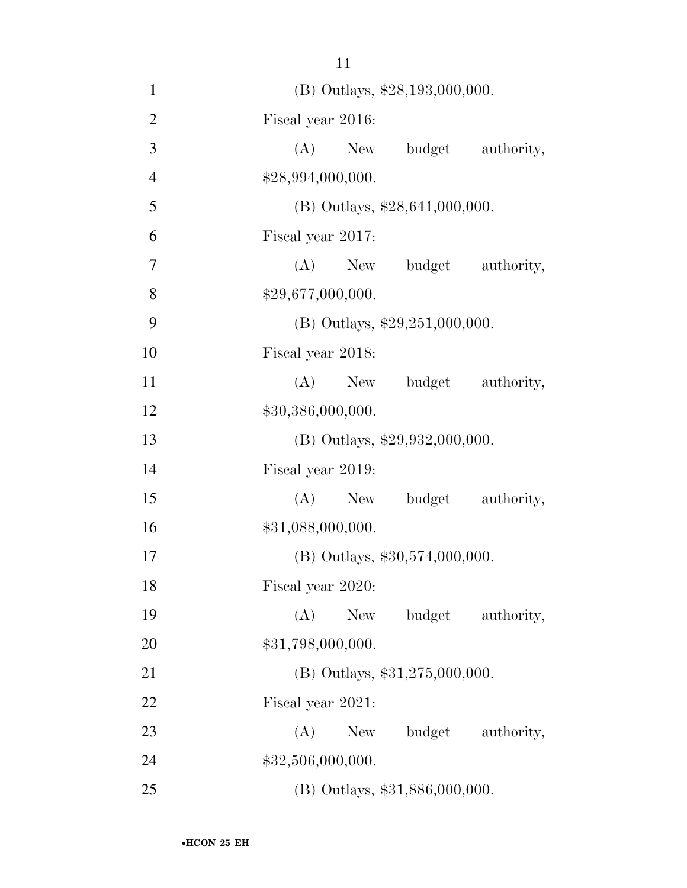(B) Outlays, \$28,193,000,000. Fiscal year 2016: (A) New budget authority,  $$28,994,000,000.$ 5 (B) Outlays, \$28,641,000,000. Fiscal year 2017: (A) New budget authority,  $$29,677,000,000.$  (B) Outlays, \$29,251,000,000. Fiscal year 2018: 11 (A) New budget authority,  $$30,386,000,000.$  (B) Outlays, \$29,932,000,000. Fiscal year 2019: (A) New budget authority,  $$31,088,000,000.$  (B) Outlays, \$30,574,000,000. Fiscal year 2020: (A) New budget authority, 20 \$31,798,000,000. (B) Outlays, \$31,275,000,000. Fiscal year 2021: 23 (A) New budget authority, 24 \$32,506,000,000. (B) Outlays, \$31,886,000,000.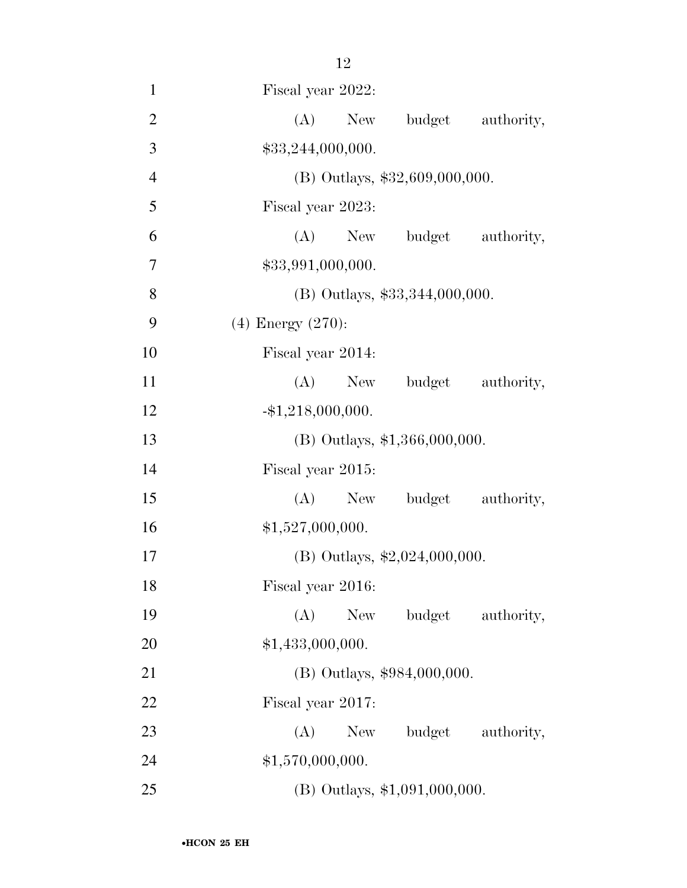| $\mathbf{1}$   | Fiscal year 2022:               |
|----------------|---------------------------------|
| $\mathbf{2}$   | (A)<br>budget authority,<br>New |
| 3              | \$33,244,000,000.               |
| $\overline{4}$ | (B) Outlays, \$32,609,000,000.  |
| 5              | Fiscal year 2023:               |
| 6              | (A) New budget authority,       |
| 7              | \$33,991,000,000.               |
| 8              | (B) Outlays, \$33,344,000,000.  |
| 9              | $(4)$ Energy $(270)$ :          |
| 10             | Fiscal year 2014:               |
| 11             | (A)<br>New budget authority,    |
| 12             | $-$ \$1,218,000,000.            |
| 13             | $(B)$ Outlays, \$1,366,000,000. |
| 14             | Fiscal year 2015:               |
| 15             | (A) New budget authority,       |
| 16             | \$1,527,000,000.                |
| 17             | (B) Outlays, \$2,024,000,000.   |
| 18             | Fiscal year 2016:               |
| 19             | (A)<br>New<br>budget authority, |
| 20             | \$1,433,000,000.                |
| 21             | (B) Outlays, \$984,000,000.     |
| 22             | Fiscal year 2017:               |
| 23             | (A)<br>budget authority,<br>New |
| 24             | \$1,570,000,000.                |
| 25             | (B) Outlays, \$1,091,000,000.   |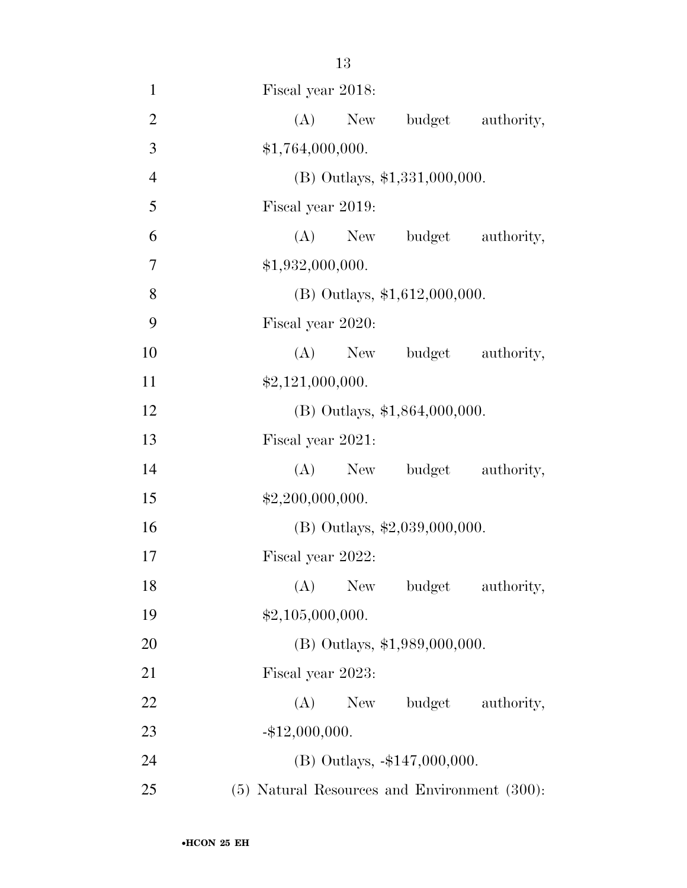| $\mathbf{1}$   | Fiscal year 2018:                            |
|----------------|----------------------------------------------|
| $\overline{2}$ | (A)<br>New budget authority,                 |
| 3              | \$1,764,000,000.                             |
| $\overline{4}$ | (B) Outlays, \$1,331,000,000.                |
| 5              | Fiscal year 2019:                            |
| 6              | New budget authority,<br>(A)                 |
| 7              | \$1,932,000,000.                             |
| 8              | (B) Outlays, $$1,612,000,000$ .              |
| 9              | Fiscal year 2020:                            |
| 10             | (A) New budget authority,                    |
| 11             | \$2,121,000,000.                             |
| 12             | (B) Outlays, \$1,864,000,000.                |
| 13             | Fiscal year 2021:                            |
| 14             | (A) New budget authority,                    |
| 15             | \$2,200,000,000.                             |
| 16             | (B) Outlays, \$2,039,000,000.                |
| 17             | Fiscal year 2022:                            |
| 18             | (A) New budget authority,                    |
| 19             | \$2,105,000,000.                             |
| 20             | (B) Outlays, \$1,989,000,000.                |
| 21             | Fiscal year 2023:                            |
| 22             | (A) New budget authority,                    |
| 23             | $-$ \$12,000,000.                            |
| 24             | (B) Outlays, -\$147,000,000.                 |
| 25             | (5) Natural Resources and Environment (300): |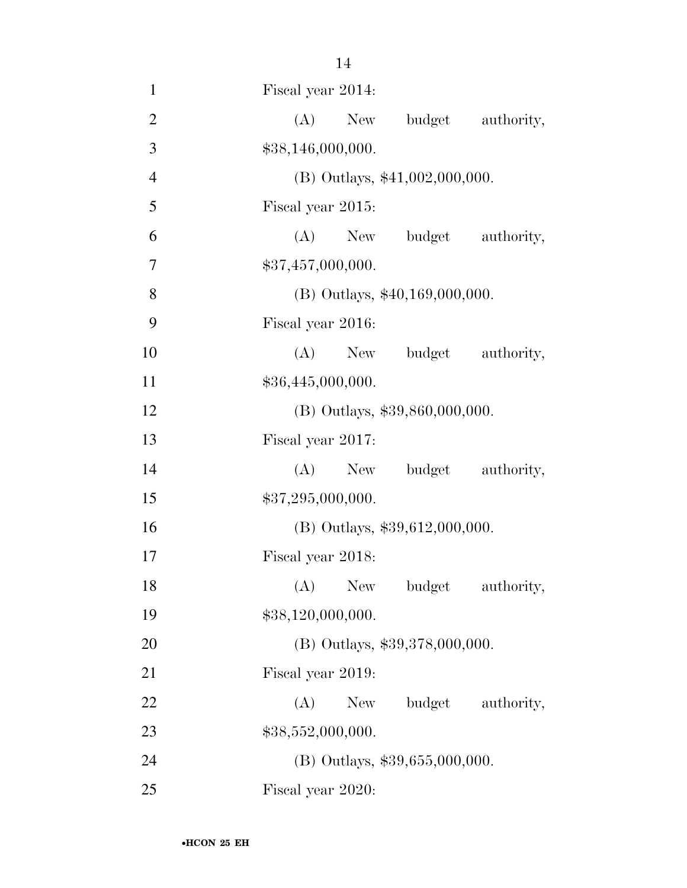| $\mathbf{1}$   | Fiscal year 2014:                |
|----------------|----------------------------------|
| $\mathbf{2}$   | (A)<br>New<br>budget authority,  |
| 3              | \$38,146,000,000.                |
| $\overline{4}$ | (B) Outlays, \$41,002,000,000.   |
| 5              | Fiscal year 2015:                |
| 6              | (A) New budget authority,        |
| 7              | \$37,457,000,000.                |
| 8              | $(B)$ Outlays, \$40,169,000,000. |
| 9              | Fiscal year 2016:                |
| 10             | (A) New budget authority,        |
| 11             | \$36,445,000,000.                |
| 12             | (B) Outlays, \$39,860,000,000.   |
| 13             | Fiscal year 2017:                |
| 14             | New budget authority,<br>(A)     |
| 15             | \$37,295,000,000.                |
| 16             | $(B)$ Outlays, \$39,612,000,000. |
| 17             | Fiscal year 2018:                |
| 18             | (A) New budget authority,        |
| 19             | \$38,120,000,000.                |
| <b>20</b>      | (B) Outlays, \$39,378,000,000.   |
| 21             | Fiscal year 2019:                |
| 22             | budget authority,<br>(A)<br>New  |
| 23             | \$38,552,000,000.                |
| 24             | (B) Outlays, \$39,655,000,000.   |
| 25             | Fiscal year 2020:                |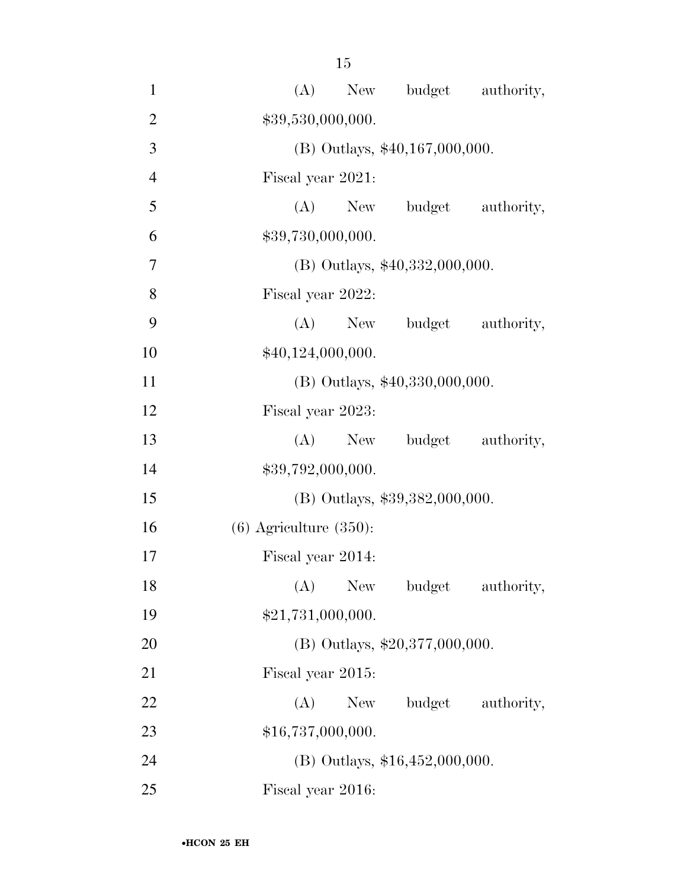| $\mathbf{1}$   | (A) New budget authority,          |
|----------------|------------------------------------|
| $\overline{2}$ | \$39,530,000,000.                  |
| 3              | $(B)$ Outlays, \$40,167,000,000.   |
| $\overline{4}$ | Fiscal year 2021:                  |
| 5              | $(A)$ New<br>budget<br>authority,  |
| 6              | \$39,730,000,000.                  |
| 7              | $(B)$ Outlays, \$40,332,000,000.   |
| 8              | Fiscal year 2022:                  |
| 9              | (A)<br>budget authority,<br>New    |
| 10             | \$40,124,000,000.                  |
| 11             | $(B)$ Outlays, \$40,330,000,000.   |
| 12             | Fiscal year 2023:                  |
| 13             | $(A)$ New<br>budget authority,     |
| 14             | \$39,792,000,000.                  |
| 15             | $(B)$ Outlays, \$39,382,000,000.   |
| 16             | $(6)$ Agriculture $(350)$ :        |
| 17             | Fiscal year 2014:                  |
| 18             | (A)<br>New<br>budget<br>authority, |
| 19             | \$21,731,000,000.                  |
| 20             | $(B)$ Outlays, \$20,377,000,000.   |
| 21             | Fiscal year 2015:                  |
| 22             | budget authority,<br>(A)<br>New    |
| 23             | \$16,737,000,000.                  |
| 24             | $(B)$ Outlays, \$16,452,000,000.   |
| 25             | Fiscal year 2016:                  |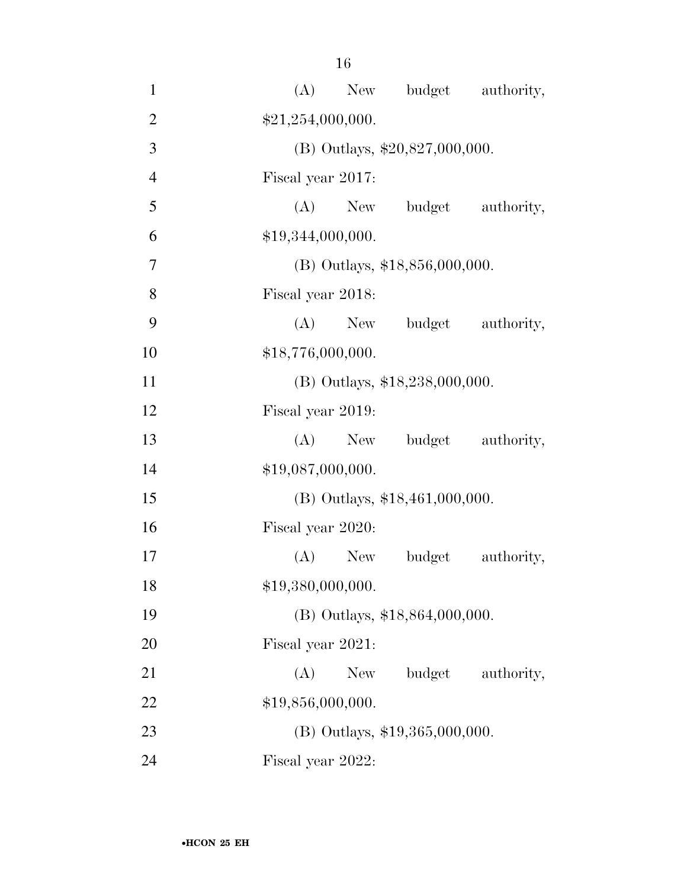| $\mathbf{1}$   | (A) New budget authority,          |
|----------------|------------------------------------|
| $\overline{2}$ | \$21,254,000,000.                  |
| 3              | (B) Outlays, $$20,827,000,000$ .   |
| $\overline{4}$ | Fiscal year 2017:                  |
| 5              | $(A)$ New<br>authority,<br>budget  |
| 6              | \$19,344,000,000.                  |
| 7              | $(B)$ Outlays, \$18,856,000,000.   |
| 8              | Fiscal year 2018:                  |
| 9              | (A)<br>budget<br>New<br>authority, |
| 10             | \$18,776,000,000.                  |
| 11             | (B) Outlays, \$18,238,000,000.     |
| 12             | Fiscal year 2019:                  |
| 13             | $(A)$ New<br>budget authority,     |
| 14             | \$19,087,000,000.                  |
| 15             | $(B)$ Outlays, \$18,461,000,000.   |
| 16             | Fiscal year 2020:                  |
| 17             | (A)<br>budget<br>authority,<br>New |
| 18             | \$19,380,000,000.                  |
| 19             | (B) Outlays, \$18,864,000,000.     |
| 20             | Fiscal year 2021:                  |
| 21             | budget<br>(A)<br>New<br>authority, |
| 22             | \$19,856,000,000.                  |
| 23             | $(B)$ Outlays, \$19,365,000,000.   |
| 24             | Fiscal year 2022:                  |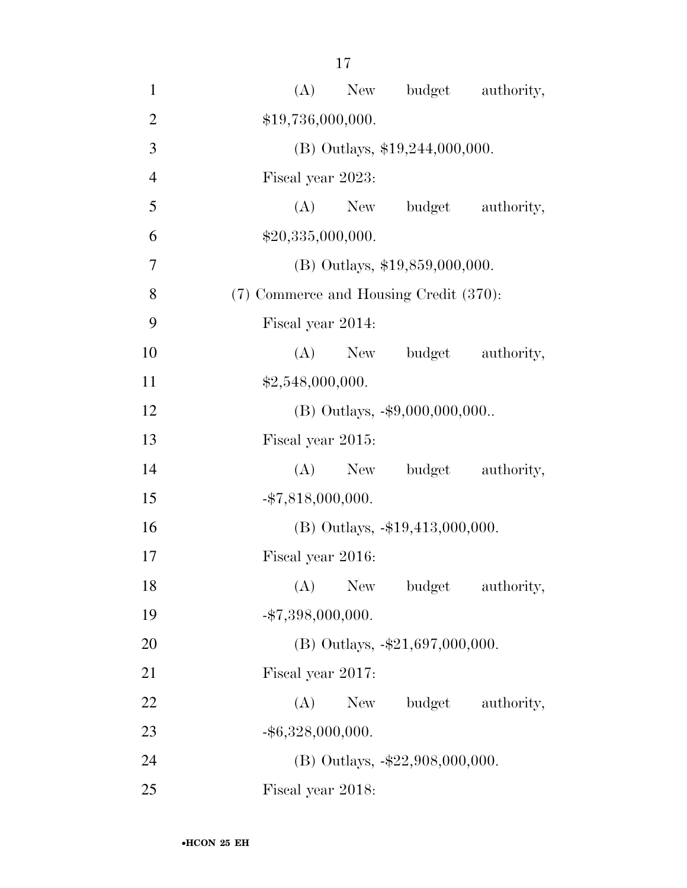| $\mathbf{1}$   | New budget authority,<br>(A)              |
|----------------|-------------------------------------------|
| $\overline{2}$ | \$19,736,000,000.                         |
| 3              | (B) Outlays, \$19,244,000,000.            |
| $\overline{4}$ | Fiscal year 2023:                         |
| 5              | $(A)$ New<br>budget authority,            |
| 6              | \$20,335,000,000.                         |
| $\tau$         | $(B)$ Outlays, \$19,859,000,000.          |
| 8              | (7) Commerce and Housing Credit (370):    |
| 9              | Fiscal year 2014:                         |
| 10             | (A)<br>budget authority,<br>New           |
| 11             | \$2,548,000,000.                          |
| 12             | (B) Outlays, -\$9,000,000,000             |
| 13             | Fiscal year 2015:                         |
| 14             | $(A)$ New<br>budget authority,            |
| 15             | $-$ \$7,818,000,000.                      |
| 16             | $(B)$ Outlays, $-19,413,000,000$ .        |
| 17             | Fiscal year 2016:                         |
| 18             | (A)<br><b>New</b><br>budget<br>authority, |
| 19             | $-$ \$7,398,000,000.                      |
| 20             | (B) Outlays, $-21,697,000,000$ .          |
| 21             | Fiscal year 2017:                         |
| 22             | (A)<br>budget authority,<br>New           |
| 23             | $-$ \$6,328,000,000.                      |
| 24             | (B) Outlays, $-\$22,908,000,000$ .        |
| 25             | Fiscal year 2018:                         |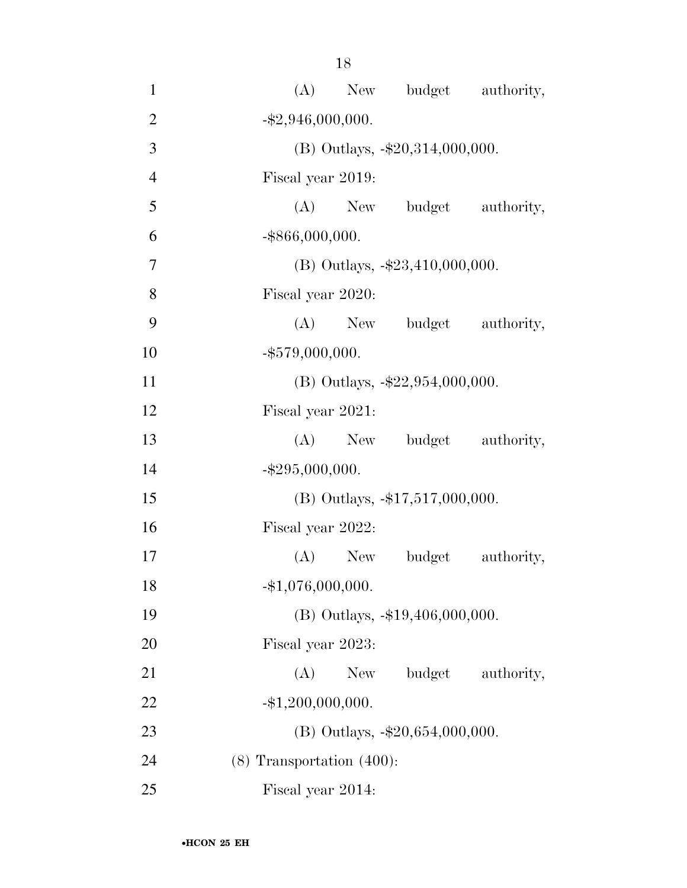| $\mathbf{1}$   | New budget authority,<br>(A)       |
|----------------|------------------------------------|
| $\overline{2}$ | $-$ \$2,946,000,000.               |
| 3              | (B) Outlays, -\$20,314,000,000.    |
| $\overline{4}$ | Fiscal year 2019:                  |
| 5              | (A) New budget authority,          |
| 6              | $-$ \$866,000,000.                 |
| $\overline{7}$ | (B) Outlays, $-\$23,410,000,000$ . |
| 8              | Fiscal year 2020:                  |
| 9              | (A) New budget authority,          |
| 10             | $-$ \$579,000,000.                 |
| 11             | (B) Outlays, $-22,954,000,000$ .   |
| 12             | Fiscal year 2021:                  |
| 13             | (A) New budget authority,          |
| 14             | $-$ \$295,000,000.                 |
| 15             | (B) Outlays, $-17,517,000,000$ .   |
| 16             | Fiscal year 2022:                  |
| 17             | $(A)$ New<br>budget<br>authority,  |
| 18             | $-$ \$1,076,000,000.               |
| 19             | (B) Outlays, -\$19,406,000,000.    |
| 20             | Fiscal year 2023:                  |
| 21             | (A)<br>budget<br>New<br>authority, |
| 22             | $-$ \$1,200,000,000.               |
| 23             | (B) Outlays, -\$20,654,000,000.    |
| 24             | $(8)$ Transportation $(400)$ :     |
| 25             | Fiscal year 2014:                  |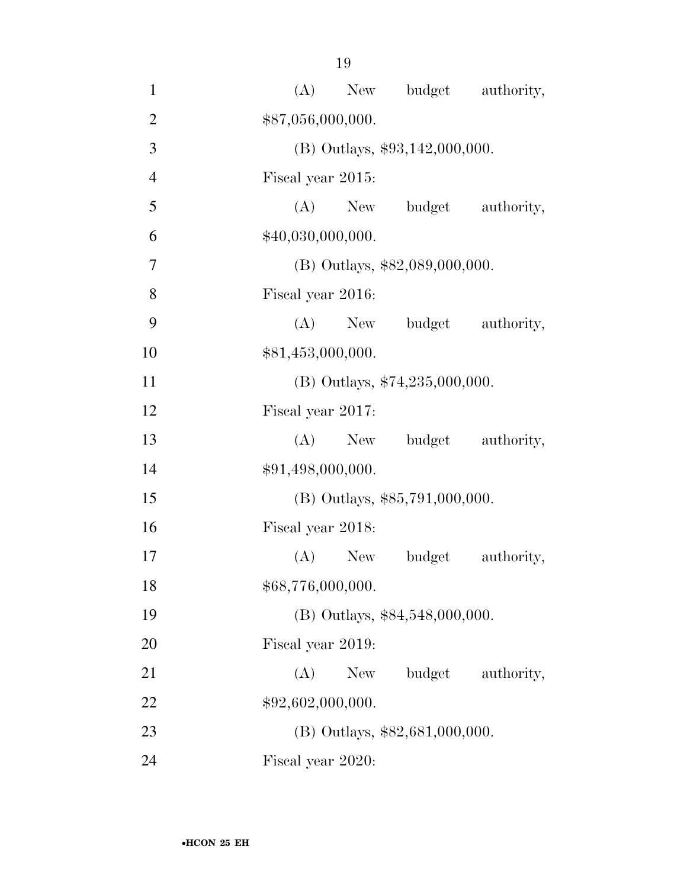| $\mathbf{1}$   | New budget authority,<br>(A)       |
|----------------|------------------------------------|
| $\overline{2}$ | \$87,056,000,000.                  |
| 3              | $(B)$ Outlays, \$93,142,000,000.   |
| $\overline{4}$ | Fiscal year 2015:                  |
| 5              | (A) New budget authority,          |
| 6              | \$40,030,000,000.                  |
| $\overline{7}$ | $(B)$ Outlays, \$82,089,000,000.   |
| 8              | Fiscal year 2016:                  |
| 9              | (A) New budget<br>authority,       |
| 10             | \$81,453,000,000.                  |
| 11             | (B) Outlays, \$74,235,000,000.     |
| 12             | Fiscal year 2017:                  |
| 13             | $(A)$ New<br>budget authority,     |
| 14             | \$91,498,000,000.                  |
| 15             | $(B)$ Outlays, \$85,791,000,000.   |
| 16             | Fiscal year 2018:                  |
| 17             | $(A)$ New<br>budget<br>authority,  |
| 18             | \$68,776,000,000.                  |
| 19             | (B) Outlays, \$84,548,000,000.     |
| 20             | Fiscal year 2019:                  |
| 21             | budget<br>(A)<br>New<br>authority, |
| 22             | \$92,602,000,000.                  |
| 23             | $(B)$ Outlays, \$82,681,000,000.   |
| 24             | Fiscal year 2020:                  |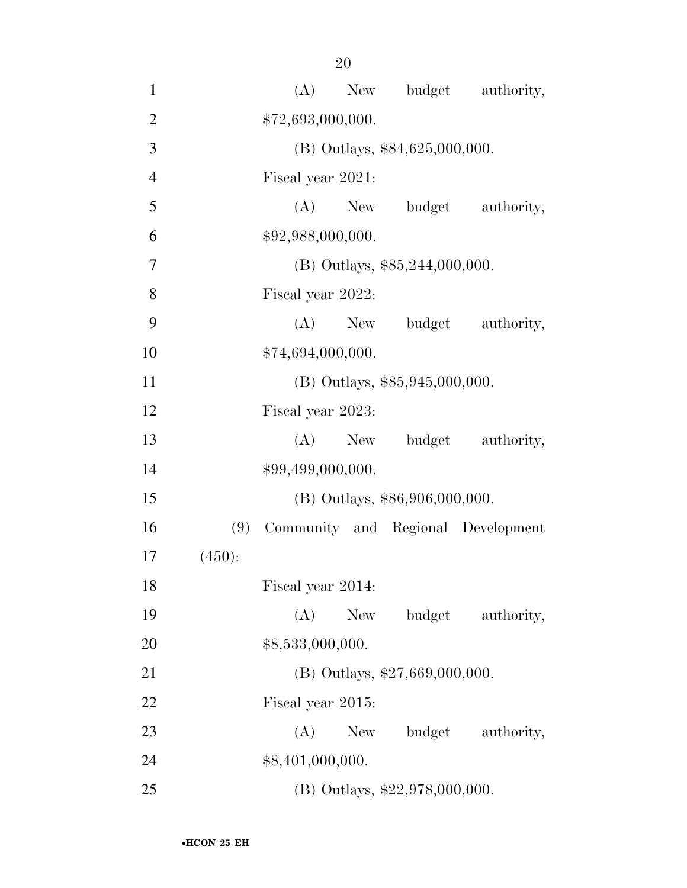| $\mathbf{1}$   |        |                   | (A)<br>New        | budget                           | authority,                         |
|----------------|--------|-------------------|-------------------|----------------------------------|------------------------------------|
| $\overline{2}$ |        |                   | \$72,693,000,000. |                                  |                                    |
| 3              |        |                   |                   | $(B)$ Outlays, \$84,625,000,000. |                                    |
| $\overline{4}$ |        |                   | Fiscal year 2021: |                                  |                                    |
| 5              |        |                   | $(A)$ New         | budget                           | authority,                         |
| 6              |        |                   | \$92,988,000,000. |                                  |                                    |
| 7              |        |                   |                   | $(B)$ Outlays, \$85,244,000,000. |                                    |
| 8              |        |                   | Fiscal year 2022: |                                  |                                    |
| 9              |        |                   |                   | (A) New budget                   | authority,                         |
| 10             |        |                   | \$74,694,000,000. |                                  |                                    |
| 11             |        |                   |                   | $(B)$ Outlays, \$85,945,000,000. |                                    |
| 12             |        | Fiscal year 2023: |                   |                                  |                                    |
| 13             |        |                   | $(A)$ New         | budget                           | authority,                         |
| 14             |        |                   | \$99,499,000,000. |                                  |                                    |
| 15             |        |                   |                   | (B) Outlays, \$86,906,000,000.   |                                    |
| 16             | (9)    |                   |                   |                                  | Community and Regional Development |
| 17             | (450): |                   |                   |                                  |                                    |
| 18             |        |                   | Fiscal year 2014: |                                  |                                    |
| 19             |        | (A)               | New               | budget                           | authority,                         |
| 20             |        | \$8,533,000,000.  |                   |                                  |                                    |
| 21             |        |                   |                   | (B) Outlays, \$27,669,000,000.   |                                    |
| 22             |        | Fiscal year 2015: |                   |                                  |                                    |
| 23             |        | (A)               | New               |                                  | budget authority,                  |
| 24             |        | \$8,401,000,000.  |                   |                                  |                                    |
| 25             |        |                   |                   | (B) Outlays, $$22,978,000,000$ . |                                    |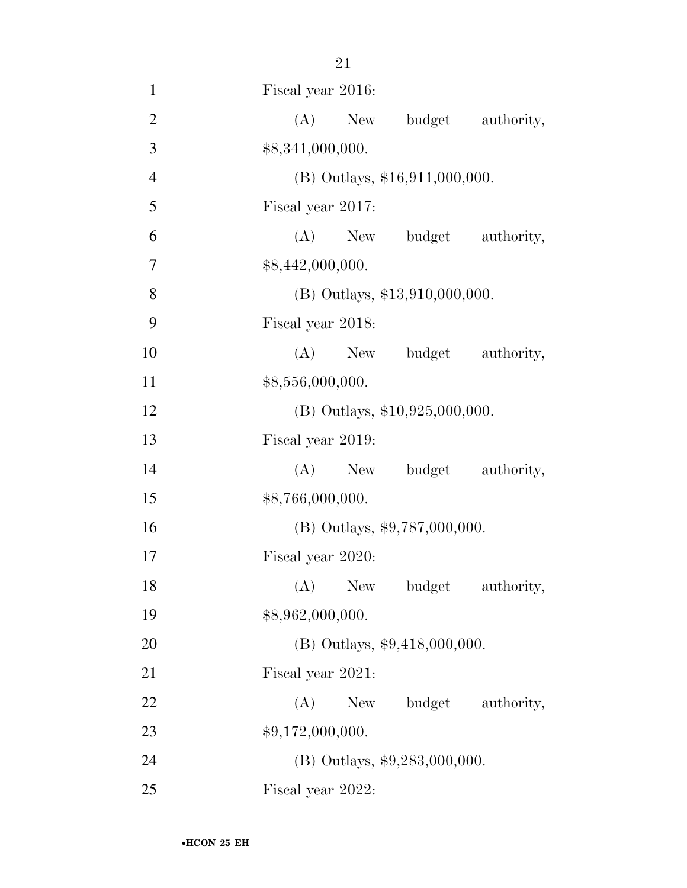| $\mathbf{1}$   | Fiscal year 2016:                  |
|----------------|------------------------------------|
| $\overline{2}$ | (A)<br>budget<br>New<br>authority, |
| 3              | \$8,341,000,000.                   |
| $\overline{4}$ | (B) Outlays, \$16,911,000,000.     |
| 5              | Fiscal year 2017:                  |
| 6              | (A) New budget authority,          |
| 7              | \$8,442,000,000.                   |
| $8\,$          | $(B)$ Outlays, \$13,910,000,000.   |
| 9              | Fiscal year 2018:                  |
| 10             | (A)<br>New budget authority,       |
| 11             | \$8,556,000,000.                   |
| 12             | $(B)$ Outlays, \$10,925,000,000.   |
| 13             | Fiscal year 2019:                  |
| 14             | New budget authority,<br>(A)       |
| 15             | \$8,766,000,000.                   |
| 16             | (B) Outlays, \$9,787,000,000.      |
| 17             | Fiscal year 2020:                  |
| 18             | (A) New budget authority,          |
| 19             | \$8,962,000,000.                   |
| 20             | $(B)$ Outlays, \$9,418,000,000.    |
| 21             | Fiscal year 2021:                  |
| 22             | (A)<br>budget<br>authority,<br>New |
| 23             | \$9,172,000,000.                   |
| 24             | (B) Outlays, $$9,283,000,000$ .    |
| 25             | Fiscal year 2022:                  |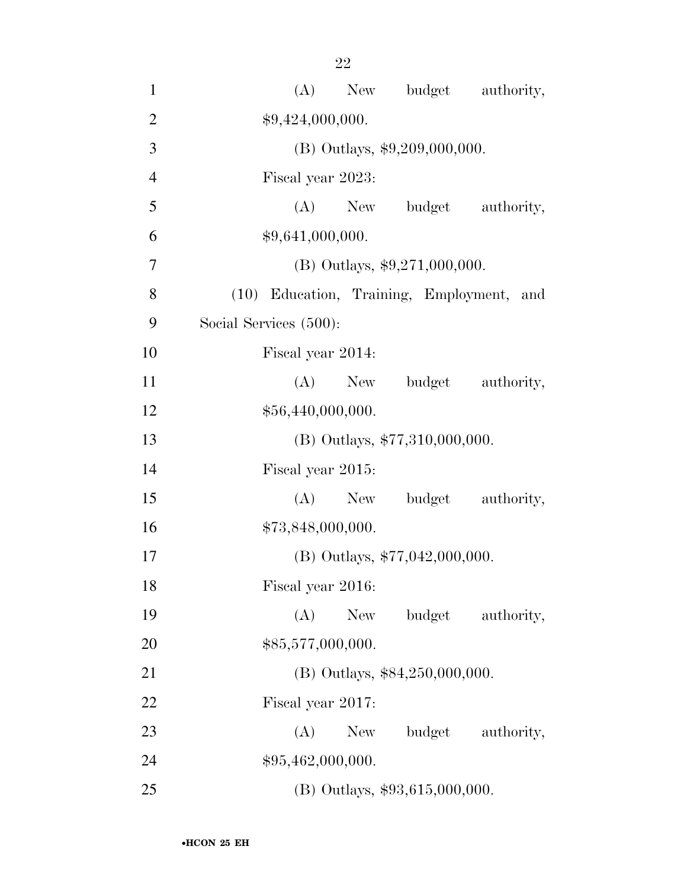| $\mathbf{1}$   | New budget authority,<br>(A)              |
|----------------|-------------------------------------------|
| $\mathbf{2}$   | \$9,424,000,000.                          |
| 3              | (B) Outlays, \$9,209,000,000.             |
| $\overline{4}$ | Fiscal year 2023:                         |
| 5              | (A)<br>New budget authority,              |
| 6              | \$9,641,000,000.                          |
| $\tau$         | (B) Outlays, $$9,271,000,000$ .           |
| 8              | (10) Education, Training, Employment, and |
| 9              | Social Services (500):                    |
| 10             | Fiscal year 2014:                         |
| 11             | budget authority,<br>(A)<br>New           |
| 12             | \$56,440,000,000.                         |
| 13             | (B) Outlays, \$77,310,000,000.            |
| 14             | Fiscal year 2015:                         |
| 15             | budget authority,<br>(A)<br>New           |
| 16             | \$73,848,000,000.                         |
| 17             | (B) Outlays, \$77,042,000,000.            |
| 18             | Fiscal year 2016:                         |
| 19             | (A)<br>budget<br>New<br>authority,        |
| 20             | \$85,577,000,000.                         |
| 21             | $(B)$ Outlays, \$84,250,000,000.          |
| 22             | Fiscal year 2017:                         |
| 23             | (A)<br>New<br>budget authority,           |
| 24             | \$95,462,000,000.                         |
| 25             | $(B)$ Outlays, \$93,615,000,000.          |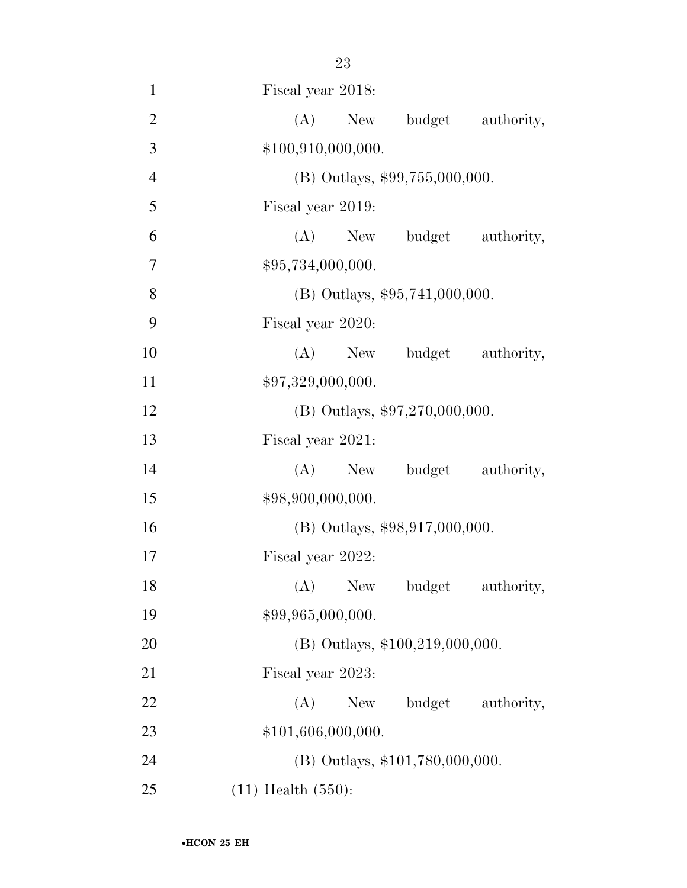| $\mathbf{1}$   | Fiscal year 2018:                 |
|----------------|-----------------------------------|
| $\overline{2}$ | (A)<br>New budget authority,      |
| 3              | \$100,910,000,000.                |
| $\overline{4}$ | $(B)$ Outlays, \$99,755,000,000.  |
| 5              | Fiscal year 2019:                 |
| 6              | (A)<br>New budget authority,      |
| 7              | \$95,734,000,000.                 |
| 8              | $(B)$ Outlays, \$95,741,000,000.  |
| 9              | Fiscal year 2020:                 |
| 10             | (A) New budget authority,         |
| 11             | \$97,329,000,000.                 |
| 12             | (B) Outlays, $$97,270,000,000$ .  |
| 13             | Fiscal year 2021:                 |
| 14             | (A) New budget authority,         |
| 15             | \$98,900,000,000.                 |
| 16             | $(B)$ Outlays, \$98,917,000,000.  |
| 17             | Fiscal year 2022:                 |
| 18             | (A) New budget authority,         |
| 19             | \$99,965,000,000.                 |
| 20             | (B) Outlays, \$100,219,000,000.   |
| 21             | Fiscal year 2023:                 |
| 22             | (A)<br>New budget<br>authority,   |
| 23             | \$101,606,000,000.                |
| 24             | $(B)$ Outlays, \$101,780,000,000. |
| 25             | $(11)$ Health $(550)$ :           |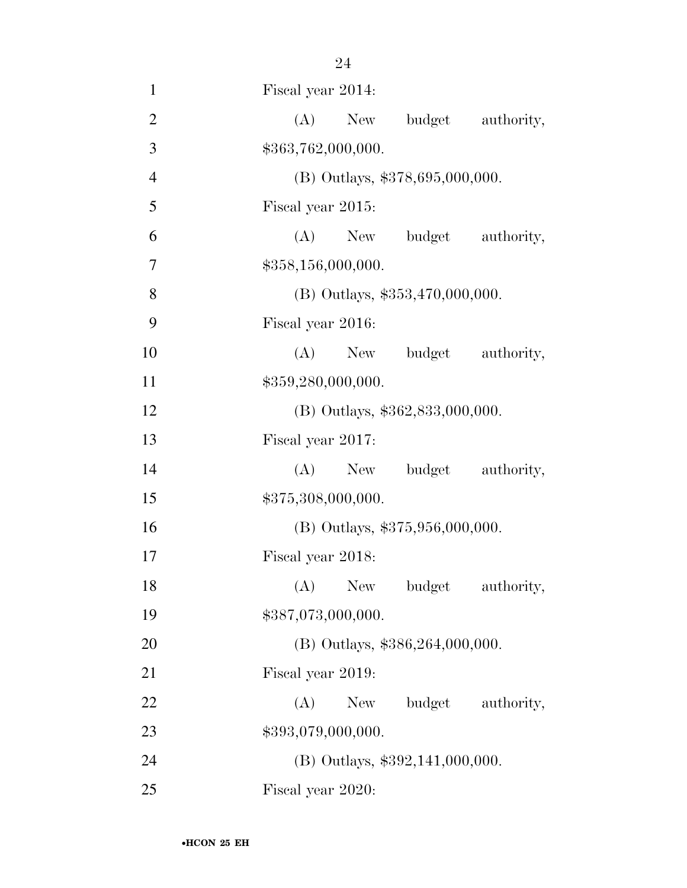| $\overline{2}$ | (A) New budget authority,         |            |
|----------------|-----------------------------------|------------|
| 3              | \$363,762,000,000.                |            |
| $\overline{4}$ | (B) Outlays, \$378,695,000,000.   |            |
| 5              | Fiscal year 2015:                 |            |
| 6              | (A) New budget authority,         |            |
| 7              | \$358,156,000,000.                |            |
| 8              | (B) Outlays, $$353,470,000,000$ . |            |
| 9              | Fiscal year 2016:                 |            |
| 10             | (A) New budget authority,         |            |
| 11             | \$359,280,000,000.                |            |
| 12             | (B) Outlays, \$362,833,000,000.   |            |
| 13             | Fiscal year 2017:                 |            |
| 14             | (A) New budget authority,         |            |
| 15             | \$375,308,000,000.                |            |
| 16             | (B) Outlays, \$375,956,000,000.   |            |
| 17             | Fiscal year 2018:                 |            |
| 18             | (A) New budget authority,         |            |
| 19             | \$387,073,000,000.                |            |
| 20             | (B) Outlays, \$386,264,000,000.   |            |
| 21             | Fiscal year 2019:                 |            |
| 22             | budget<br>(A)<br>New              | authority, |
| 23             | \$393,079,000,000.                |            |
| 24             | $(B)$ Outlays, \$392,141,000,000. |            |
| 25             | Fiscal year 2020:                 |            |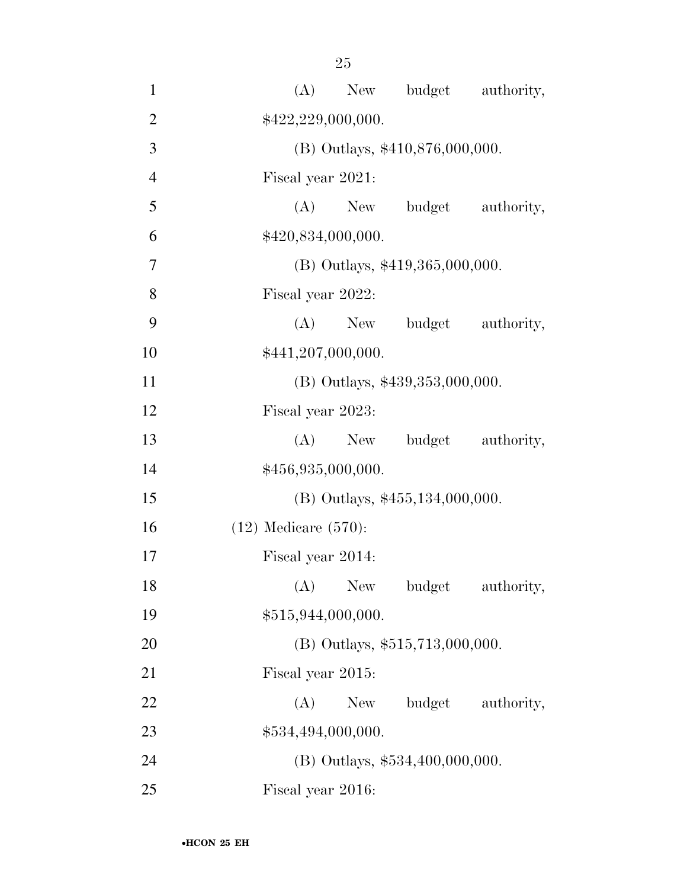| $\mathbf{1}$   | budget authority,<br>(A)<br>New       |
|----------------|---------------------------------------|
| $\overline{2}$ | \$422,229,000,000.                    |
| 3              | (B) Outlays, \$410,876,000,000.       |
| $\overline{4}$ | Fiscal year 2021:                     |
| 5              | budget<br>$(A)$ New<br>authority,     |
| 6              | \$420,834,000,000.                    |
| 7              | $(B)$ Outlays, \$419,365,000,000.     |
| 8              | Fiscal year 2022:                     |
| 9              | (A)<br>budget<br>authority,<br>New    |
| 10             | \$441,207,000,000.                    |
| 11             | (B) Outlays, \$439,353,000,000.       |
| 12             | Fiscal year 2023:                     |
| 13             | $(A)$ New<br>budget authority,        |
| 14             | \$456,935,000,000.                    |
| 15             | (B) Outlays, \$455,134,000,000.       |
| 16             | $(12)$ Medicare $(570)$ :             |
| 17             | Fiscal year 2014:                     |
| 18             | (A)<br>New<br>budget<br>authority,    |
| 19             | \$515,944,000,000.                    |
| 20             | $(B)$ Outlays, \$515,713,000,000.     |
| 21             | Fiscal year 2015:                     |
| 22             | (A)<br>New \,<br>budget<br>authority, |
| 23             | \$534,494,000,000.                    |
| 24             | (B) Outlays, \$534,400,000,000.       |
| 25             | Fiscal year 2016:                     |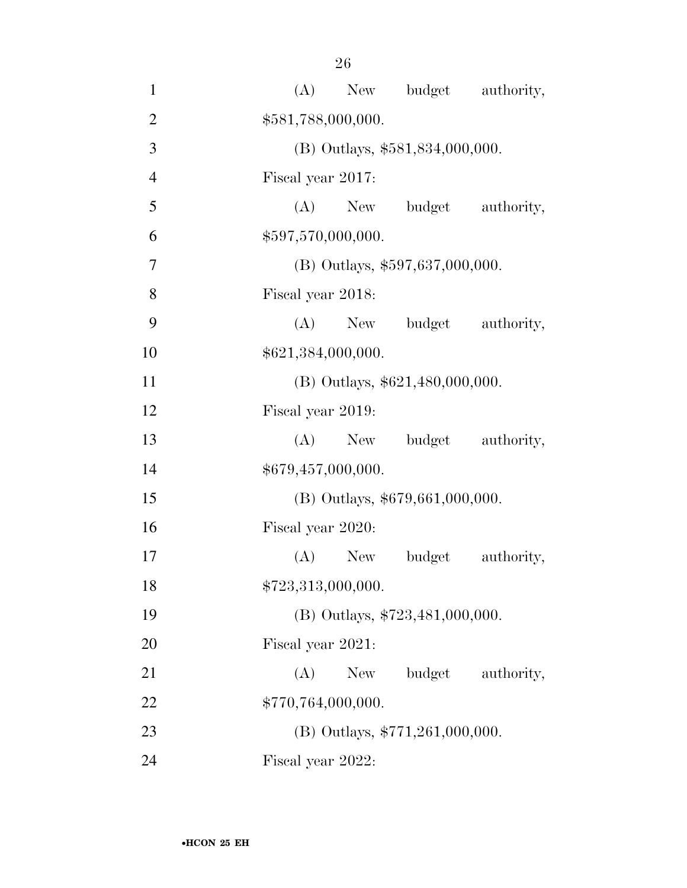| $\mathbf{1}$   |                   |                    |                                   | (A) New budget authority, |
|----------------|-------------------|--------------------|-----------------------------------|---------------------------|
| $\overline{2}$ |                   | \$581,788,000,000. |                                   |                           |
| 3              |                   |                    | (B) Outlays, \$581,834,000,000.   |                           |
| $\overline{4}$ | Fiscal year 2017: |                    |                                   |                           |
| 5              |                   |                    |                                   | (A) New budget authority, |
| 6              |                   | \$597,570,000,000. |                                   |                           |
| $\overline{7}$ |                   |                    | (B) Outlays, \$597,637,000,000.   |                           |
| 8              | Fiscal year 2018: |                    |                                   |                           |
| 9              |                   | $(A)$ New          |                                   | budget authority,         |
| 10             |                   | \$621,384,000,000. |                                   |                           |
| 11             |                   |                    | $(B)$ Outlays, \$621,480,000,000. |                           |
| 12             | Fiscal year 2019: |                    |                                   |                           |
| 13             |                   | $(A)$ New          |                                   | budget authority,         |
| 14             |                   | \$679,457,000,000. |                                   |                           |
| 15             |                   |                    | (B) Outlays, \$679,661,000,000.   |                           |
| 16             | Fiscal year 2020: |                    |                                   |                           |
| 17             |                   | $(A)$ New          | budget                            | authority,                |
| 18             |                   | \$723,313,000,000. |                                   |                           |
| 19             |                   |                    | (B) Outlays, $$723,481,000,000$ . |                           |
| 20             | Fiscal year 2021: |                    |                                   |                           |
| 21             | (A)               | New                | budget                            | authority,                |
| 22             |                   | \$770,764,000,000. |                                   |                           |
| 23             |                   |                    | (B) Outlays, $$771,261,000,000$ . |                           |
| 24             | Fiscal year 2022: |                    |                                   |                           |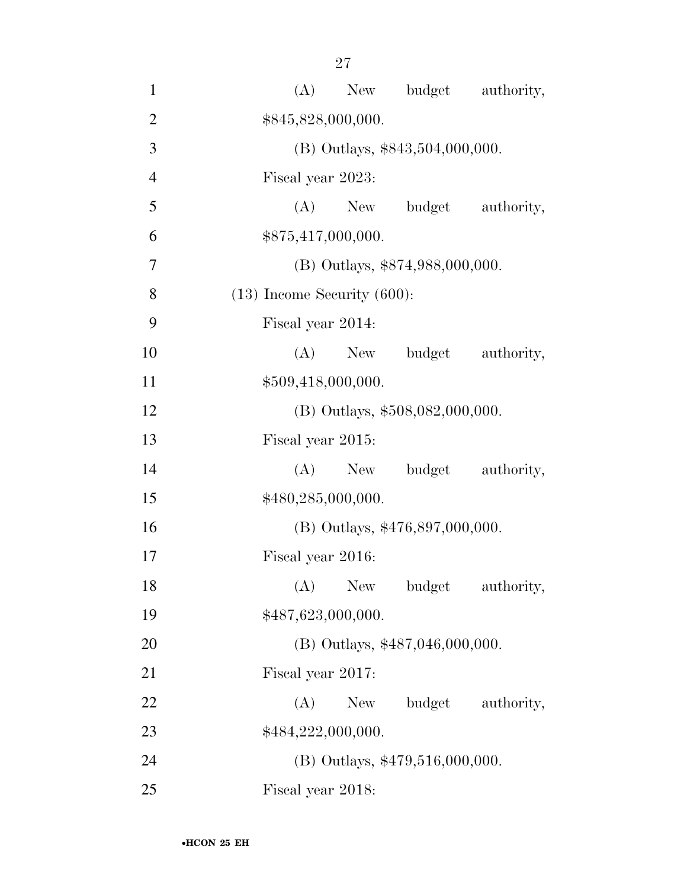| $\mathbf{1}$   | budget authority,<br>(A)<br>New       |
|----------------|---------------------------------------|
| $\overline{2}$ | \$845,828,000,000.                    |
| 3              | (B) Outlays, \$843,504,000,000.       |
| $\overline{4}$ | Fiscal year 2023:                     |
| 5              | budget<br>$(A)$ New<br>authority,     |
| 6              | \$875,417,000,000.                    |
| 7              | (B) Outlays, \$874,988,000,000.       |
| 8              | $(13)$ Income Security $(600)$ :      |
| 9              | Fiscal year 2014:                     |
| 10             | (A)<br>budget<br>New<br>authority,    |
| 11             | \$509,418,000,000.                    |
| 12             | (B) Outlays, \$508,082,000,000.       |
| 13             | Fiscal year 2015:                     |
| 14             | budget<br>(A)<br>New<br>authority,    |
| 15             | \$480,285,000,000.                    |
| 16             | (B) Outlays, \$476,897,000,000.       |
| 17             | Fiscal year 2016:                     |
| 18             | (A)<br>New<br>budget<br>authority,    |
| 19             | \$487,623,000,000.                    |
| 20             | $(B)$ Outlays, \$487,046,000,000.     |
| 21             | Fiscal year 2017:                     |
| 22             | (A)<br>New \,<br>budget<br>authority, |
| 23             | \$484,222,000,000.                    |
| 24             | (B) Outlays, \$479,516,000,000.       |
| 25             | Fiscal year 2018:                     |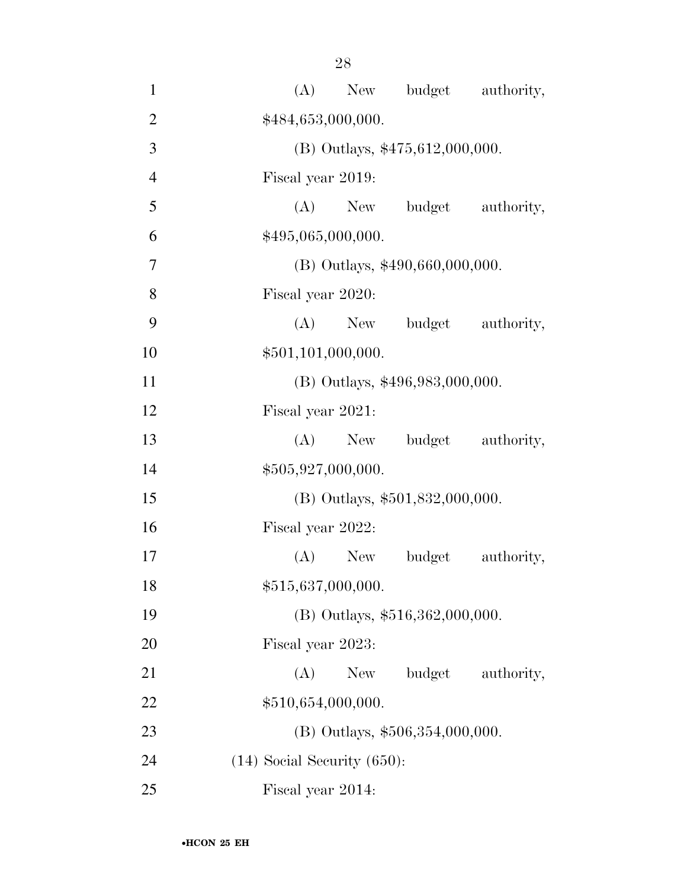| $\mathbf{1}$   | New budget authority,<br>(A)       |
|----------------|------------------------------------|
| $\overline{2}$ | \$484,653,000,000.                 |
| 3              | (B) Outlays, $$475,612,000,000$ .  |
| $\overline{4}$ | Fiscal year 2019:                  |
| 5              | (A)<br>budget<br>authority,<br>New |
| 6              | \$495,065,000,000.                 |
| 7              | (B) Outlays, \$490,660,000,000.    |
| 8              | Fiscal year 2020:                  |
| 9              | $(A)$ New<br>budget authority,     |
| 10             | \$501,101,000,000.                 |
| 11             | (B) Outlays, \$496,983,000,000.    |
| 12             | Fiscal year 2021:                  |
| 13             | budget<br>$(A)$ New<br>authority,  |
| 14             | \$505,927,000,000.                 |
| 15             | (B) Outlays, \$501,832,000,000.    |
| 16             | Fiscal year 2022:                  |
| 17             | $(A)$ New<br>budget<br>authority,  |
| 18             | \$515,637,000,000.                 |
| 19             | (B) Outlays, \$516,362,000,000.    |
| 20             | Fiscal year 2023:                  |
| 21             | (A)<br>budget<br>New<br>authority, |
| 22             | \$510,654,000,000.                 |
| 23             | $(B)$ Outlays, \$506,354,000,000.  |
| 24             | $(14)$ Social Security $(650)$ :   |
| 25             | Fiscal year 2014:                  |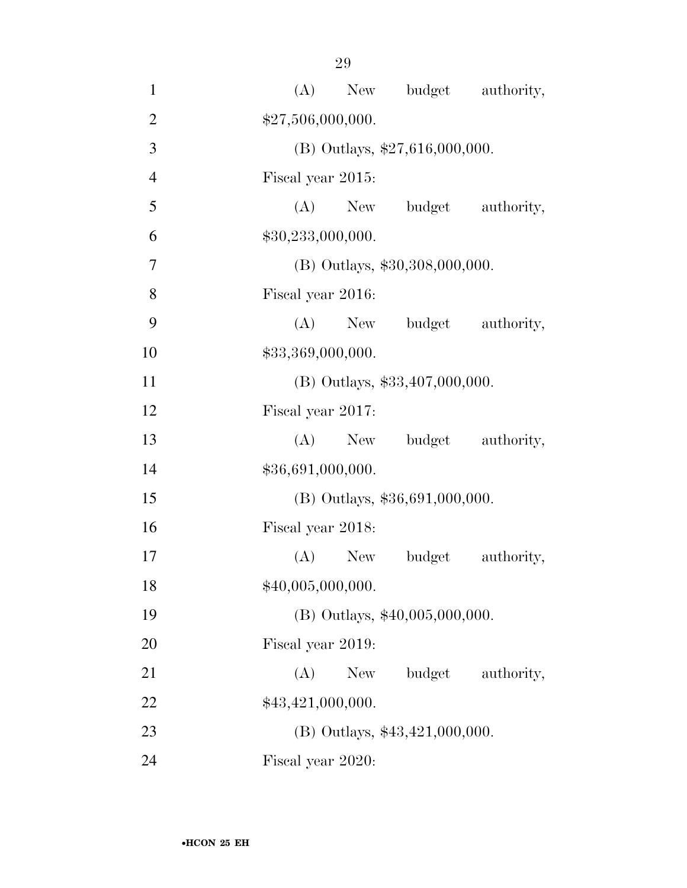| $\mathbf{1}$   | New budget authority,<br>(A)       |
|----------------|------------------------------------|
| $\overline{2}$ | \$27,506,000,000.                  |
| 3              | $(B)$ Outlays, \$27,616,000,000.   |
| $\overline{4}$ | Fiscal year 2015:                  |
| 5              | budget authority,<br>$(A)$ New     |
| 6              | \$30,233,000,000.                  |
| $\overline{7}$ | (B) Outlays, \$30,308,000,000.     |
| 8              | Fiscal year 2016:                  |
| 9              | (A) New budget<br>authority,       |
| 10             | \$33,369,000,000.                  |
| 11             | (B) Outlays, \$33,407,000,000.     |
| 12             | Fiscal year 2017:                  |
| 13             | budget authority,<br>$(A)$ New     |
| 14             | \$36,691,000,000.                  |
| 15             | $(B)$ Outlays, \$36,691,000,000.   |
| 16             | Fiscal year 2018:                  |
| 17             | $(A)$ New<br>budget<br>authority,  |
| 18             | \$40,005,000,000.                  |
| 19             | $(B)$ Outlays, \$40,005,000,000.   |
| 20             | Fiscal year 2019:                  |
| 21             | budget<br>(A)<br>New<br>authority, |
| 22             | \$43,421,000,000.                  |
| 23             | $(B)$ Outlays, \$43,421,000,000.   |
| 24             | Fiscal year 2020:                  |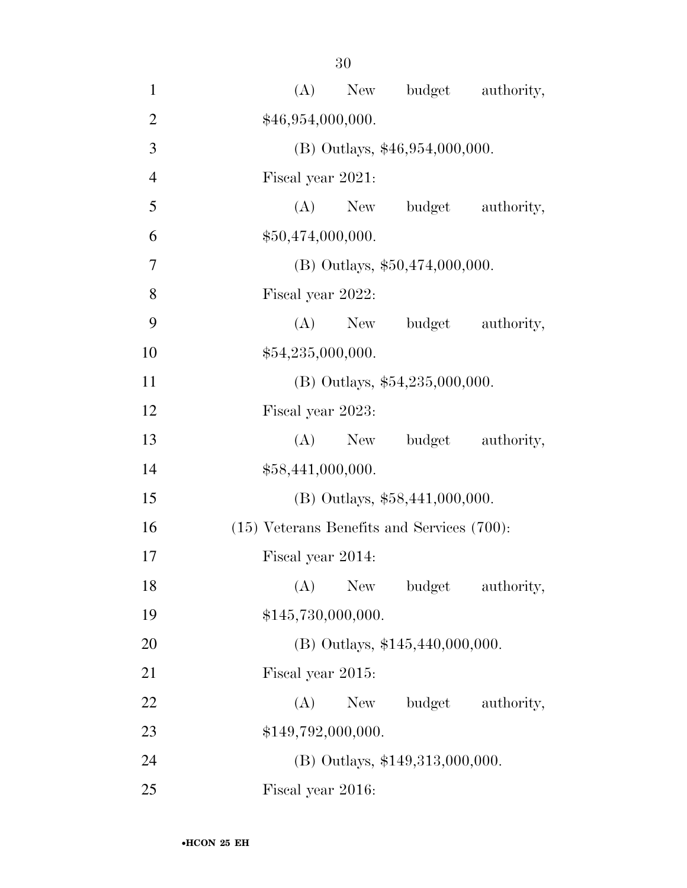| $\mathbf{1}$   | budget authority,<br>(A)<br>New                 |  |  |  |
|----------------|-------------------------------------------------|--|--|--|
| $\overline{2}$ | \$46,954,000,000.                               |  |  |  |
| 3              | $(B)$ Outlays, \$46,954,000,000.                |  |  |  |
| $\overline{4}$ | Fiscal year 2021:                               |  |  |  |
| 5              | budget authority,<br>$(A)$ New                  |  |  |  |
| 6              | \$50,474,000,000.                               |  |  |  |
| $\overline{7}$ | (B) Outlays, \$50,474,000,000.                  |  |  |  |
| 8              | Fiscal year 2022:                               |  |  |  |
| 9              | (A)<br>budget authority,<br>New                 |  |  |  |
| 10             | \$54,235,000,000.                               |  |  |  |
| 11             | (B) Outlays, \$54,235,000,000.                  |  |  |  |
| 12             | Fiscal year 2023:                               |  |  |  |
| 13             | budget authority,<br>(A)<br>New                 |  |  |  |
| 14             | \$58,441,000,000.                               |  |  |  |
| 15             | $(B)$ Outlays, \$58,441,000,000.                |  |  |  |
| 16             | $(15)$ Veterans Benefits and Services $(700)$ : |  |  |  |
| 17             | Fiscal year 2014:                               |  |  |  |
| 18             | (A)<br>New<br>authority,<br>budget              |  |  |  |
| 19             | \$145,730,000,000.                              |  |  |  |
| 20             | $(B)$ Outlays, \$145,440,000,000.               |  |  |  |
| 21             | Fiscal year 2015:                               |  |  |  |
| 22             | budget authority,<br>(A)<br>New                 |  |  |  |
| 23             | \$149,792,000,000.                              |  |  |  |
| 24             | (B) Outlays, \$149,313,000,000.                 |  |  |  |
| 25             | Fiscal year 2016:                               |  |  |  |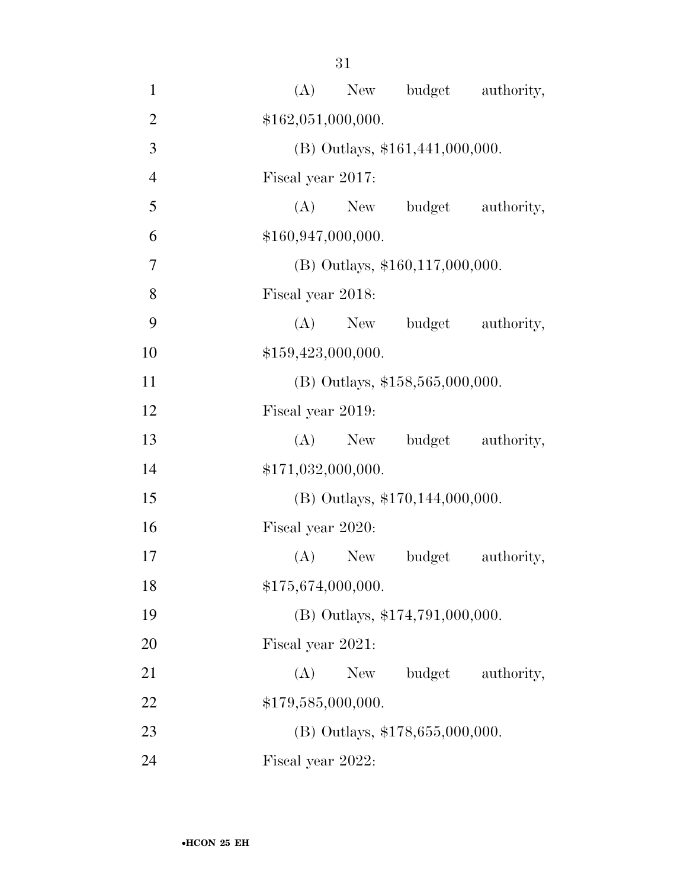| $\mathbf{1}$   | (A) New budget authority,          |
|----------------|------------------------------------|
| $\overline{2}$ | \$162,051,000,000.                 |
| 3              | (B) Outlays, \$161,441,000,000.    |
| $\overline{4}$ | Fiscal year 2017:                  |
| 5              | (A) New budget authority,          |
| 6              | \$160,947,000,000.                 |
| 7              | $(B)$ Outlays, \$160,117,000,000.  |
| 8              | Fiscal year 2018:                  |
| 9              | (A) New budget authority,          |
| 10             | \$159,423,000,000.                 |
| 11             | $(B)$ Outlays, \$158,565,000,000.  |
| 12             | Fiscal year 2019:                  |
| 13             | budget authority,<br>$(A)$ New     |
| 14             | \$171,032,000,000.                 |
| 15             | $(B)$ Outlays, \$170,144,000,000.  |
| 16             | Fiscal year 2020:                  |
| 17             | (A)<br>New<br>budget<br>authority, |
| 18             | \$175,674,000,000.                 |
| 19             | (B) Outlays, \$174,791,000,000.    |
| 20             | Fiscal year 2021:                  |
| 21             | budget<br>(A)<br>New<br>authority, |
| 22             | \$179,585,000,000.                 |
| 23             | (B) Outlays, \$178,655,000,000.    |
| 24             | Fiscal year 2022:                  |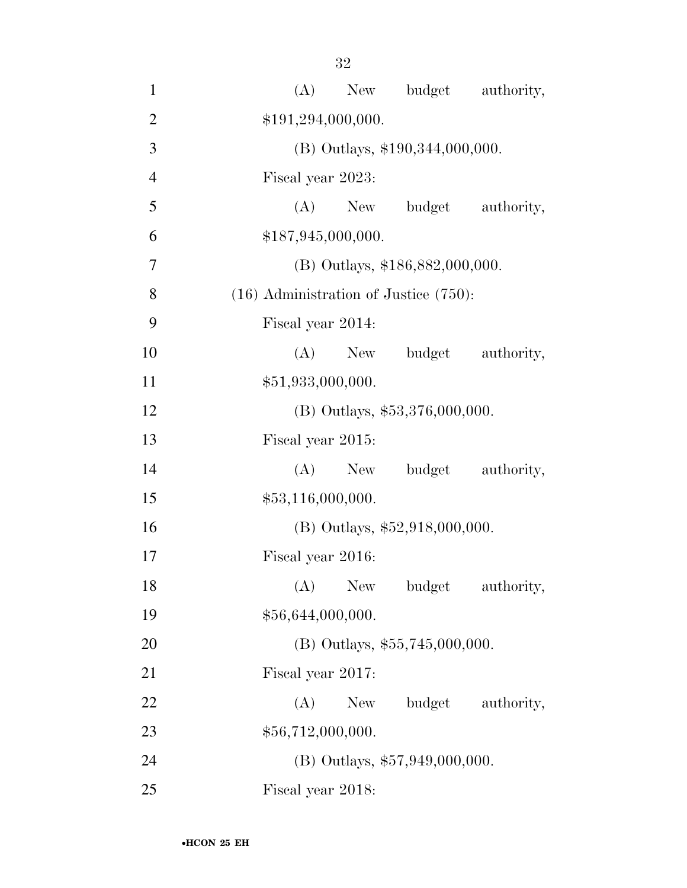| $\mathbf{1}$   | (A)<br>New budget authority,               |  |  |  |  |  |
|----------------|--------------------------------------------|--|--|--|--|--|
| $\overline{2}$ | \$191,294,000,000.                         |  |  |  |  |  |
| 3              | (B) Outlays, \$190,344,000,000.            |  |  |  |  |  |
| $\overline{4}$ | Fiscal year 2023:                          |  |  |  |  |  |
| 5              | New budget<br>(A)<br>authority,            |  |  |  |  |  |
| 6              | \$187,945,000,000.                         |  |  |  |  |  |
| 7              | (B) Outlays, \$186,882,000,000.            |  |  |  |  |  |
| 8              | $(16)$ Administration of Justice $(750)$ : |  |  |  |  |  |
| 9              | Fiscal year 2014:                          |  |  |  |  |  |
| 10             | (A) New budget<br>authority,               |  |  |  |  |  |
| 11             | \$51,933,000,000.                          |  |  |  |  |  |
| 12             | (B) Outlays, \$53,376,000,000.             |  |  |  |  |  |
| 13             | Fiscal year 2015:                          |  |  |  |  |  |
| 14             | New budget authority,<br>(A)               |  |  |  |  |  |
| 15             | \$53,116,000,000.                          |  |  |  |  |  |
| 16             | (B) Outlays, \$52,918,000,000.             |  |  |  |  |  |
| 17             | Fiscal year 2016:                          |  |  |  |  |  |
| 18             | (A) New budget authority,                  |  |  |  |  |  |
| 19             | \$56,644,000,000.                          |  |  |  |  |  |
| 20             | $(B)$ Outlays, \$55,745,000,000.           |  |  |  |  |  |
| 21             | Fiscal year 2017:                          |  |  |  |  |  |
| 22             | (A)<br>budget<br>New<br>authority,         |  |  |  |  |  |
| 23             | \$56,712,000,000.                          |  |  |  |  |  |
| 24             | (B) Outlays, \$57,949,000,000.             |  |  |  |  |  |
| 25             | Fiscal year 2018:                          |  |  |  |  |  |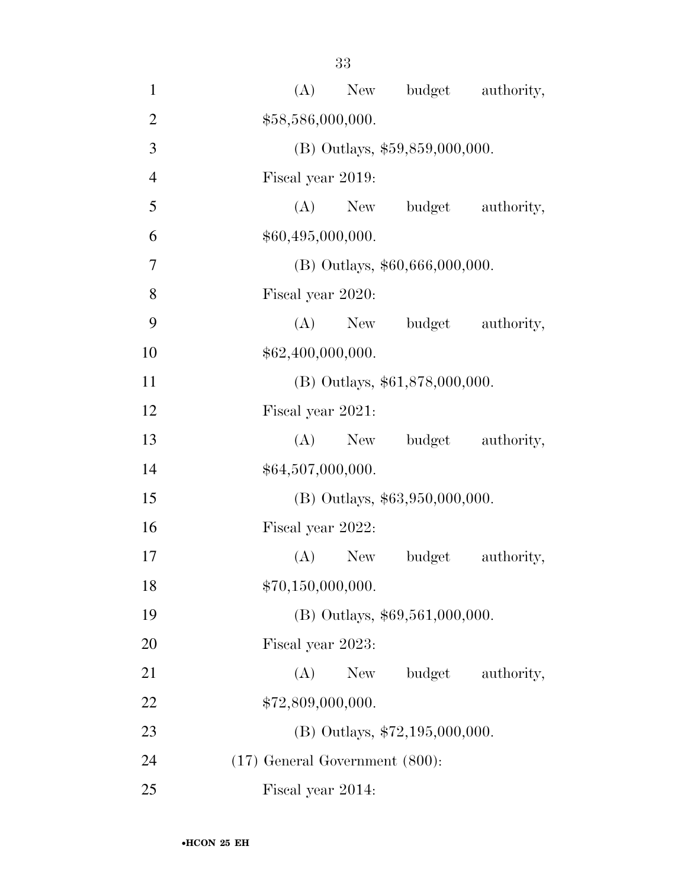| $\mathbf{1}$   | New budget authority,<br>(A)        |  |  |  |
|----------------|-------------------------------------|--|--|--|
| $\overline{2}$ | \$58,586,000,000.                   |  |  |  |
| 3              | $(B)$ Outlays, \$59,859,000,000.    |  |  |  |
| $\overline{4}$ | Fiscal year 2019:                   |  |  |  |
| 5              | $(A)$ New<br>budget authority,      |  |  |  |
| 6              | \$60,495,000,000.                   |  |  |  |
| $\overline{7}$ | $(B)$ Outlays, \$60,666,000,000.    |  |  |  |
| 8              | Fiscal year 2020:                   |  |  |  |
| 9              | (A) New budget authority,           |  |  |  |
| 10             | \$62,400,000,000.                   |  |  |  |
| 11             | (B) Outlays, \$61,878,000,000.      |  |  |  |
| 12             | Fiscal year 2021:                   |  |  |  |
| 13             | budget authority,<br>$(A)$ New      |  |  |  |
| 14             | \$64,507,000,000.                   |  |  |  |
| 15             | (B) Outlays, \$63,950,000,000.      |  |  |  |
| 16             | Fiscal year 2022:                   |  |  |  |
| 17             | authority,<br>$(A)$ New<br>budget   |  |  |  |
| 18             | \$70,150,000,000.                   |  |  |  |
| 19             | (B) Outlays, \$69,561,000,000.      |  |  |  |
| 20             | Fiscal year 2023:                   |  |  |  |
| 21             | budget<br>(A)<br>New<br>authority,  |  |  |  |
| 22             | \$72,809,000,000.                   |  |  |  |
| 23             | (B) Outlays, $$72,195,000,000$ .    |  |  |  |
| 24             | $(17)$ General Government $(800)$ : |  |  |  |
| 25             | Fiscal year 2014:                   |  |  |  |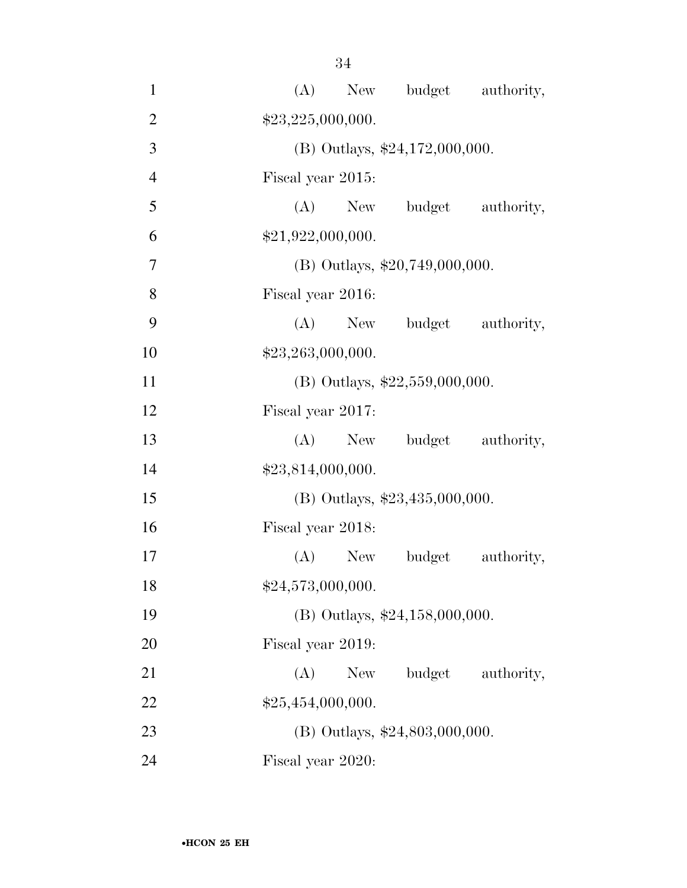| $\mathbf{1}$   | (A) New budget authority,          |
|----------------|------------------------------------|
| $\overline{2}$ | \$23,225,000,000.                  |
| 3              | (B) Outlays, $$24,172,000,000$ .   |
| $\overline{4}$ | Fiscal year 2015:                  |
| 5              | (A) New budget authority,          |
| 6              | \$21,922,000,000.                  |
| 7              | $(B)$ Outlays, \$20,749,000,000.   |
| 8              | Fiscal year 2016:                  |
| 9              | (A) New budget authority,          |
| 10             | \$23,263,000,000.                  |
| 11             | (B) Outlays, $$22,559,000,000$ .   |
| 12             | Fiscal year 2017:                  |
| 13             | (A) New budget authority,          |
| 14             | \$23,814,000,000.                  |
| 15             | (B) Outlays, $$23,435,000,000$ .   |
| 16             | Fiscal year 2018:                  |
| 17             | (A) New budget<br>authority,       |
| 18             | \$24,573,000,000.                  |
| 19             | (B) Outlays, $$24,158,000,000$ .   |
| 20             | Fiscal year 2019:                  |
| 21             | budget<br>(A)<br>New<br>authority, |
| 22             | \$25,454,000,000.                  |
| 23             | $(B)$ Outlays, \$24,803,000,000.   |
| 24             | Fiscal year 2020:                  |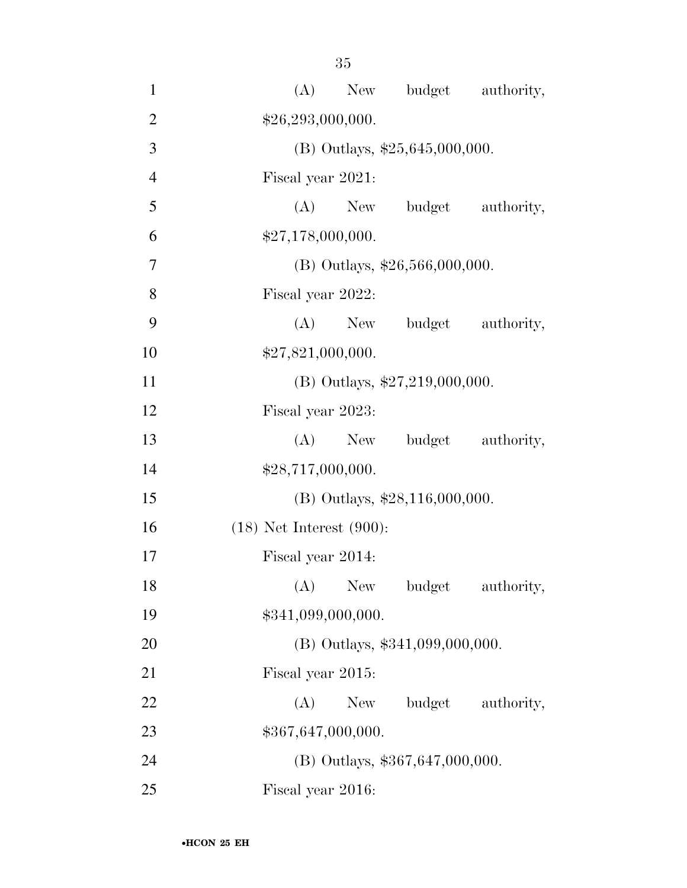| $\mathbf{1}$   | budget authority,<br>(A)<br>New    |  |  |  |
|----------------|------------------------------------|--|--|--|
| $\overline{2}$ | \$26,293,000,000.                  |  |  |  |
| 3              | (B) Outlays, $$25,645,000,000$ .   |  |  |  |
| $\overline{4}$ | Fiscal year 2021:                  |  |  |  |
| 5              | budget authority,<br>$(A)$ New     |  |  |  |
| 6              | \$27,178,000,000.                  |  |  |  |
| $\overline{7}$ | (B) Outlays, \$26,566,000,000.     |  |  |  |
| 8              | Fiscal year 2022:                  |  |  |  |
| 9              | (A)<br>budget authority,<br>New    |  |  |  |
| 10             | \$27,821,000,000.                  |  |  |  |
| 11             | (B) Outlays, $$27,219,000,000$ .   |  |  |  |
| 12             | Fiscal year 2023:                  |  |  |  |
| 13             | budget authority,<br>$(A)$ New     |  |  |  |
| 14             | \$28,717,000,000.                  |  |  |  |
| 15             | $(B)$ Outlays, \$28,116,000,000.   |  |  |  |
| 16             | $(18)$ Net Interest $(900)$ :      |  |  |  |
| 17             | Fiscal year 2014:                  |  |  |  |
| 18             | (A)<br>New<br>budget<br>authority, |  |  |  |
| 19             | \$341,099,000,000.                 |  |  |  |
| 20             | (B) Outlays, \$341,099,000,000.    |  |  |  |
| 21             | Fiscal year 2015:                  |  |  |  |
| 22             | budget authority,<br>(A)<br>New    |  |  |  |
| 23             | \$367,647,000,000.                 |  |  |  |
| 24             | $(B)$ Outlays, \$367,647,000,000.  |  |  |  |
| 25             | Fiscal year 2016:                  |  |  |  |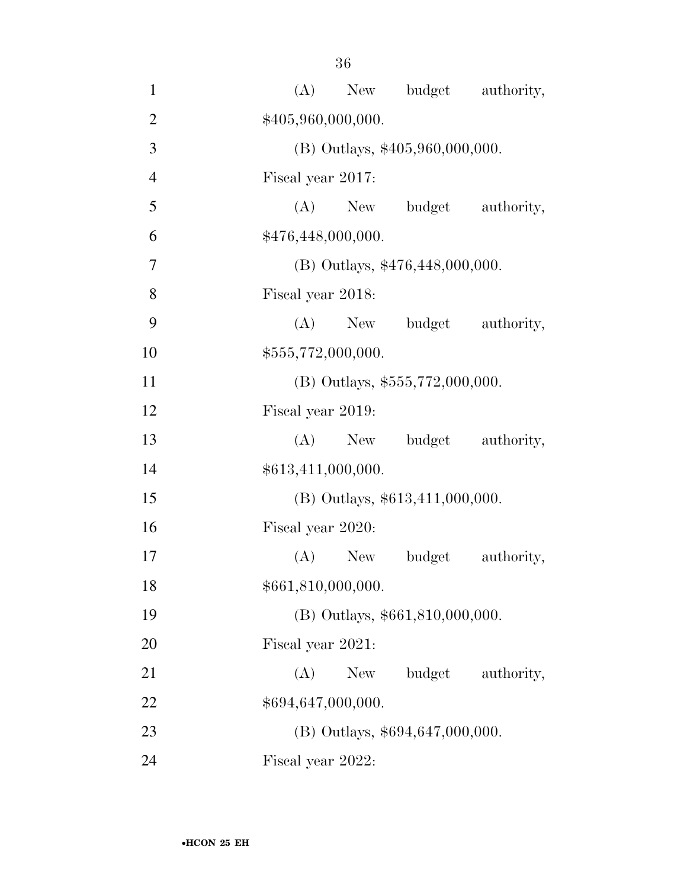| $\mathbf{1}$   | (A)                               |                                 | New budget authority,           |                   |  |  |
|----------------|-----------------------------------|---------------------------------|---------------------------------|-------------------|--|--|
| $\overline{2}$ |                                   | \$405,960,000,000.              |                                 |                   |  |  |
| 3              |                                   | (B) Outlays, \$405,960,000,000. |                                 |                   |  |  |
| $\overline{4}$ | Fiscal year 2017:                 |                                 |                                 |                   |  |  |
| 5              |                                   |                                 | (A) New budget                  | authority,        |  |  |
| 6              |                                   | \$476,448,000,000.              |                                 |                   |  |  |
| $\overline{7}$ |                                   | (B) Outlays, \$476,448,000,000. |                                 |                   |  |  |
| 8              |                                   | Fiscal year 2018:               |                                 |                   |  |  |
| 9              |                                   |                                 | (A) New budget                  | authority,        |  |  |
| 10             |                                   | \$555,772,000,000.              |                                 |                   |  |  |
| 11             |                                   |                                 | (B) Outlays, \$555,772,000,000. |                   |  |  |
| 12             | Fiscal year 2019:                 |                                 |                                 |                   |  |  |
| 13             |                                   | $(A)$ New                       |                                 | budget authority, |  |  |
| 14             | \$613,411,000,000.                |                                 |                                 |                   |  |  |
| 15             |                                   |                                 | (B) Outlays, \$613,411,000,000. |                   |  |  |
| 16             | Fiscal year 2020:                 |                                 |                                 |                   |  |  |
| 17             |                                   | $(A)$ New                       | budget                          | authority,        |  |  |
| 18             |                                   | \$661,810,000,000.              |                                 |                   |  |  |
| 19             |                                   |                                 | (B) Outlays, \$661,810,000,000. |                   |  |  |
| 20             | Fiscal year 2021:                 |                                 |                                 |                   |  |  |
| 21             | (A)                               | New                             | budget                          | authority,        |  |  |
| 22             | \$694,647,000,000.                |                                 |                                 |                   |  |  |
| 23             | $(B)$ Outlays, \$694,647,000,000. |                                 |                                 |                   |  |  |
| 24             | Fiscal year 2022:                 |                                 |                                 |                   |  |  |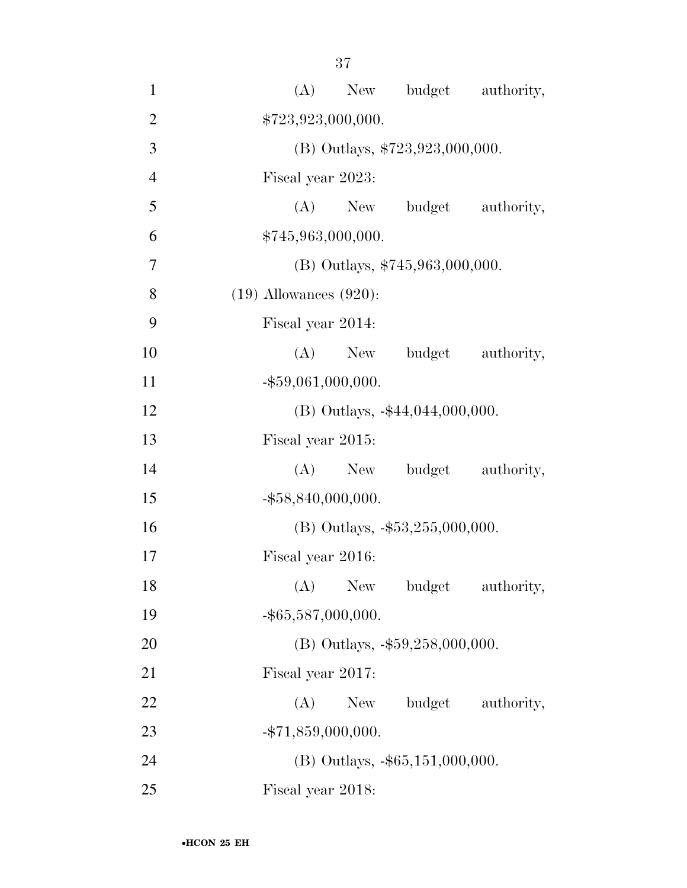| $\mathbf{1}$   | New budget authority,<br>(A)         |
|----------------|--------------------------------------|
| $\overline{2}$ | \$723,923,000,000.                   |
| 3              | (B) Outlays, \$723,923,000,000.      |
| $\overline{4}$ | Fiscal year 2023:                    |
| 5              | (A) New budget authority,            |
| 6              | \$745,963,000,000.                   |
| 7              | (B) Outlays, $$745,963,000,000$ .    |
| 8              | $(19)$ Allowances $(920)$ :          |
| 9              | Fiscal year 2014:                    |
| 10             | (A)<br>budget authority,<br>New      |
| 11             | $-$ \$59,061,000,000.                |
| 12             | (B) Outlays, -\$44,044,000,000.      |
| 13             | Fiscal year 2015:                    |
| 14             | budget authority,<br>(A)<br>New      |
| 15             | $-$ \$58,840,000,000.                |
| 16             | (B) Outlays, $-$ \$53,255,000,000.   |
| 17             | Fiscal year 2016:                    |
| 18             | (A)<br>New<br>authority,<br>budget   |
| 19             | $-$ \$65,587,000,000.                |
| 20             | (B) Outlays, $-$ \$59,258,000,000.   |
| 21             | Fiscal year 2017:                    |
| 22             | budget authority,<br>(A)<br>New      |
| 23             | $-$ \$71,859,000,000.                |
| 24             | $(B)$ Outlays, $-$ \$65,151,000,000. |
| 25             | Fiscal year 2018:                    |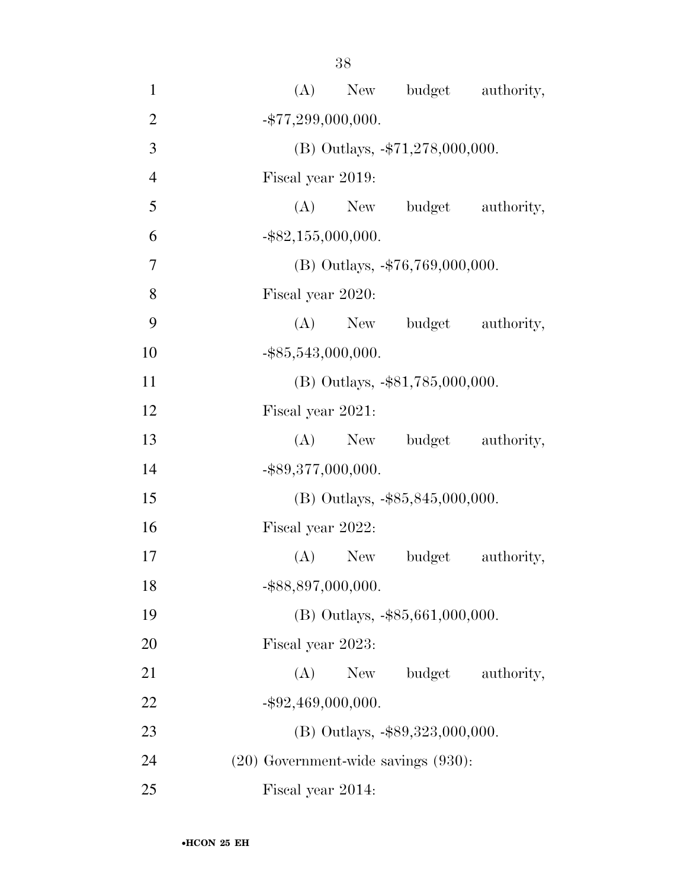| $\mathbf{1}$   | New budget authority,<br>(A)             |
|----------------|------------------------------------------|
| $\overline{2}$ | $-$ \$77,299,000,000.                    |
| 3              | $(B)$ Outlays, $-\$71,278,000,000$ .     |
| $\overline{4}$ | Fiscal year 2019:                        |
| 5              | (A) New budget authority,                |
| 6              | $-$ \$82,155,000,000.                    |
| $\overline{7}$ | (B) Outlays, $-$ \$76,769,000,000.       |
| 8              | Fiscal year 2020:                        |
| 9              | (A) New budget authority,                |
| 10             | $-$ \$85,543,000,000.                    |
| 11             | (B) Outlays, -\$81,785,000,000.          |
| 12             | Fiscal year 2021:                        |
| 13             | (A) New budget authority,                |
| 14             | $-$ \$89,377,000,000.                    |
| 15             | (B) Outlays, $-$ \$85,845,000,000.       |
| 16             | Fiscal year 2022:                        |
| 17             | $(A)$ New<br>budget<br>authority,        |
| 18             | -\$88,897,000,000.                       |
| 19             | $(B)$ Outlays, $-$ \$85,661,000,000.     |
| 20             | Fiscal year 2023:                        |
| 21             | budget<br>(A)<br>New<br>authority,       |
| 22             | $-$ \$92,469,000,000.                    |
| 23             | (B) Outlays, -\$89,323,000,000.          |
| 24             | $(20)$ Government-wide savings $(930)$ : |
| 25             | Fiscal year 2014:                        |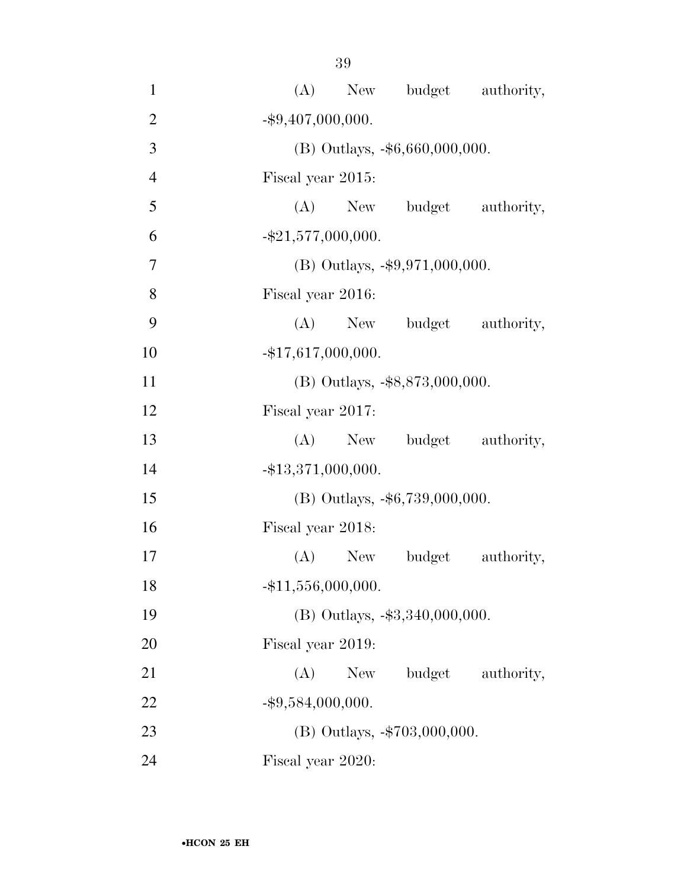| $\mathbf{1}$   | (A) New budget authority,           |
|----------------|-------------------------------------|
| $\overline{2}$ | $-$ \$9,407,000,000.                |
| $\overline{3}$ | (B) Outlays, -\$6,660,000,000.      |
| $\overline{4}$ | Fiscal year 2015:                   |
| 5              | (A) New budget authority,           |
| 6              | $-$ \$21,577,000,000.               |
| $\overline{7}$ | (B) Outlays, $-\$9,971,000,000$ .   |
| 8              | Fiscal year 2016:                   |
| 9              | (A) New budget authority,           |
| 10             | $-$ \$17,617,000,000.               |
| 11             | (B) Outlays, -\$8,873,000,000.      |
| 12             | Fiscal year 2017:                   |
| 13             | (A) New budget authority,           |
| 14             | $-$ \$13,371,000,000.               |
| 15             | $(B)$ Outlays, $-$ \$6,739,000,000. |
| 16             | Fiscal year 2018:                   |
| 17             | (A) New budget<br>authority,        |
| 18             | $-$ \$11,556,000,000.               |
| 19             | (B) Outlays, -\$3,340,000,000.      |
| 20             | Fiscal year 2019:                   |
| 21             | budget<br>(A)<br>New<br>authority,  |
| 22             | $-$ \$9,584,000,000.                |
| 23             | (B) Outlays, -\$703,000,000.        |
| 24             | Fiscal year 2020:                   |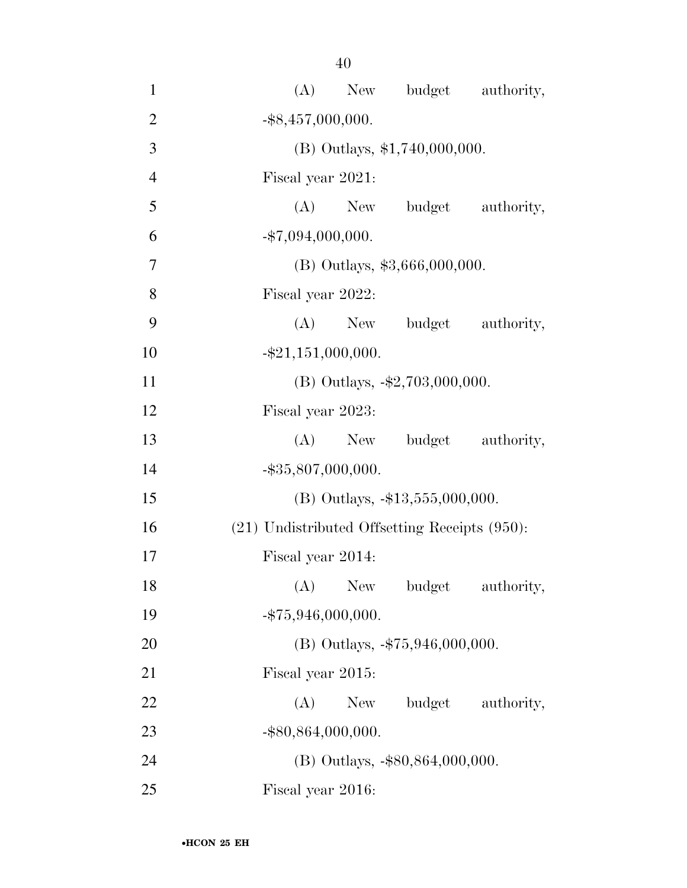| $\mathbf{1}$   | New budget authority,<br>(A)                       |
|----------------|----------------------------------------------------|
| $\mathbf{2}$   | $-$ \$8,457,000,000.                               |
| 3              | (B) Outlays, \$1,740,000,000.                      |
| $\overline{4}$ | Fiscal year 2021:                                  |
| 5              | (A)<br>New budget authority,                       |
| 6              | $-$ \$7,094,000,000.                               |
| 7              | $(B)$ Outlays, \$3,666,000,000.                    |
| 8              | Fiscal year 2022:                                  |
| 9              | (A) New budget authority,                          |
| 10             | $-$ \$21,151,000,000.                              |
| 11             | (B) Outlays, $-\$2,703,000,000$ .                  |
| 12             | Fiscal year 2023:                                  |
| 13             | (A) New budget authority,                          |
| 14             | $-$ \$35,807,000,000.                              |
| 15             | (B) Outlays, -\$13,555,000,000.                    |
| 16             | $(21)$ Undistributed Offsetting Receipts $(950)$ : |
| 17             | Fiscal year 2014:                                  |
| 18             | (A) New budget authority,                          |
| 19             | $-$ \$75,946,000,000.                              |
| 20             | (B) Outlays, $-$ \$75,946,000,000.                 |
| 21             | Fiscal year 2015:                                  |
| 22             | budget authority,<br>(A)<br>New                    |
| 23             | $-$ \$80,864,000,000.                              |
| 24             | $(B)$ Outlays, $-$ \$80,864,000,000.               |
| 25             | Fiscal year 2016:                                  |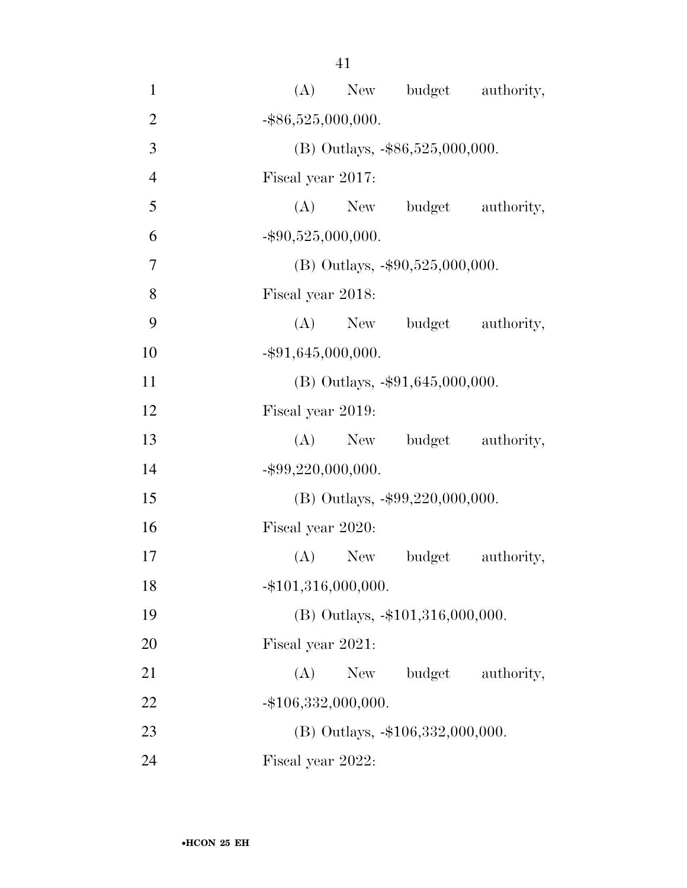| $\mathbf{1}$   | (A) New budget authority,          |
|----------------|------------------------------------|
| $\overline{2}$ | $-$ \$86,525,000,000.              |
| 3              | (B) Outlays, -\$86,525,000,000.    |
| $\overline{4}$ | Fiscal year 2017:                  |
| 5              | (A) New budget authority,          |
| 6              | $-$ \$90,525,000,000.              |
| 7              | (B) Outlays, $-\$90,525,000,000$ . |
| 8              | Fiscal year 2018:                  |
| 9              | (A) New budget authority,          |
| 10             | $-$ \$91,645,000,000.              |
| 11             | (B) Outlays, $-$ \$91,645,000,000. |
| 12             | Fiscal year 2019:                  |
| 13             | (A) New budget authority,          |
| 14             | $-$ \$99,220,000,000.              |
| 15             | (B) Outlays, -\$99,220,000,000.    |
| 16             | Fiscal year 2020:                  |
| 17             | $(A)$ New<br>budget<br>authority,  |
| 18             | $-$ \$101,316,000,000.             |
| 19             | (B) Outlays, -\$101,316,000,000.   |
| 20             | Fiscal year 2021:                  |
| 21             | budget<br>(A)<br>New<br>authority, |
| 22             | $-$ \$106,332,000,000.             |
| 23             | (B) Outlays, -\$106,332,000,000.   |
| 24             | Fiscal year 2022:                  |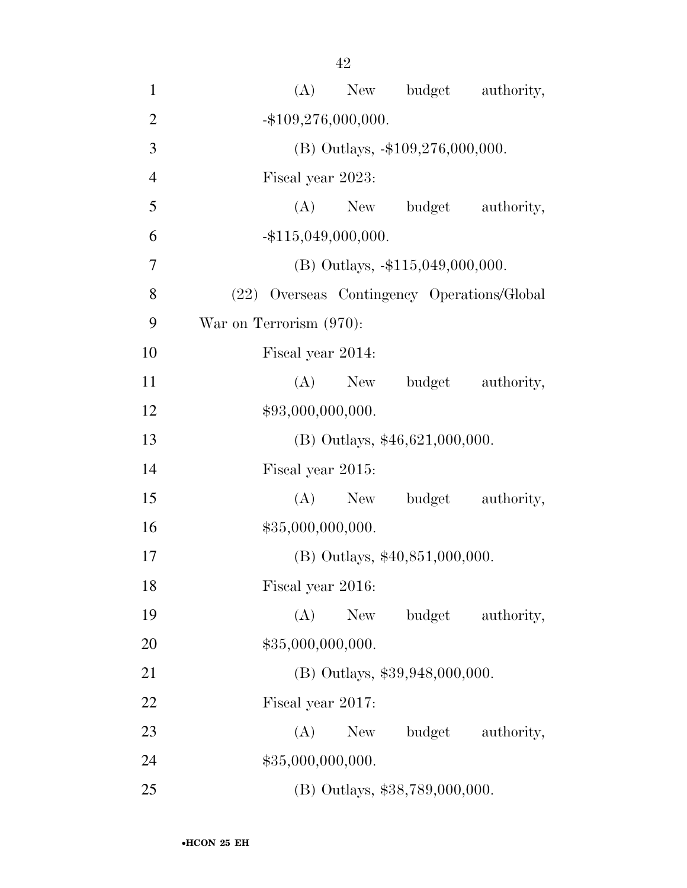- (A) New budget authority, 2  $-$ \$109,276,000,000. 3 (B) Outlays, -\$109,276,000,000. Fiscal year 2023: (A) New budget authority, -\$115,049,000,000. (B) Outlays, -\$115,049,000,000. (22) Overseas Contingency Operations/Global War on Terrorism (970): Fiscal year 2014: 11 (A) New budget authority,  $$93,000,000,000.$  (B) Outlays, \$46,621,000,000. Fiscal year 2015: 15 (A) New budget authority,  $$35,000,000,000.$  (B) Outlays, \$40,851,000,000. Fiscal year 2016: (A) New budget authority, 20 \$35,000,000,000. (B) Outlays, \$39,948,000,000. Fiscal year 2017: 23 (A) New budget authority, 24 \$35,000,000,000.
- (B) Outlays, \$38,789,000,000.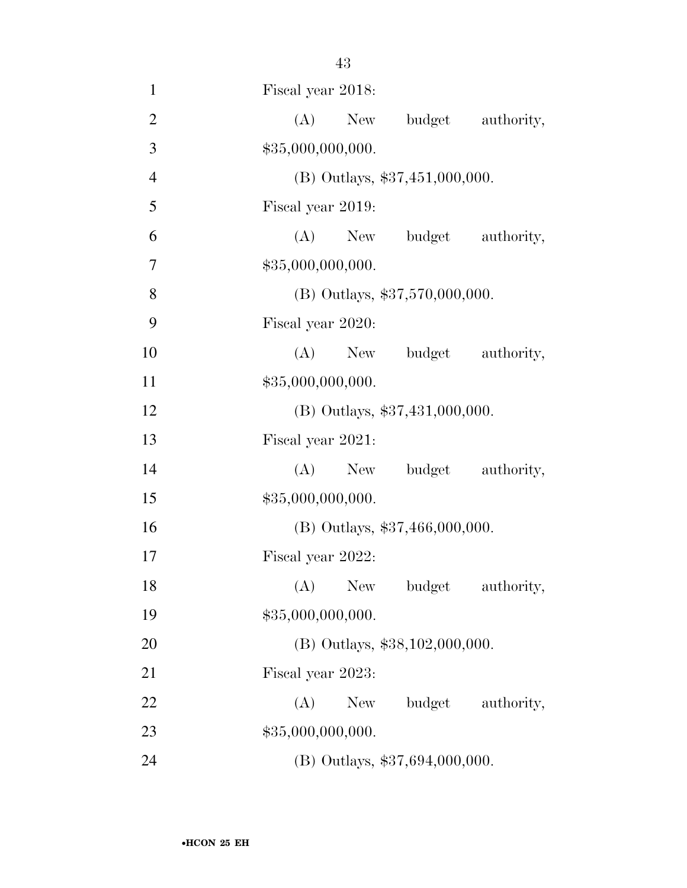| $\mathbf{1}$   | Fiscal year 2018:              |
|----------------|--------------------------------|
| $\overline{2}$ | (A)<br>New budget authority,   |
| 3              | \$35,000,000,000.              |
| $\overline{4}$ | (B) Outlays, \$37,451,000,000. |
| 5              | Fiscal year 2019:              |
| 6              | $(A)$ New<br>budget authority, |
| 7              | \$35,000,000,000.              |
| 8              | (B) Outlays, \$37,570,000,000. |
| 9              | Fiscal year 2020:              |
| 10             | (A) New budget authority,      |
| 11             | \$35,000,000,000.              |
| 12             | (B) Outlays, \$37,431,000,000. |
| 13             | Fiscal year 2021:              |
| 14             | (A) New budget authority,      |
| 15             | \$35,000,000,000.              |
| 16             | (B) Outlays, \$37,466,000,000. |
| 17             | Fiscal year 2022:              |
| 18             | (A) New budget authority,      |
| 19             | \$35,000,000,000.              |
| 20             | (B) Outlays, \$38,102,000,000. |
| 21             | Fiscal year 2023:              |
| 22             | (A) New budget authority,      |
| 23             | \$35,000,000,000.              |
| 24             | (B) Outlays, \$37,694,000,000. |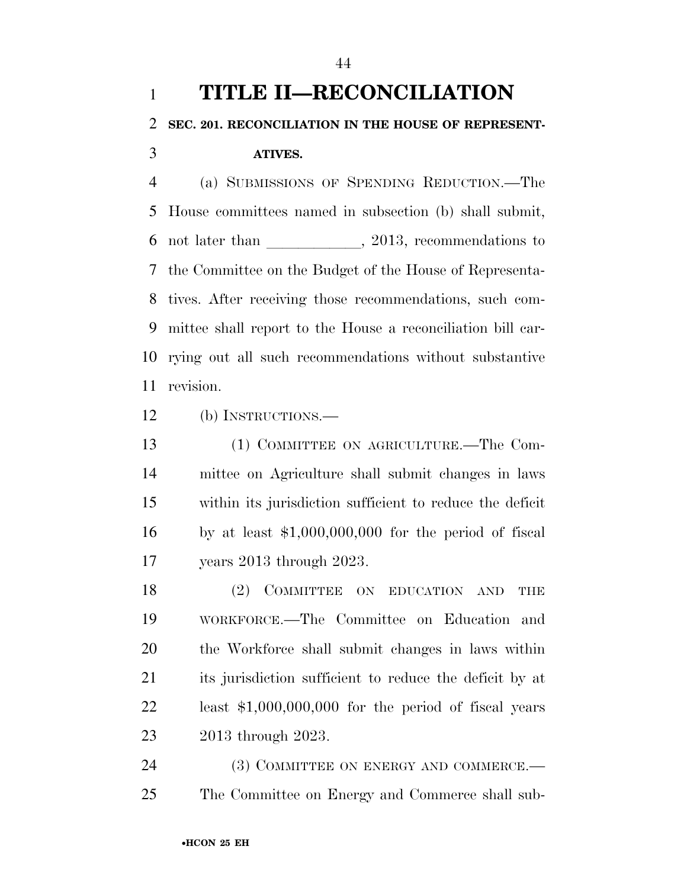# **TITLE II—RECONCILIATION SEC. 201. RECONCILIATION IN THE HOUSE OF REPRESENT-ATIVES.**

 (a) SUBMISSIONS OF SPENDING REDUCTION.—The House committees named in subsection (b) shall submit, not later than  $\qquad \qquad$ , 2013, recommendations to the Committee on the Budget of the House of Representa- tives. After receiving those recommendations, such com- mittee shall report to the House a reconciliation bill car- rying out all such recommendations without substantive revision.

(b) INSTRUCTIONS.—

 (1) COMMITTEE ON AGRICULTURE.—The Com- mittee on Agriculture shall submit changes in laws within its jurisdiction sufficient to reduce the deficit by at least \$1,000,000,000 for the period of fiscal years 2013 through 2023.

18 (2) COMMITTEE ON EDUCATION AND THE WORKFORCE.—The Committee on Education and the Workforce shall submit changes in laws within its jurisdiction sufficient to reduce the deficit by at least \$1,000,000,000 for the period of fiscal years 2013 through 2023.

24 (3) COMMITTEE ON ENERGY AND COMMERCE.— The Committee on Energy and Commerce shall sub-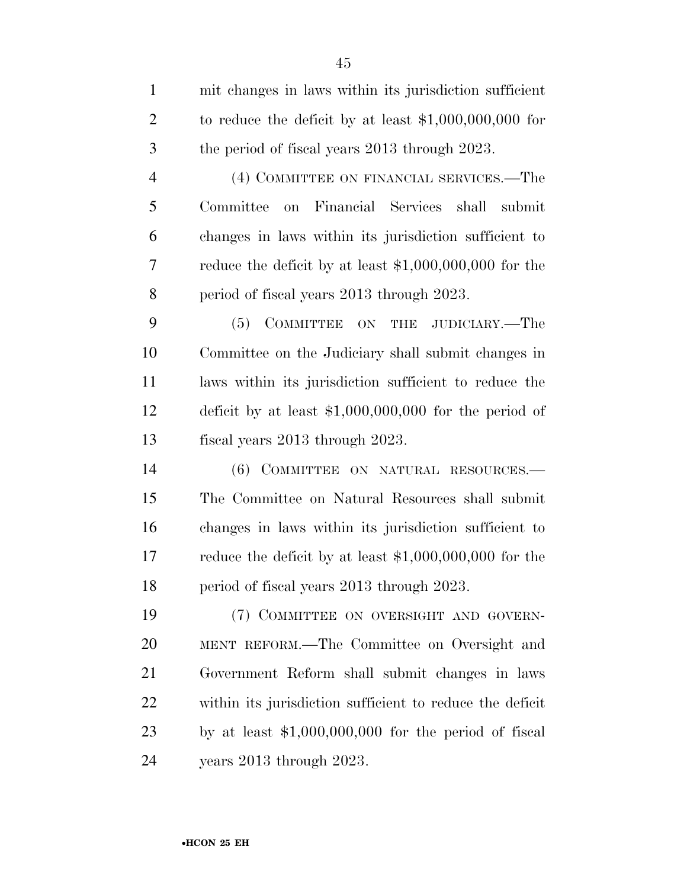| $\mathbf{1}$   | mit changes in laws within its jurisdiction sufficient   |
|----------------|----------------------------------------------------------|
| $\overline{2}$ | to reduce the deficit by at least $$1,000,000,000$ for   |
| 3              | the period of fiscal years 2013 through 2023.            |
| $\overline{4}$ | (4) COMMITTEE ON FINANCIAL SERVICES.—The                 |
| 5              | Financial Services shall<br>Committee on<br>submit       |
| 6              | changes in laws within its jurisdiction sufficient to    |
| 7              | reduce the deficit by at least $$1,000,000,000$ for the  |
| 8              | period of fiscal years 2013 through 2023.                |
| 9              | (5) COMMITTEE ON THE JUDICIARY.—The                      |
| 10             | Committee on the Judiciary shall submit changes in       |
| 11             | laws within its jurisdiction sufficient to reduce the    |
| 12             | deficit by at least $$1,000,000,000$ for the period of   |
| 13             | fiscal years 2013 through 2023.                          |
| 14             | (6) COMMITTEE ON NATURAL RESOURCES.—                     |
| 15             | The Committee on Natural Resources shall submit          |
| 16             | changes in laws within its jurisdiction sufficient to    |
| 17             | reduce the deficit by at least $$1,000,000,000$ for the  |
| 18             | period of fiscal years 2013 through 2023.                |
| 19             | (7) COMMITTEE ON OVERSIGHT AND GOVERN-                   |
| 20             | MENT REFORM.—The Committee on Oversight and              |
| 21             | Government Reform shall submit changes in laws           |
| <u>22</u>      | within its jurisdiction sufficient to reduce the deficit |
| 23             | by at least $$1,000,000,000$ for the period of fiscal    |
| 24             | years 2013 through 2023.                                 |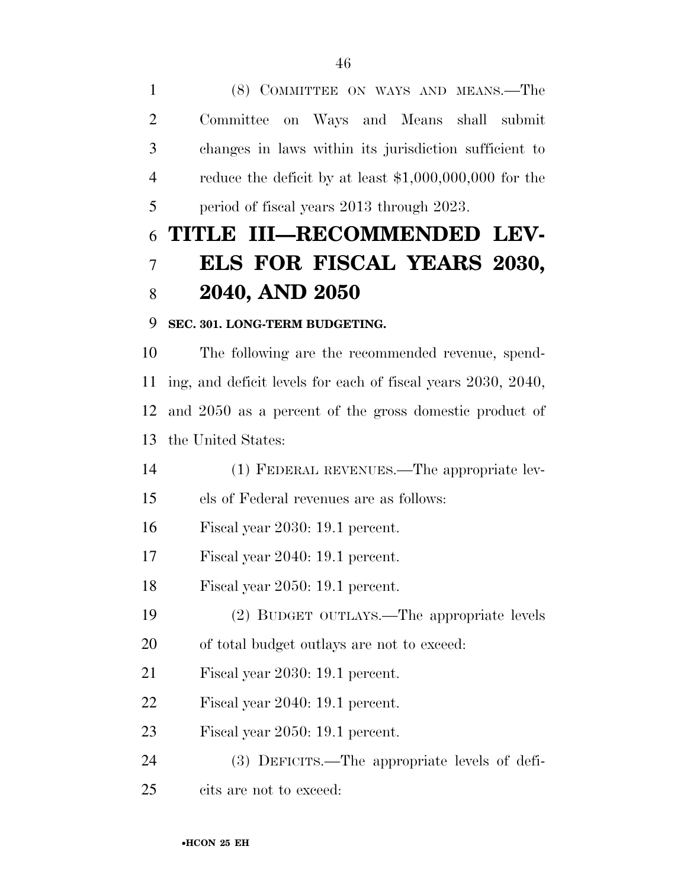(8) COMMITTEE ON WAYS AND MEANS.—The Committee on Ways and Means shall submit changes in laws within its jurisdiction sufficient to reduce the deficit by at least \$1,000,000,000 for the period of fiscal years 2013 through 2023.

# **TITLE III—RECOMMENDED LEV- ELS FOR FISCAL YEARS 2030, 2040, AND 2050**

### **SEC. 301. LONG-TERM BUDGETING.**

 The following are the recommended revenue, spend- ing, and deficit levels for each of fiscal years 2030, 2040, and 2050 as a percent of the gross domestic product of the United States:

(1) FEDERAL REVENUES.—The appropriate lev-

els of Federal revenues are as follows:

Fiscal year 2030: 19.1 percent.

Fiscal year 2040: 19.1 percent.

Fiscal year 2050: 19.1 percent.

(2) BUDGET OUTLAYS.—The appropriate levels

of total budget outlays are not to exceed:

Fiscal year 2030: 19.1 percent.

Fiscal year 2040: 19.1 percent.

Fiscal year 2050: 19.1 percent.

(3) DEFICITS.—The appropriate levels of defi-

cits are not to exceed: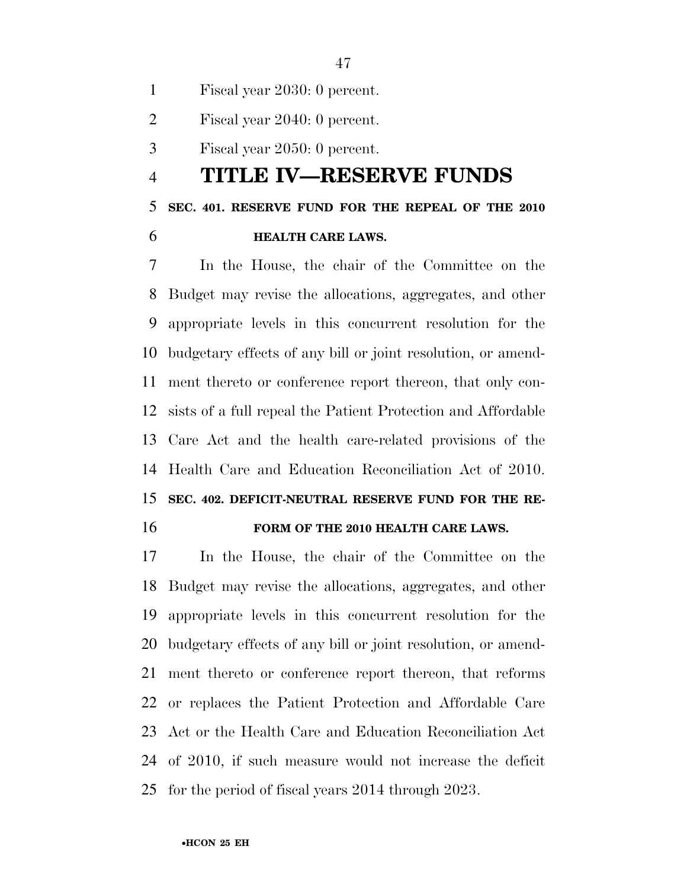Fiscal year 2030: 0 percent.

Fiscal year 2040: 0 percent.

Fiscal year 2050: 0 percent.

### **TITLE IV—RESERVE FUNDS**

#### **SEC. 401. RESERVE FUND FOR THE REPEAL OF THE 2010**

**HEALTH CARE LAWS.** 

 In the House, the chair of the Committee on the Budget may revise the allocations, aggregates, and other appropriate levels in this concurrent resolution for the budgetary effects of any bill or joint resolution, or amend- ment thereto or conference report thereon, that only con- sists of a full repeal the Patient Protection and Affordable Care Act and the health care-related provisions of the Health Care and Education Reconciliation Act of 2010. **SEC. 402. DEFICIT-NEUTRAL RESERVE FUND FOR THE RE-**

#### **FORM OF THE 2010 HEALTH CARE LAWS.**

 In the House, the chair of the Committee on the Budget may revise the allocations, aggregates, and other appropriate levels in this concurrent resolution for the budgetary effects of any bill or joint resolution, or amend- ment thereto or conference report thereon, that reforms or replaces the Patient Protection and Affordable Care Act or the Health Care and Education Reconciliation Act of 2010, if such measure would not increase the deficit for the period of fiscal years 2014 through 2023.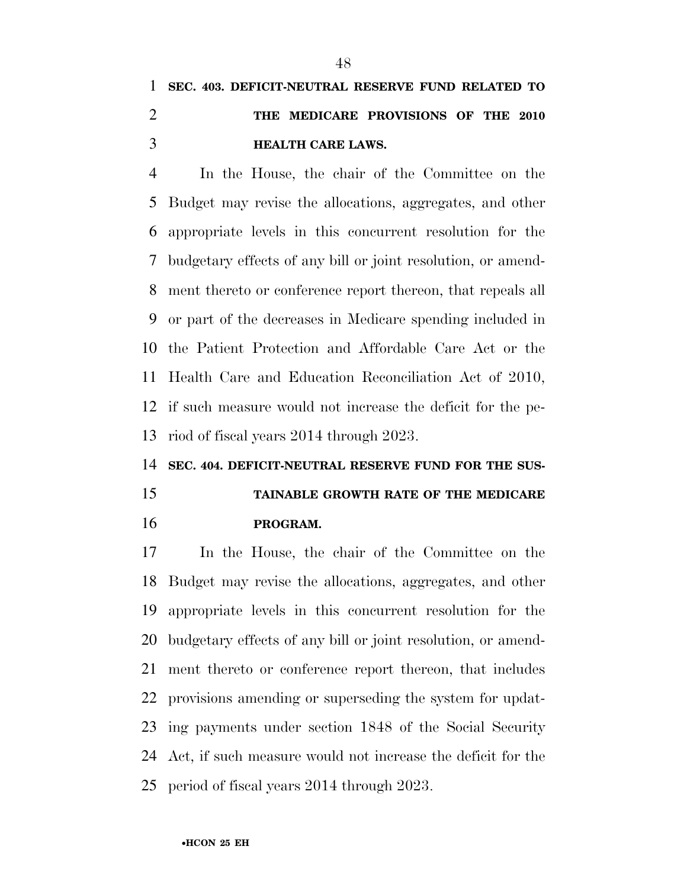## **SEC. 403. DEFICIT-NEUTRAL RESERVE FUND RELATED TO THE MEDICARE PROVISIONS OF THE 2010 HEALTH CARE LAWS.**

 In the House, the chair of the Committee on the Budget may revise the allocations, aggregates, and other appropriate levels in this concurrent resolution for the budgetary effects of any bill or joint resolution, or amend- ment thereto or conference report thereon, that repeals all or part of the decreases in Medicare spending included in the Patient Protection and Affordable Care Act or the Health Care and Education Reconciliation Act of 2010, if such measure would not increase the deficit for the pe-riod of fiscal years 2014 through 2023.

#### **SEC. 404. DEFICIT-NEUTRAL RESERVE FUND FOR THE SUS-**

## **TAINABLE GROWTH RATE OF THE MEDICARE PROGRAM.**

 In the House, the chair of the Committee on the Budget may revise the allocations, aggregates, and other appropriate levels in this concurrent resolution for the budgetary effects of any bill or joint resolution, or amend- ment thereto or conference report thereon, that includes provisions amending or superseding the system for updat- ing payments under section 1848 of the Social Security Act, if such measure would not increase the deficit for the period of fiscal years 2014 through 2023.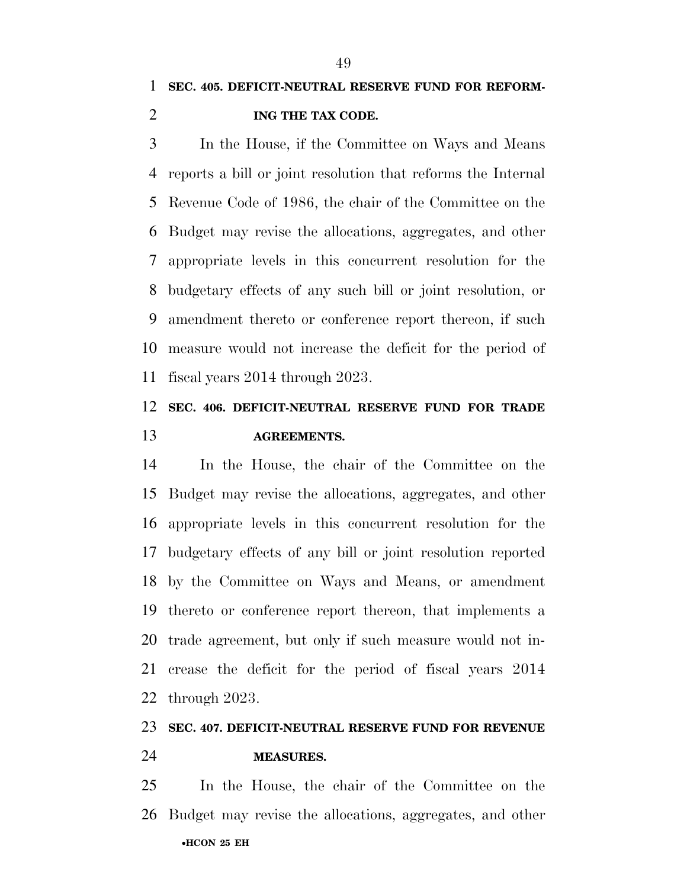In the House, if the Committee on Ways and Means reports a bill or joint resolution that reforms the Internal Revenue Code of 1986, the chair of the Committee on the Budget may revise the allocations, aggregates, and other appropriate levels in this concurrent resolution for the budgetary effects of any such bill or joint resolution, or amendment thereto or conference report thereon, if such measure would not increase the deficit for the period of fiscal years 2014 through 2023.

## **SEC. 406. DEFICIT-NEUTRAL RESERVE FUND FOR TRADE AGREEMENTS.**

 In the House, the chair of the Committee on the Budget may revise the allocations, aggregates, and other appropriate levels in this concurrent resolution for the budgetary effects of any bill or joint resolution reported by the Committee on Ways and Means, or amendment thereto or conference report thereon, that implements a trade agreement, but only if such measure would not in- crease the deficit for the period of fiscal years 2014 through 2023.

## **SEC. 407. DEFICIT-NEUTRAL RESERVE FUND FOR REVENUE**

### **MEASURES.**

•**HCON 25 EH**  In the House, the chair of the Committee on the Budget may revise the allocations, aggregates, and other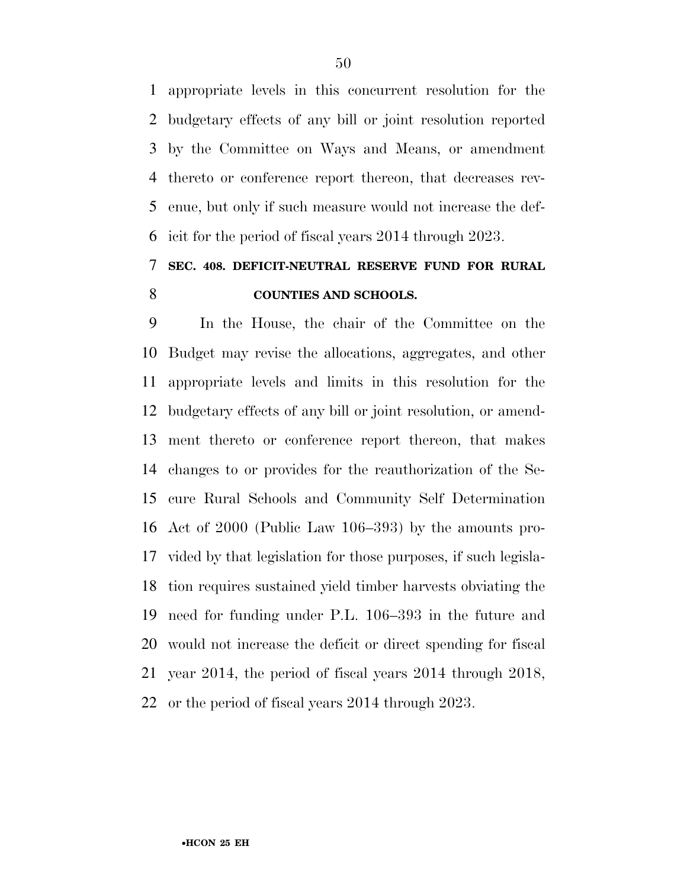appropriate levels in this concurrent resolution for the budgetary effects of any bill or joint resolution reported by the Committee on Ways and Means, or amendment thereto or conference report thereon, that decreases rev- enue, but only if such measure would not increase the def-icit for the period of fiscal years 2014 through 2023.

### **SEC. 408. DEFICIT-NEUTRAL RESERVE FUND FOR RURAL COUNTIES AND SCHOOLS.**

 In the House, the chair of the Committee on the Budget may revise the allocations, aggregates, and other appropriate levels and limits in this resolution for the budgetary effects of any bill or joint resolution, or amend- ment thereto or conference report thereon, that makes changes to or provides for the reauthorization of the Se- cure Rural Schools and Community Self Determination Act of 2000 (Public Law 106–393) by the amounts pro- vided by that legislation for those purposes, if such legisla- tion requires sustained yield timber harvests obviating the need for funding under P.L. 106–393 in the future and would not increase the deficit or direct spending for fiscal year 2014, the period of fiscal years 2014 through 2018, or the period of fiscal years 2014 through 2023.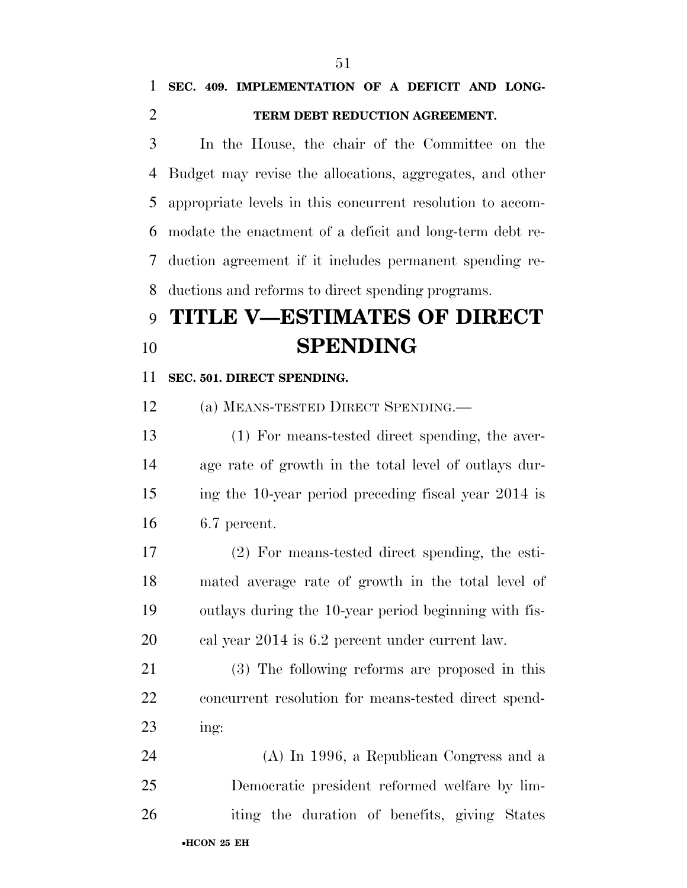### **SEC. 409. IMPLEMENTATION OF A DEFICIT AND LONG-TERM DEBT REDUCTION AGREEMENT.**

 In the House, the chair of the Committee on the Budget may revise the allocations, aggregates, and other appropriate levels in this concurrent resolution to accom- modate the enactment of a deficit and long-term debt re- duction agreement if it includes permanent spending re-ductions and reforms to direct spending programs.

# **TITLE V—ESTIMATES OF DIRECT SPENDING**

#### **SEC. 501. DIRECT SPENDING.**

(a) MEANS-TESTED DIRECT SPENDING.—

 (1) For means-tested direct spending, the aver- age rate of growth in the total level of outlays dur- ing the 10-year period preceding fiscal year 2014 is 6.7 percent.

 (2) For means-tested direct spending, the esti- mated average rate of growth in the total level of outlays during the 10-year period beginning with fis-cal year 2014 is 6.2 percent under current law.

 (3) The following reforms are proposed in this concurrent resolution for means-tested direct spend-ing:

•**HCON 25 EH**  (A) In 1996, a Republican Congress and a Democratic president reformed welfare by lim-iting the duration of benefits, giving States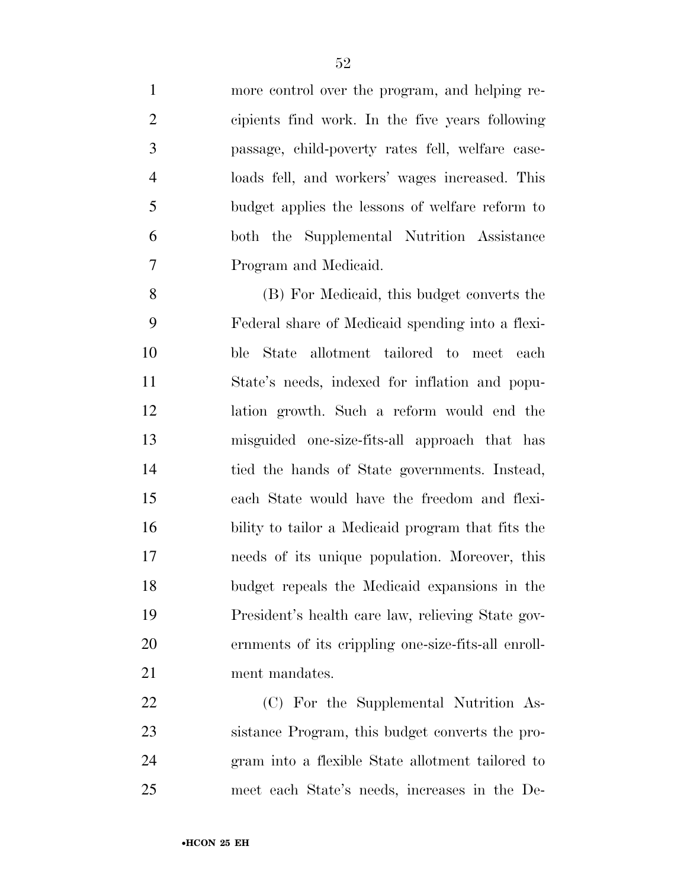more control over the program, and helping re- cipients find work. In the five years following passage, child-poverty rates fell, welfare case- loads fell, and workers' wages increased. This budget applies the lessons of welfare reform to both the Supplemental Nutrition Assistance Program and Medicaid.

 (B) For Medicaid, this budget converts the Federal share of Medicaid spending into a flexi- ble State allotment tailored to meet each State's needs, indexed for inflation and popu- lation growth. Such a reform would end the misguided one-size-fits-all approach that has tied the hands of State governments. Instead, each State would have the freedom and flexi- bility to tailor a Medicaid program that fits the needs of its unique population. Moreover, this budget repeals the Medicaid expansions in the President's health care law, relieving State gov- ernments of its crippling one-size-fits-all enroll-21 ment mandates.

 (C) For the Supplemental Nutrition As- sistance Program, this budget converts the pro- gram into a flexible State allotment tailored to meet each State's needs, increases in the De-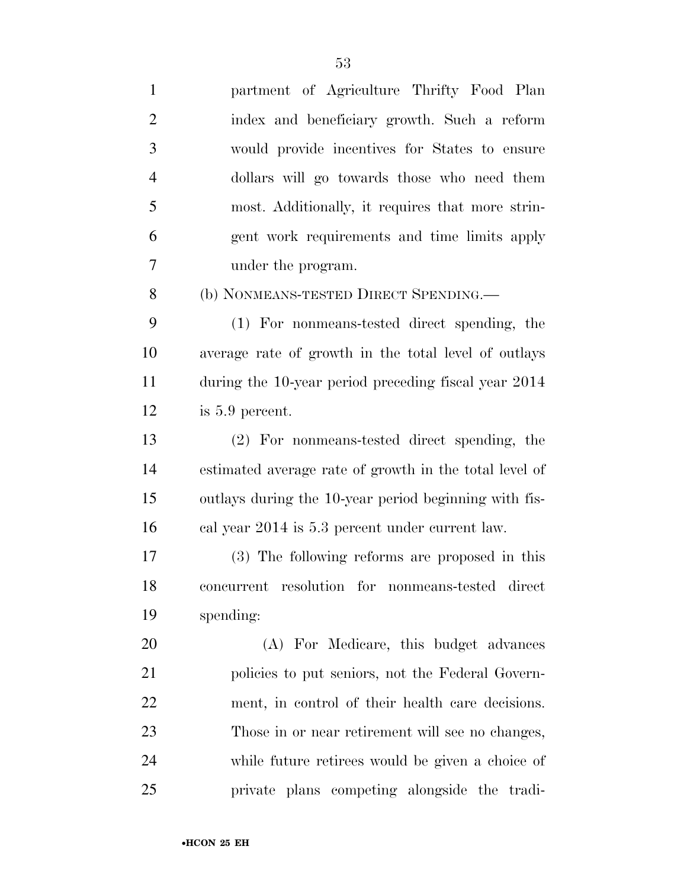| $\mathbf{1}$   | partment of Agriculture Thrifty Food Plan              |
|----------------|--------------------------------------------------------|
| $\overline{2}$ | index and beneficiary growth. Such a reform            |
| 3              | would provide incentives for States to ensure          |
| $\overline{4}$ | dollars will go towards those who need them            |
| 5              | most. Additionally, it requires that more strin-       |
| 6              | gent work requirements and time limits apply           |
| 7              | under the program.                                     |
| 8              | (b) NONMEANS-TESTED DIRECT SPENDING.—                  |
| 9              | (1) For nonmeans-tested direct spending, the           |
| 10             | average rate of growth in the total level of outlays   |
| 11             | during the 10-year period preceding fiscal year 2014   |
| 12             | is 5.9 percent.                                        |
| 13             | (2) For nonmeans-tested direct spending, the           |
| 14             | estimated average rate of growth in the total level of |
| 15             | outlays during the 10-year period beginning with fis-  |
| 16             | cal year 2014 is 5.3 percent under current law.        |
| 17             | (3) The following reforms are proposed in this         |
| 18             | concurrent resolution for nonmeans-tested direct       |
| 19             | spending:                                              |
| 20             | (A) For Medicare, this budget advances                 |
| 21             | policies to put seniors, not the Federal Govern-       |
| 22             | ment, in control of their health care decisions.       |
| 23             | Those in or near retirement will see no changes,       |
| 24             | while future retirees would be given a choice of       |
| 25             | private plans competing alongside the tradi-           |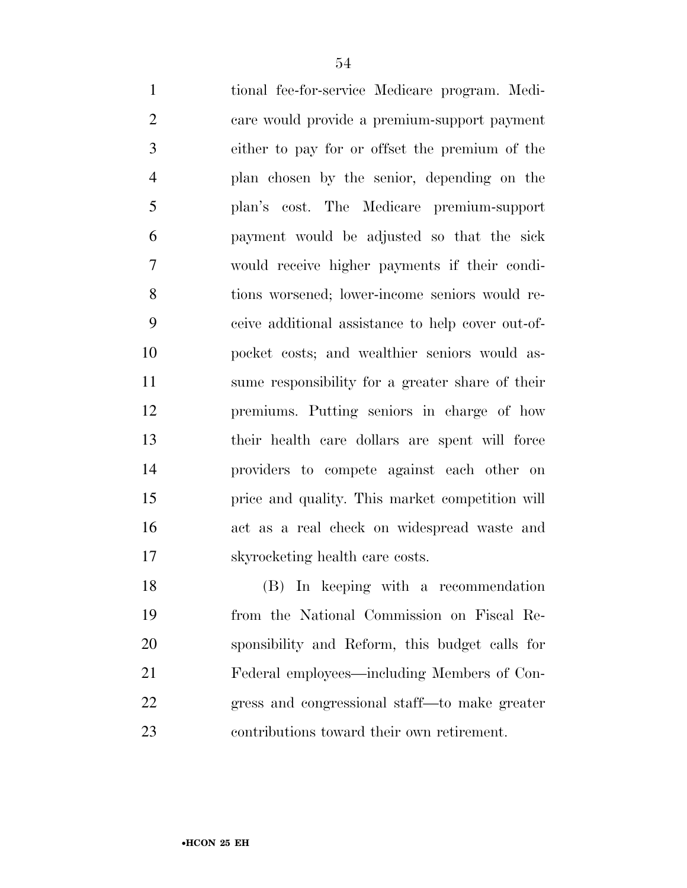tional fee-for-service Medicare program. Medi- care would provide a premium-support payment either to pay for or offset the premium of the plan chosen by the senior, depending on the plan's cost. The Medicare premium-support payment would be adjusted so that the sick would receive higher payments if their condi- tions worsened; lower-income seniors would re- ceive additional assistance to help cover out-of- pocket costs; and wealthier seniors would as- sume responsibility for a greater share of their premiums. Putting seniors in charge of how their health care dollars are spent will force providers to compete against each other on price and quality. This market competition will act as a real check on widespread waste and skyrocketing health care costs.

 (B) In keeping with a recommendation from the National Commission on Fiscal Re- sponsibility and Reform, this budget calls for Federal employees—including Members of Con- gress and congressional staff—to make greater contributions toward their own retirement.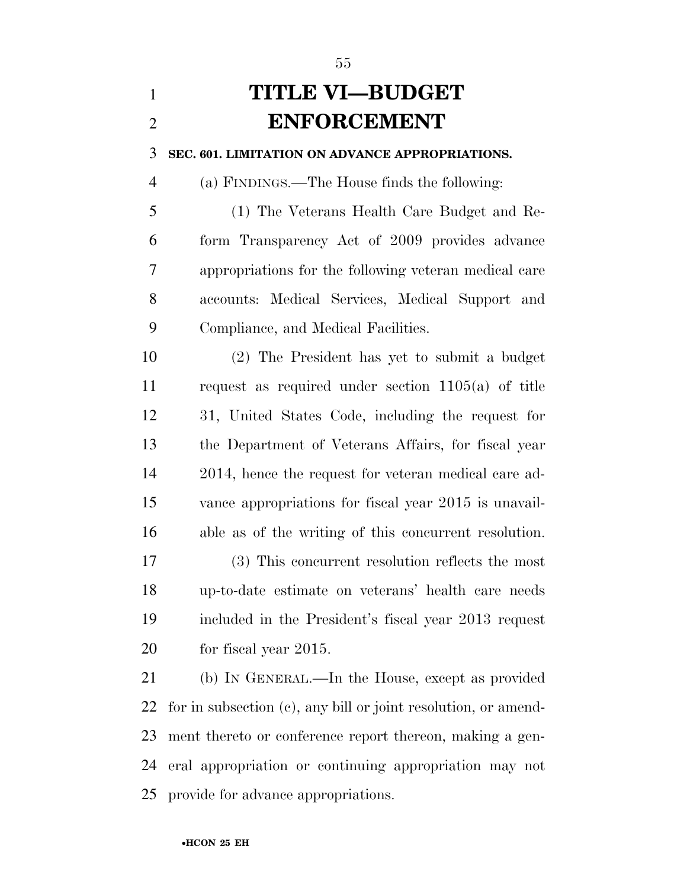## **TITLE VI—BUDGET ENFORCEMENT**

**SEC. 601. LIMITATION ON ADVANCE APPROPRIATIONS.** 

(a) FINDINGS.—The House finds the following:

 (1) The Veterans Health Care Budget and Re- form Transparency Act of 2009 provides advance appropriations for the following veteran medical care accounts: Medical Services, Medical Support and Compliance, and Medical Facilities.

 (2) The President has yet to submit a budget request as required under section 1105(a) of title 31, United States Code, including the request for the Department of Veterans Affairs, for fiscal year 2014, hence the request for veteran medical care ad- vance appropriations for fiscal year 2015 is unavail-able as of the writing of this concurrent resolution.

 (3) This concurrent resolution reflects the most up-to-date estimate on veterans' health care needs included in the President's fiscal year 2013 request for fiscal year 2015.

 (b) IN GENERAL.—In the House, except as provided for in subsection (c), any bill or joint resolution, or amend- ment thereto or conference report thereon, making a gen- eral appropriation or continuing appropriation may not provide for advance appropriations.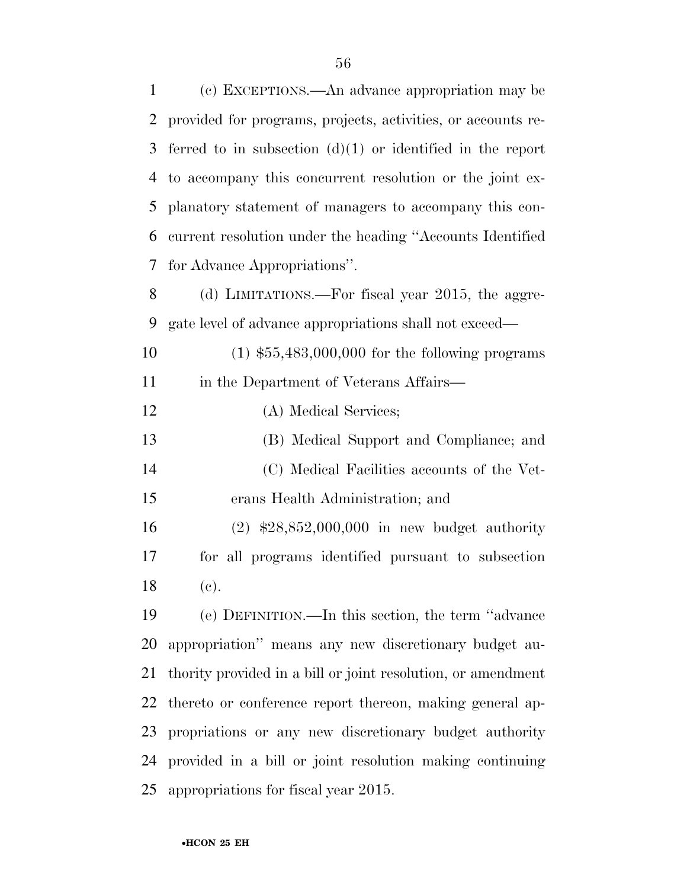| 1  | (c) EXCEPTIONS.—An advance appropriation may be              |
|----|--------------------------------------------------------------|
| 2  | provided for programs, projects, activities, or accounts re- |
| 3  | ferred to in subsection $(d)(1)$ or identified in the report |
| 4  | to accompany this concurrent resolution or the joint ex-     |
| 5  | planatory statement of managers to accompany this con-       |
| 6  | current resolution under the heading "Accounts Identified"   |
| 7  | for Advance Appropriations".                                 |
| 8  | (d) LIMITATIONS.—For fiscal year 2015, the aggre-            |
| 9  | gate level of advance appropriations shall not exceed—       |
| 10 | $(1)$ \$55,483,000,000 for the following programs            |
| 11 | in the Department of Veterans Affairs—                       |
| 12 | (A) Medical Services;                                        |
| 13 | (B) Medical Support and Compliance; and                      |
| 14 | (C) Medical Facilities accounts of the Vet-                  |
| 15 | erans Health Administration; and                             |
| 16 | $(2)$ \$28,852,000,000 in new budget authority               |
| 17 | for all programs identified pursuant to subsection           |
| 18 | (e).                                                         |
| 19 | (e) DEFINITION.—In this section, the term "advance"          |
| 20 | appropriation" means any new discretionary budget au-        |
| 21 | thority provided in a bill or joint resolution, or amendment |
| 22 | thereto or conference report thereon, making general ap-     |
| 23 | propriations or any new discretionary budget authority       |
| 24 | provided in a bill or joint resolution making continuing     |
| 25 | appropriations for fiscal year 2015.                         |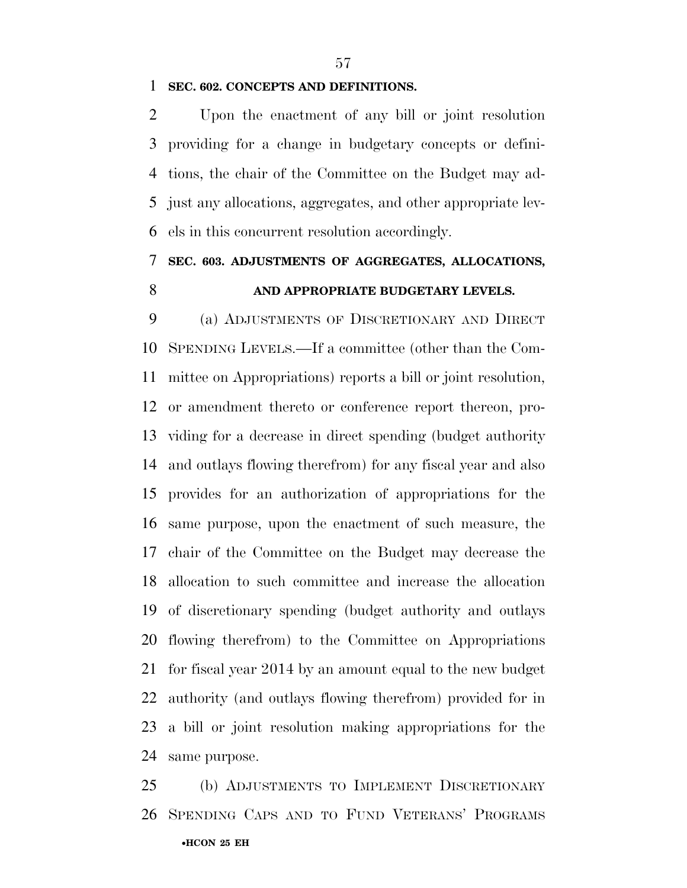#### **SEC. 602. CONCEPTS AND DEFINITIONS.**

 Upon the enactment of any bill or joint resolution providing for a change in budgetary concepts or defini- tions, the chair of the Committee on the Budget may ad- just any allocations, aggregates, and other appropriate lev-els in this concurrent resolution accordingly.

### **SEC. 603. ADJUSTMENTS OF AGGREGATES, ALLOCATIONS, AND APPROPRIATE BUDGETARY LEVELS.**

 (a) ADJUSTMENTS OF DISCRETIONARY AND DIRECT SPENDING LEVELS.—If a committee (other than the Com- mittee on Appropriations) reports a bill or joint resolution, or amendment thereto or conference report thereon, pro- viding for a decrease in direct spending (budget authority and outlays flowing therefrom) for any fiscal year and also provides for an authorization of appropriations for the same purpose, upon the enactment of such measure, the chair of the Committee on the Budget may decrease the allocation to such committee and increase the allocation of discretionary spending (budget authority and outlays flowing therefrom) to the Committee on Appropriations for fiscal year 2014 by an amount equal to the new budget authority (and outlays flowing therefrom) provided for in a bill or joint resolution making appropriations for the same purpose.

•**HCON 25 EH**  (b) ADJUSTMENTS TO IMPLEMENT DISCRETIONARY SPENDING CAPS AND TO FUND VETERANS' PROGRAMS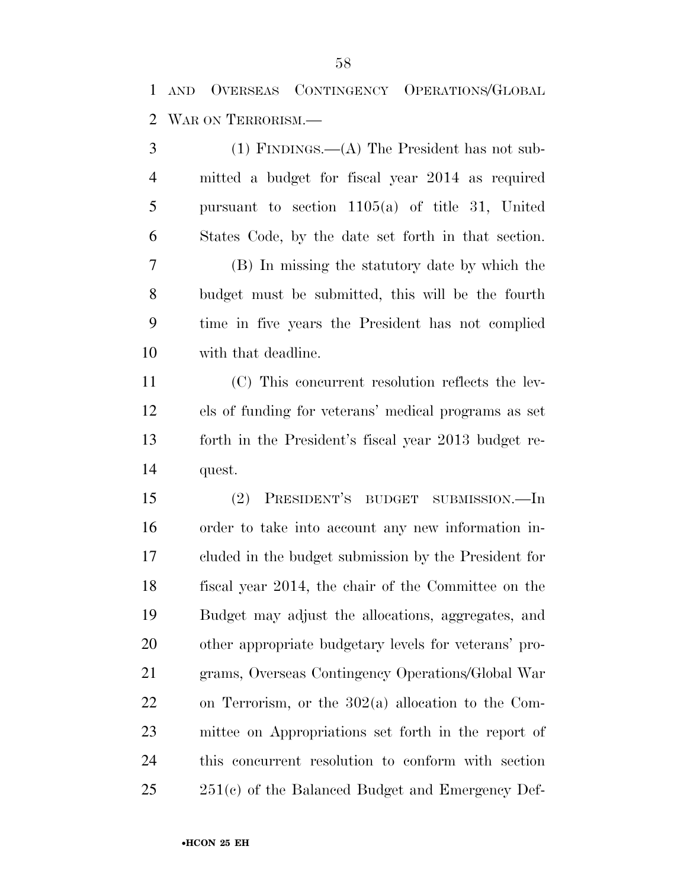AND OVERSEAS CONTINGENCY OPERATIONS/GLOBAL WAR ON TERRORISM.—

 (1) FINDINGS.—(A) The President has not sub- mitted a budget for fiscal year 2014 as required pursuant to section 1105(a) of title 31, United States Code, by the date set forth in that section. (B) In missing the statutory date by which the budget must be submitted, this will be the fourth time in five years the President has not complied with that deadline. (C) This concurrent resolution reflects the lev- els of funding for veterans' medical programs as set forth in the President's fiscal year 2013 budget re- quest. (2) PRESIDENT'S BUDGET SUBMISSION.—In order to take into account any new information in- cluded in the budget submission by the President for fiscal year 2014, the chair of the Committee on the Budget may adjust the allocations, aggregates, and other appropriate budgetary levels for veterans' pro- grams, Overseas Contingency Operations/Global War on Terrorism, or the 302(a) allocation to the Com- mittee on Appropriations set forth in the report of this concurrent resolution to conform with section 251(c) of the Balanced Budget and Emergency Def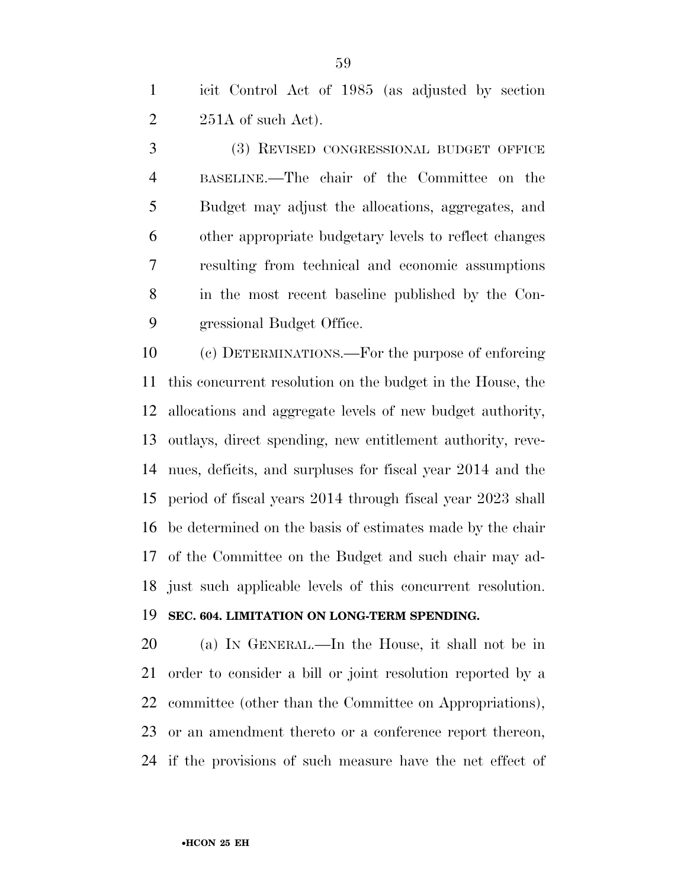icit Control Act of 1985 (as adjusted by section  $2\qquad 251A$  of such Act).

 (3) REVISED CONGRESSIONAL BUDGET OFFICE BASELINE.—The chair of the Committee on the Budget may adjust the allocations, aggregates, and other appropriate budgetary levels to reflect changes resulting from technical and economic assumptions in the most recent baseline published by the Con-gressional Budget Office.

 (c) DETERMINATIONS.—For the purpose of enforcing this concurrent resolution on the budget in the House, the allocations and aggregate levels of new budget authority, outlays, direct spending, new entitlement authority, reve- nues, deficits, and surpluses for fiscal year 2014 and the period of fiscal years 2014 through fiscal year 2023 shall be determined on the basis of estimates made by the chair of the Committee on the Budget and such chair may ad-just such applicable levels of this concurrent resolution.

### **SEC. 604. LIMITATION ON LONG-TERM SPENDING.**

 (a) IN GENERAL.—In the House, it shall not be in order to consider a bill or joint resolution reported by a committee (other than the Committee on Appropriations), or an amendment thereto or a conference report thereon, if the provisions of such measure have the net effect of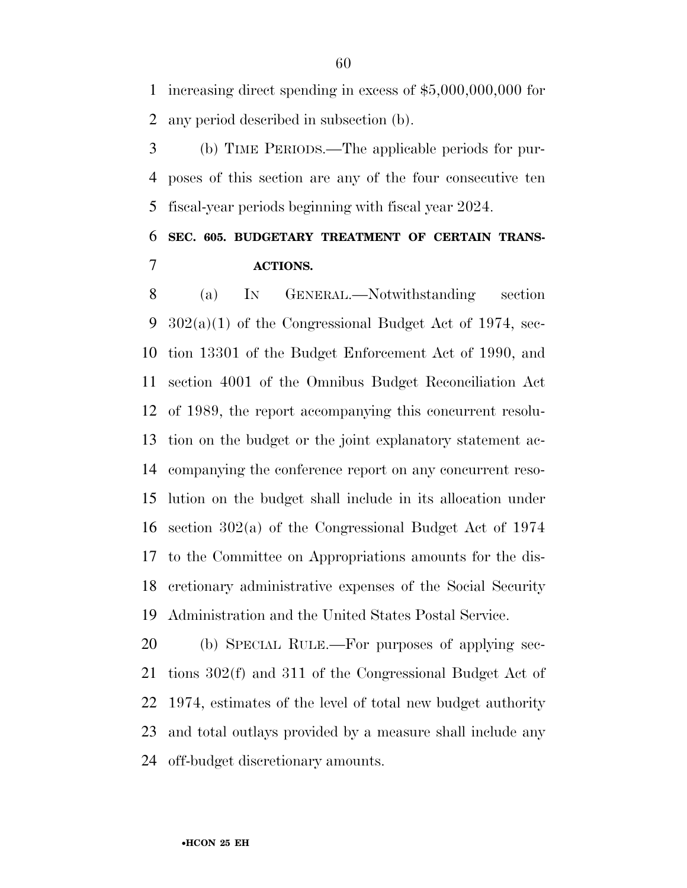increasing direct spending in excess of \$5,000,000,000 for any period described in subsection (b).

 (b) TIME PERIODS.—The applicable periods for pur- poses of this section are any of the four consecutive ten fiscal-year periods beginning with fiscal year 2024.

### **SEC. 605. BUDGETARY TREATMENT OF CERTAIN TRANS-ACTIONS.**

 (a) IN GENERAL.—Notwithstanding section 302(a)(1) of the Congressional Budget Act of 1974, sec- tion 13301 of the Budget Enforcement Act of 1990, and section 4001 of the Omnibus Budget Reconciliation Act of 1989, the report accompanying this concurrent resolu- tion on the budget or the joint explanatory statement ac- companying the conference report on any concurrent reso- lution on the budget shall include in its allocation under section 302(a) of the Congressional Budget Act of 1974 to the Committee on Appropriations amounts for the dis- cretionary administrative expenses of the Social Security Administration and the United States Postal Service.

 (b) SPECIAL RULE.—For purposes of applying sec- tions 302(f) and 311 of the Congressional Budget Act of 1974, estimates of the level of total new budget authority and total outlays provided by a measure shall include any off-budget discretionary amounts.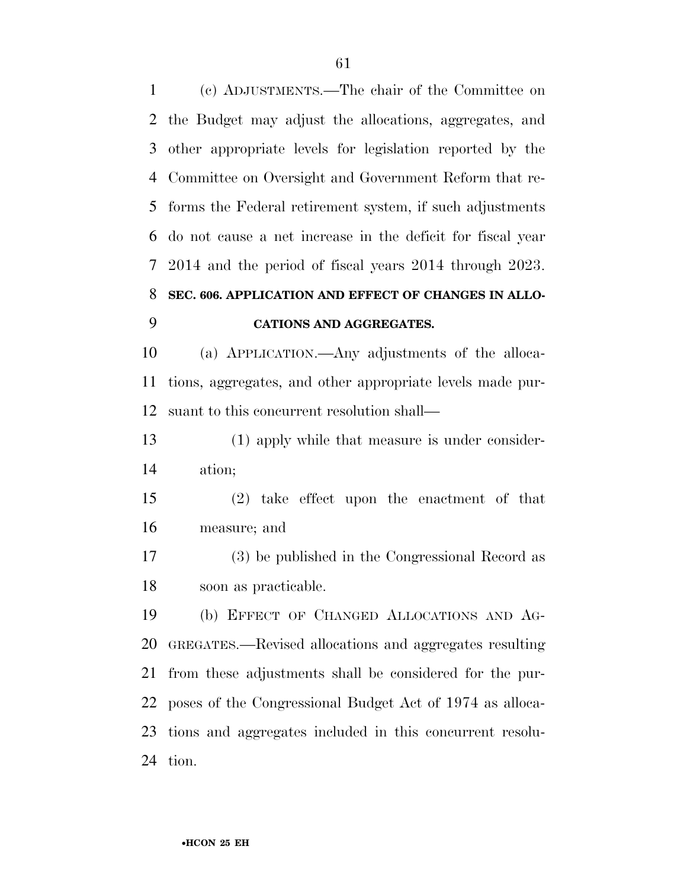(c) ADJUSTMENTS.—The chair of the Committee on the Budget may adjust the allocations, aggregates, and other appropriate levels for legislation reported by the Committee on Oversight and Government Reform that re- forms the Federal retirement system, if such adjustments do not cause a net increase in the deficit for fiscal year 2014 and the period of fiscal years 2014 through 2023. **SEC. 606. APPLICATION AND EFFECT OF CHANGES IN ALLO-**

### **CATIONS AND AGGREGATES.**

 (a) APPLICATION.—Any adjustments of the alloca- tions, aggregates, and other appropriate levels made pur-suant to this concurrent resolution shall—

 (1) apply while that measure is under consider-ation;

 (2) take effect upon the enactment of that measure; and

 (3) be published in the Congressional Record as soon as practicable.

 (b) EFFECT OF CHANGED ALLOCATIONS AND AG- GREGATES.—Revised allocations and aggregates resulting from these adjustments shall be considered for the pur- poses of the Congressional Budget Act of 1974 as alloca- tions and aggregates included in this concurrent resolu-tion.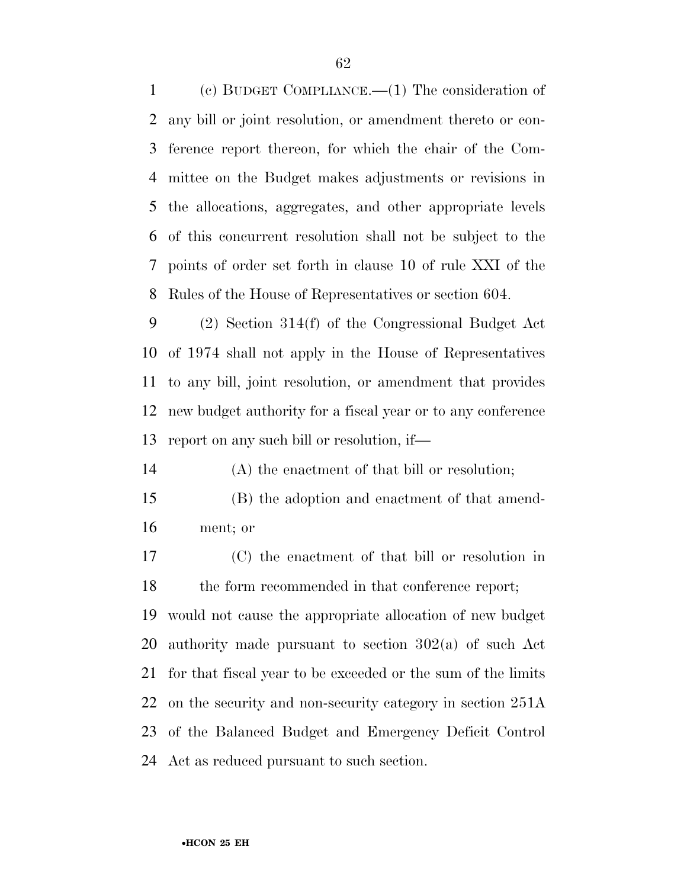(c) BUDGET COMPLIANCE.—(1) The consideration of any bill or joint resolution, or amendment thereto or con- ference report thereon, for which the chair of the Com- mittee on the Budget makes adjustments or revisions in the allocations, aggregates, and other appropriate levels of this concurrent resolution shall not be subject to the points of order set forth in clause 10 of rule XXI of the Rules of the House of Representatives or section 604.

 (2) Section 314(f) of the Congressional Budget Act of 1974 shall not apply in the House of Representatives to any bill, joint resolution, or amendment that provides new budget authority for a fiscal year or to any conference report on any such bill or resolution, if—

(A) the enactment of that bill or resolution;

- (B) the adoption and enactment of that amend-ment; or
- (C) the enactment of that bill or resolution in 18 the form recommended in that conference report;

 would not cause the appropriate allocation of new budget authority made pursuant to section 302(a) of such Act for that fiscal year to be exceeded or the sum of the limits on the security and non-security category in section 251A of the Balanced Budget and Emergency Deficit Control Act as reduced pursuant to such section.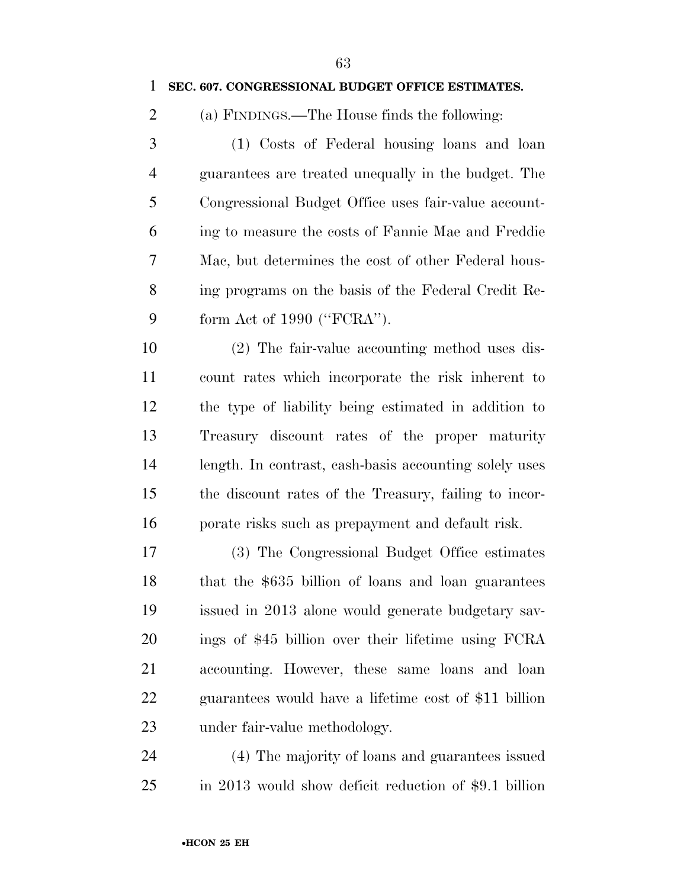#### **SEC. 607. CONGRESSIONAL BUDGET OFFICE ESTIMATES.**

(a) FINDINGS.—The House finds the following:

 (1) Costs of Federal housing loans and loan guarantees are treated unequally in the budget. The Congressional Budget Office uses fair-value account- ing to measure the costs of Fannie Mae and Freddie Mac, but determines the cost of other Federal hous- ing programs on the basis of the Federal Credit Re-form Act of 1990 (''FCRA'').

 (2) The fair-value accounting method uses dis- count rates which incorporate the risk inherent to the type of liability being estimated in addition to Treasury discount rates of the proper maturity length. In contrast, cash-basis accounting solely uses the discount rates of the Treasury, failing to incor-porate risks such as prepayment and default risk.

 (3) The Congressional Budget Office estimates that the \$635 billion of loans and loan guarantees issued in 2013 alone would generate budgetary sav- ings of \$45 billion over their lifetime using FCRA accounting. However, these same loans and loan guarantees would have a lifetime cost of \$11 billion under fair-value methodology.

 (4) The majority of loans and guarantees issued in 2013 would show deficit reduction of \$9.1 billion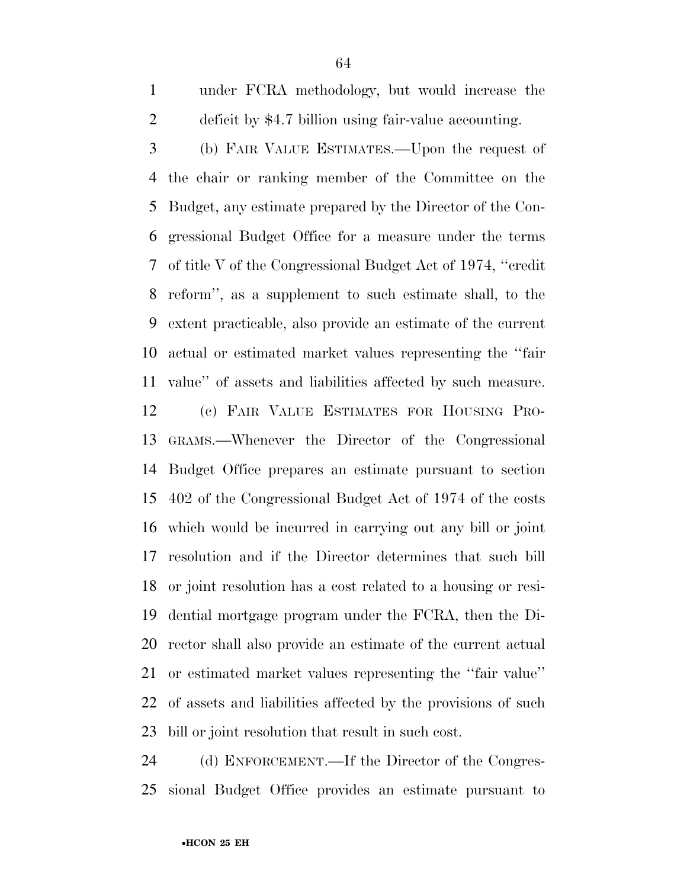under FCRA methodology, but would increase the deficit by \$4.7 billion using fair-value accounting.

 (b) FAIR VALUE ESTIMATES.—Upon the request of the chair or ranking member of the Committee on the Budget, any estimate prepared by the Director of the Con- gressional Budget Office for a measure under the terms of title V of the Congressional Budget Act of 1974, ''credit reform'', as a supplement to such estimate shall, to the extent practicable, also provide an estimate of the current actual or estimated market values representing the ''fair value'' of assets and liabilities affected by such measure.

 (c) FAIR VALUE ESTIMATES FOR HOUSING PRO- GRAMS.—Whenever the Director of the Congressional Budget Office prepares an estimate pursuant to section 402 of the Congressional Budget Act of 1974 of the costs which would be incurred in carrying out any bill or joint resolution and if the Director determines that such bill or joint resolution has a cost related to a housing or resi- dential mortgage program under the FCRA, then the Di- rector shall also provide an estimate of the current actual or estimated market values representing the ''fair value'' of assets and liabilities affected by the provisions of such bill or joint resolution that result in such cost.

 (d) ENFORCEMENT.—If the Director of the Congres-sional Budget Office provides an estimate pursuant to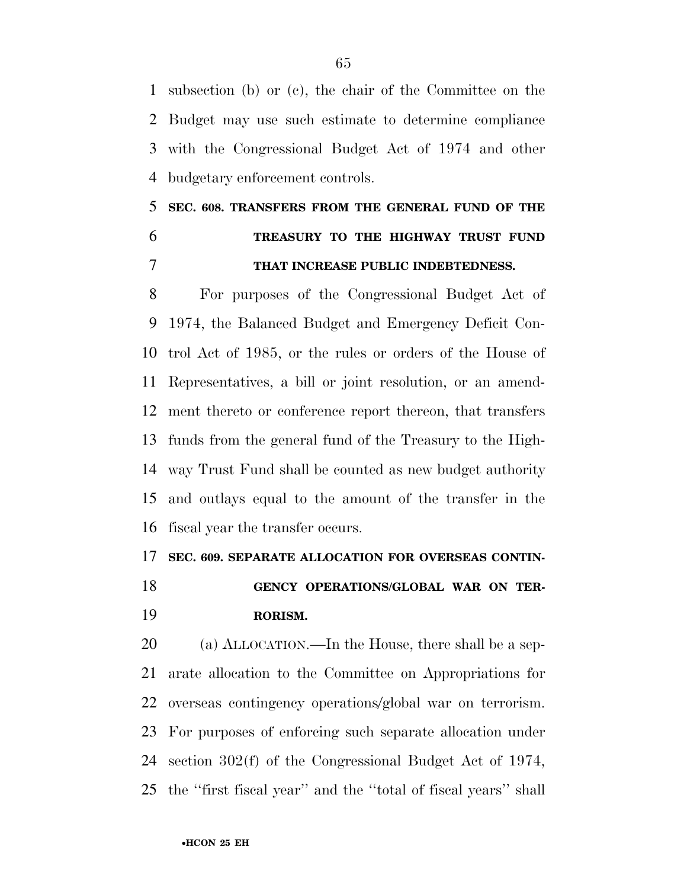subsection (b) or (c), the chair of the Committee on the Budget may use such estimate to determine compliance with the Congressional Budget Act of 1974 and other budgetary enforcement controls.

## **SEC. 608. TRANSFERS FROM THE GENERAL FUND OF THE TREASURY TO THE HIGHWAY TRUST FUND THAT INCREASE PUBLIC INDEBTEDNESS.**

 For purposes of the Congressional Budget Act of 1974, the Balanced Budget and Emergency Deficit Con- trol Act of 1985, or the rules or orders of the House of Representatives, a bill or joint resolution, or an amend- ment thereto or conference report thereon, that transfers funds from the general fund of the Treasury to the High- way Trust Fund shall be counted as new budget authority and outlays equal to the amount of the transfer in the fiscal year the transfer occurs.

#### **SEC. 609. SEPARATE ALLOCATION FOR OVERSEAS CONTIN-**

 **GENCY OPERATIONS/GLOBAL WAR ON TER-RORISM.** 

 (a) ALLOCATION.—In the House, there shall be a sep- arate allocation to the Committee on Appropriations for overseas contingency operations/global war on terrorism. For purposes of enforcing such separate allocation under section 302(f) of the Congressional Budget Act of 1974, the ''first fiscal year'' and the ''total of fiscal years'' shall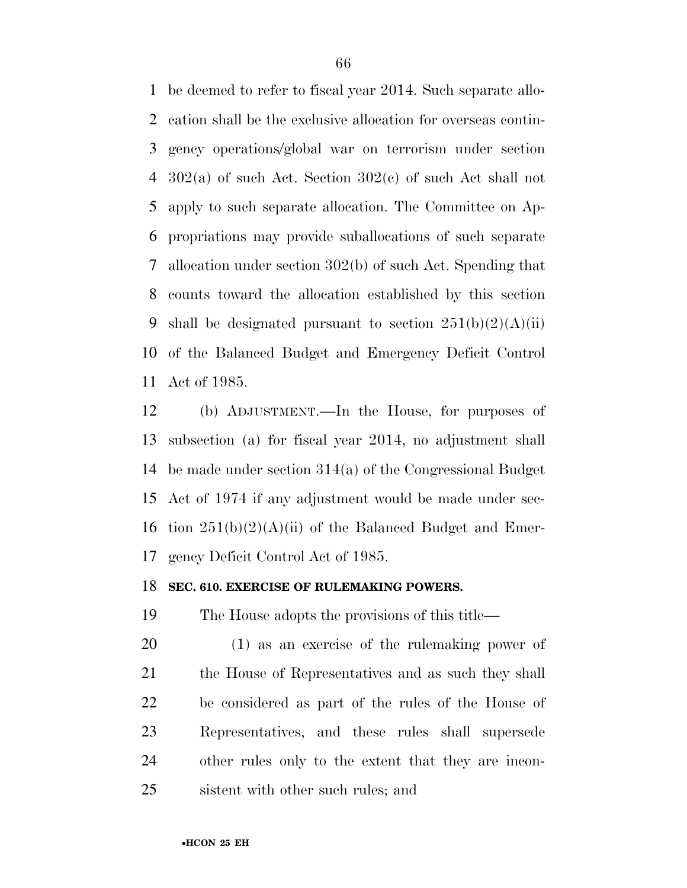be deemed to refer to fiscal year 2014. Such separate allo- cation shall be the exclusive allocation for overseas contin- gency operations/global war on terrorism under section 302(a) of such Act. Section 302(c) of such Act shall not apply to such separate allocation. The Committee on Ap- propriations may provide suballocations of such separate allocation under section 302(b) of such Act. Spending that counts toward the allocation established by this section 9 shall be designated pursuant to section  $251(b)(2)(A)(ii)$  of the Balanced Budget and Emergency Deficit Control Act of 1985.

 (b) ADJUSTMENT.—In the House, for purposes of subsection (a) for fiscal year 2014, no adjustment shall be made under section 314(a) of the Congressional Budget Act of 1974 if any adjustment would be made under sec-16 tion  $251(b)(2)(A)(ii)$  of the Balanced Budget and Emer-gency Deficit Control Act of 1985.

#### **SEC. 610. EXERCISE OF RULEMAKING POWERS.**

The House adopts the provisions of this title—

 (1) as an exercise of the rulemaking power of the House of Representatives and as such they shall be considered as part of the rules of the House of Representatives, and these rules shall supersede other rules only to the extent that they are incon-sistent with other such rules; and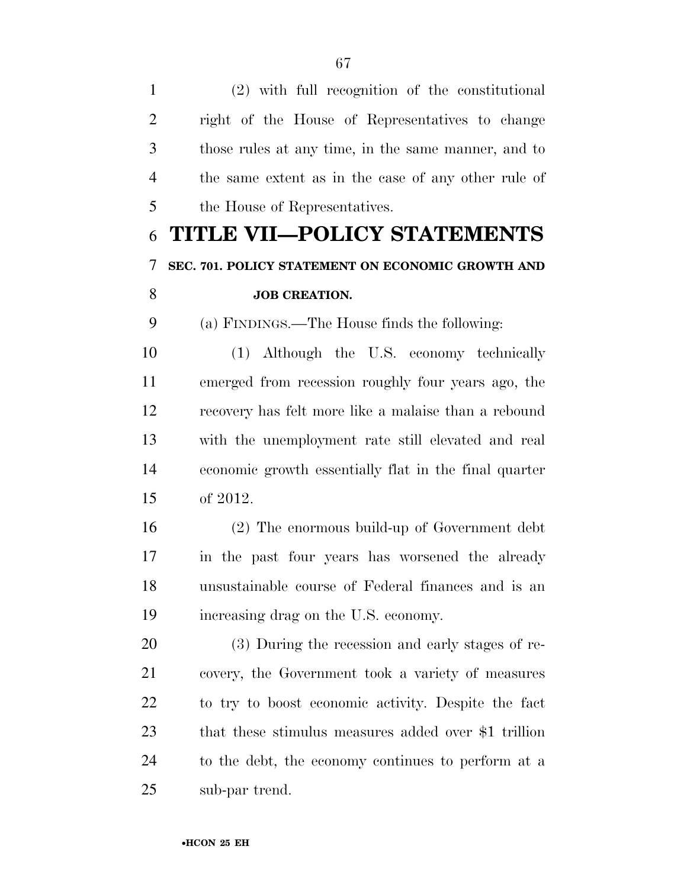(2) with full recognition of the constitutional right of the House of Representatives to change those rules at any time, in the same manner, and to the same extent as in the case of any other rule of the House of Representatives.

# **TITLE VII—POLICY STATEMENTS SEC. 701. POLICY STATEMENT ON ECONOMIC GROWTH AND JOB CREATION.**

(a) FINDINGS.—The House finds the following:

 (1) Although the U.S. economy technically emerged from recession roughly four years ago, the recovery has felt more like a malaise than a rebound with the unemployment rate still elevated and real economic growth essentially flat in the final quarter of 2012.

 (2) The enormous build-up of Government debt in the past four years has worsened the already unsustainable course of Federal finances and is an increasing drag on the U.S. economy.

 (3) During the recession and early stages of re- covery, the Government took a variety of measures to try to boost economic activity. Despite the fact that these stimulus measures added over \$1 trillion to the debt, the economy continues to perform at a sub-par trend.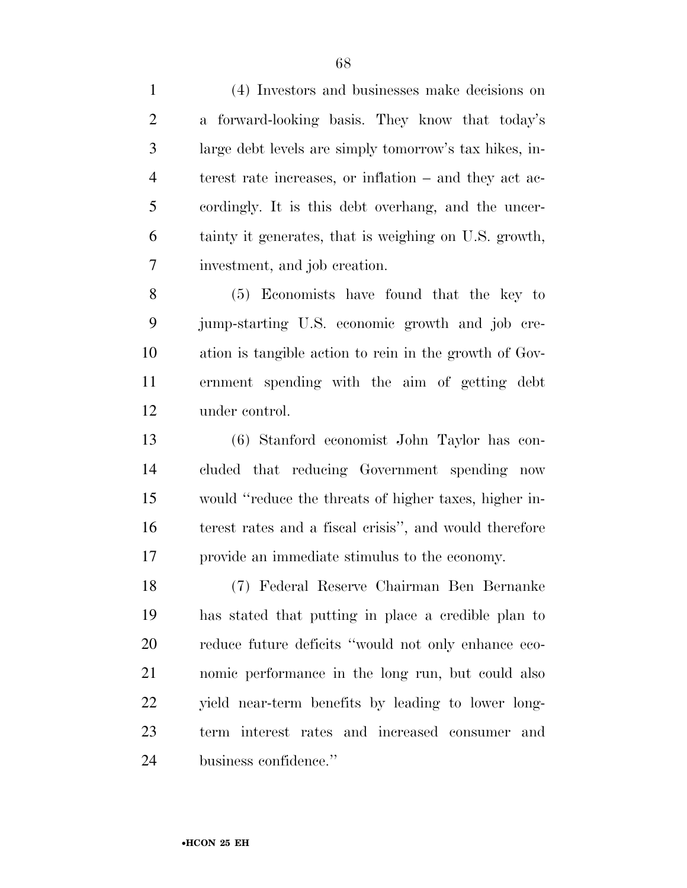(4) Investors and businesses make decisions on a forward-looking basis. They know that today's large debt levels are simply tomorrow's tax hikes, in- terest rate increases, or inflation – and they act ac- cordingly. It is this debt overhang, and the uncer- tainty it generates, that is weighing on U.S. growth, investment, and job creation.

 (5) Economists have found that the key to jump-starting U.S. economic growth and job cre- ation is tangible action to rein in the growth of Gov- ernment spending with the aim of getting debt under control.

 (6) Stanford economist John Taylor has con- cluded that reducing Government spending now would ''reduce the threats of higher taxes, higher in- terest rates and a fiscal crisis'', and would therefore provide an immediate stimulus to the economy.

 (7) Federal Reserve Chairman Ben Bernanke has stated that putting in place a credible plan to reduce future deficits ''would not only enhance eco- nomic performance in the long run, but could also yield near-term benefits by leading to lower long- term interest rates and increased consumer and business confidence.''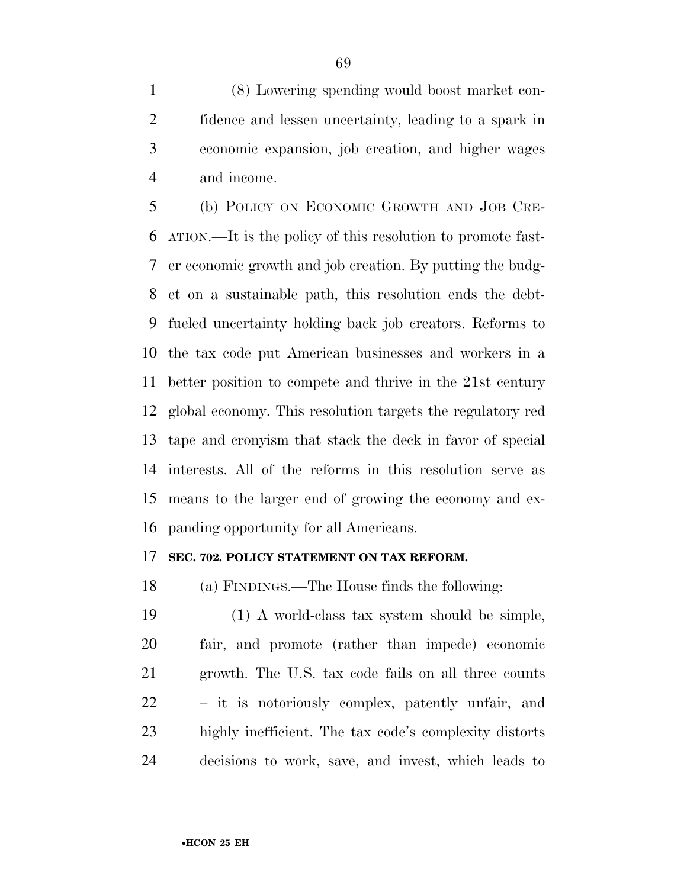(8) Lowering spending would boost market con- fidence and lessen uncertainty, leading to a spark in economic expansion, job creation, and higher wages and income.

 (b) POLICY ON ECONOMIC GROWTH AND JOB CRE- ATION.—It is the policy of this resolution to promote fast- er economic growth and job creation. By putting the budg- et on a sustainable path, this resolution ends the debt- fueled uncertainty holding back job creators. Reforms to the tax code put American businesses and workers in a better position to compete and thrive in the 21st century global economy. This resolution targets the regulatory red tape and cronyism that stack the deck in favor of special interests. All of the reforms in this resolution serve as means to the larger end of growing the economy and ex-panding opportunity for all Americans.

#### **SEC. 702. POLICY STATEMENT ON TAX REFORM.**

(a) FINDINGS.—The House finds the following:

 (1) A world-class tax system should be simple, fair, and promote (rather than impede) economic growth. The U.S. tax code fails on all three counts – it is notoriously complex, patently unfair, and highly inefficient. The tax code's complexity distorts decisions to work, save, and invest, which leads to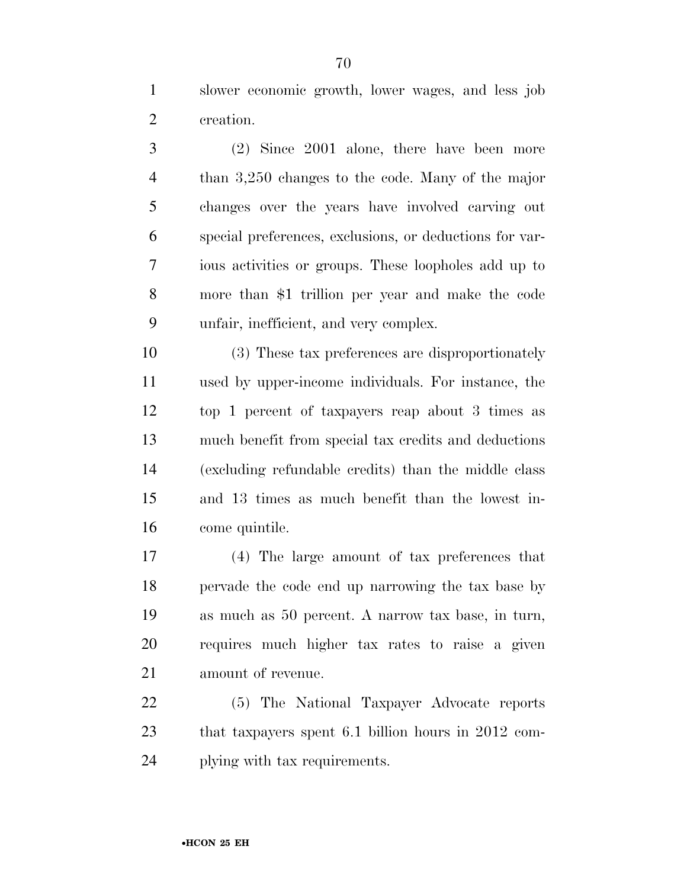slower economic growth, lower wages, and less job creation.

 (2) Since 2001 alone, there have been more than 3,250 changes to the code. Many of the major changes over the years have involved carving out special preferences, exclusions, or deductions for var- ious activities or groups. These loopholes add up to more than \$1 trillion per year and make the code unfair, inefficient, and very complex.

 (3) These tax preferences are disproportionately used by upper-income individuals. For instance, the top 1 percent of taxpayers reap about 3 times as much benefit from special tax credits and deductions (excluding refundable credits) than the middle class and 13 times as much benefit than the lowest in-come quintile.

 (4) The large amount of tax preferences that pervade the code end up narrowing the tax base by as much as 50 percent. A narrow tax base, in turn, requires much higher tax rates to raise a given amount of revenue.

 (5) The National Taxpayer Advocate reports that taxpayers spent 6.1 billion hours in 2012 com-plying with tax requirements.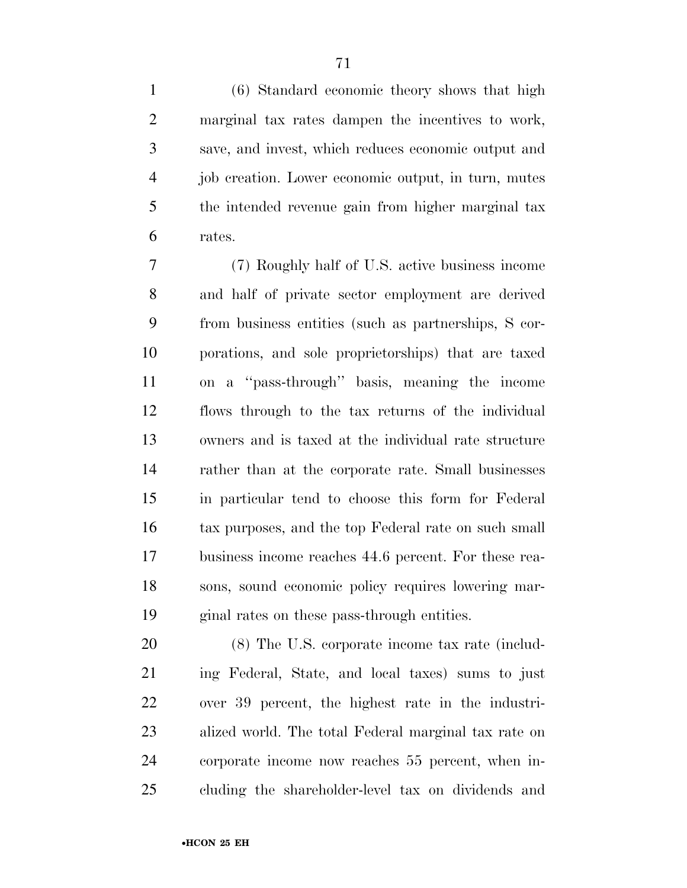(6) Standard economic theory shows that high marginal tax rates dampen the incentives to work, save, and invest, which reduces economic output and job creation. Lower economic output, in turn, mutes the intended revenue gain from higher marginal tax rates.

 (7) Roughly half of U.S. active business income and half of private sector employment are derived from business entities (such as partnerships, S cor- porations, and sole proprietorships) that are taxed on a ''pass-through'' basis, meaning the income flows through to the tax returns of the individual owners and is taxed at the individual rate structure rather than at the corporate rate. Small businesses in particular tend to choose this form for Federal tax purposes, and the top Federal rate on such small business income reaches 44.6 percent. For these rea- sons, sound economic policy requires lowering mar-ginal rates on these pass-through entities.

 (8) The U.S. corporate income tax rate (includ- ing Federal, State, and local taxes) sums to just over 39 percent, the highest rate in the industri- alized world. The total Federal marginal tax rate on corporate income now reaches 55 percent, when in-cluding the shareholder-level tax on dividends and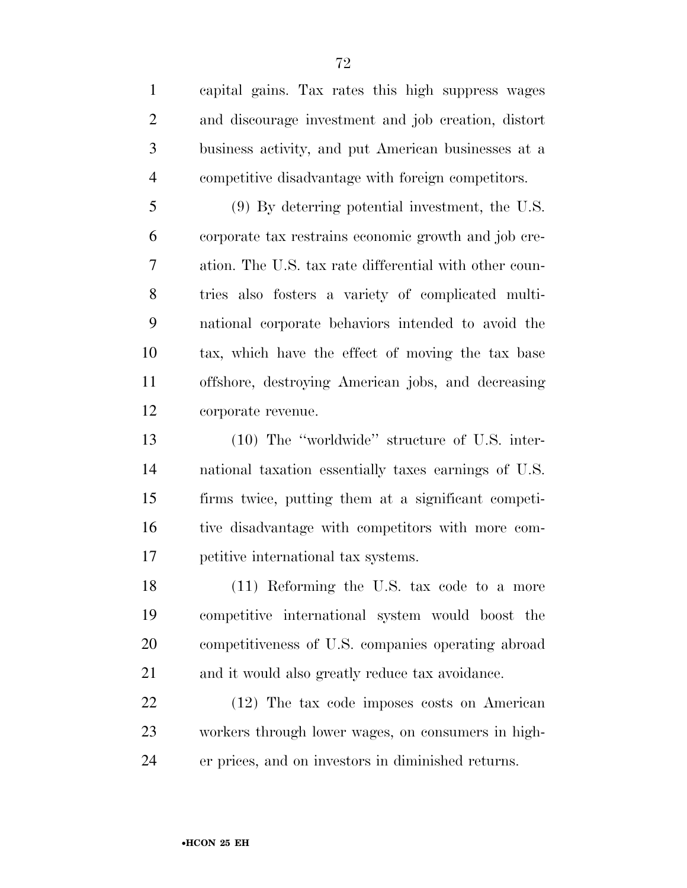capital gains. Tax rates this high suppress wages and discourage investment and job creation, distort business activity, and put American businesses at a competitive disadvantage with foreign competitors.

 (9) By deterring potential investment, the U.S. corporate tax restrains economic growth and job cre- ation. The U.S. tax rate differential with other coun- tries also fosters a variety of complicated multi- national corporate behaviors intended to avoid the tax, which have the effect of moving the tax base offshore, destroying American jobs, and decreasing corporate revenue.

 (10) The ''worldwide'' structure of U.S. inter- national taxation essentially taxes earnings of U.S. firms twice, putting them at a significant competi- tive disadvantage with competitors with more com-petitive international tax systems.

 (11) Reforming the U.S. tax code to a more competitive international system would boost the competitiveness of U.S. companies operating abroad and it would also greatly reduce tax avoidance.

 (12) The tax code imposes costs on American workers through lower wages, on consumers in high-er prices, and on investors in diminished returns.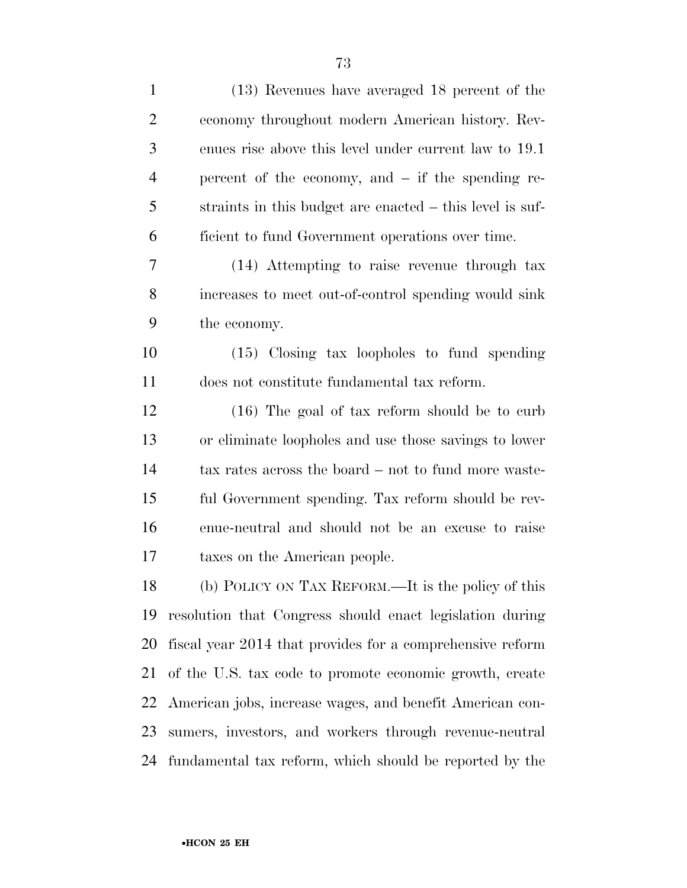| $\mathbf{1}$   | (13) Revenues have averaged 18 percent of the             |
|----------------|-----------------------------------------------------------|
| $\overline{2}$ | economy throughout modern American history. Rev-          |
| 3              | enues rise above this level under current law to 19.1     |
| $\overline{4}$ | percent of the economy, and $-$ if the spending re-       |
| 5              | straints in this budget are enacted – this level is suf-  |
| 6              | ficient to fund Government operations over time.          |
| 7              | (14) Attempting to raise revenue through tax              |
| 8              | increases to meet out-of-control spending would sink      |
| 9              | the economy.                                              |
| 10             | $(15)$ Closing tax loopholes to fund spending             |
| 11             | does not constitute fundamental tax reform.               |
| 12             | $(16)$ The goal of tax reform should be to curb           |
| 13             | or eliminate loopholes and use those savings to lower     |
| 14             | tax rates across the board – not to fund more waste-      |
| 15             | ful Government spending. Tax reform should be rev-        |
| 16             | enue-neutral and should not be an excuse to raise         |
| 17             | taxes on the American people.                             |
| 18             | (b) POLICY ON TAX REFORM.—It is the policy of this        |
| 19             | resolution that Congress should enact legislation during  |
| 20             | fiscal year 2014 that provides for a comprehensive reform |
| 21             | of the U.S. tax code to promote economic growth, create   |
| 22             | American jobs, increase wages, and benefit American con-  |
| 23             | sumers, investors, and workers through revenue-neutral    |
| 24             | fundamental tax reform, which should be reported by the   |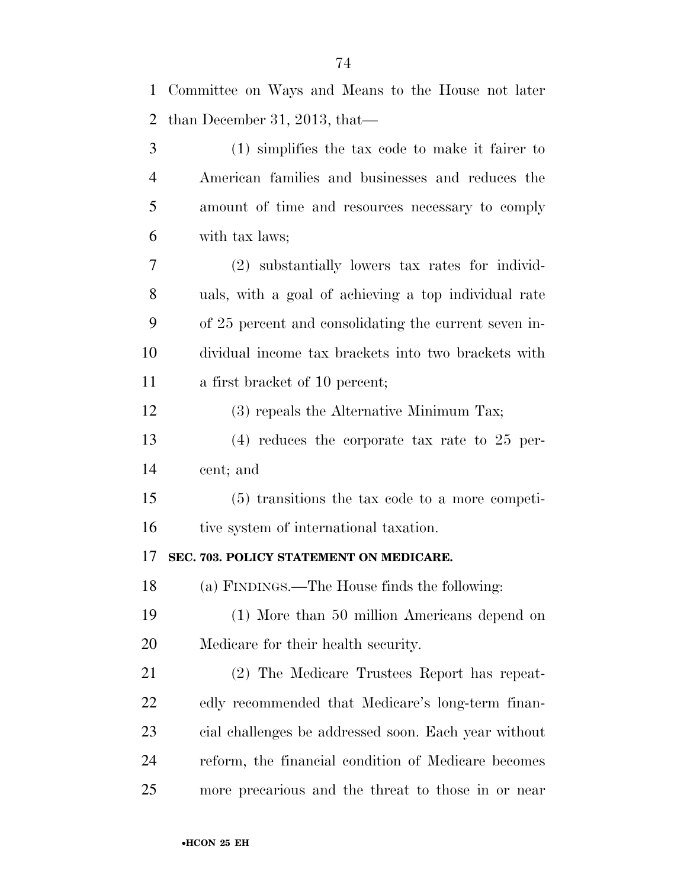| $\mathbf{1}$   | Committee on Ways and Means to the House not later    |
|----------------|-------------------------------------------------------|
| $\overline{2}$ | than December 31, 2013, that—                         |
| 3              | $(1)$ simplifies the tax code to make it fairer to    |
| $\overline{4}$ | American families and businesses and reduces the      |
| 5              | amount of time and resources necessary to comply      |
| 6              | with tax laws;                                        |
| 7              | (2) substantially lowers tax rates for individ-       |
| 8              | uals, with a goal of achieving a top individual rate  |
| 9              | of 25 percent and consolidating the current seven in- |
| 10             | dividual income tax brackets into two brackets with   |
| 11             | a first bracket of 10 percent;                        |
| 12             | (3) repeals the Alternative Minimum Tax;              |
| 13             | $(4)$ reduces the corporate tax rate to 25 per-       |
| 14             | cent; and                                             |
| 15             | $(5)$ transitions the tax code to a more competi-     |
| 16             | tive system of international taxation.                |
| 17             | SEC. 703. POLICY STATEMENT ON MEDICARE.               |
| 18             | (a) FINDINGS.—The House finds the following:          |
| 19             | (1) More than 50 million Americans depend on          |
| 20             | Medicare for their health security.                   |
| 21             | (2) The Medicare Trustees Report has repeat-          |
| 22             | edly recommended that Medicare's long-term finan-     |
| 23             | cial challenges be addressed soon. Each year without  |
| 24             | reform, the financial condition of Medicare becomes   |
| 25             | more precarious and the threat to those in or near    |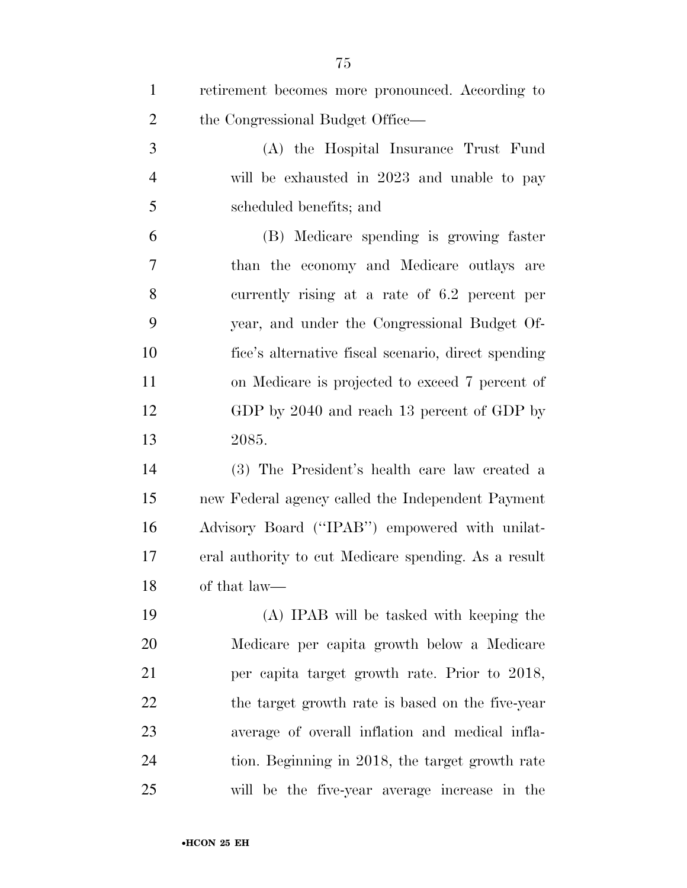| $\mathbf{1}$   | retirement becomes more pronounced. According to     |
|----------------|------------------------------------------------------|
| $\overline{2}$ | the Congressional Budget Office—                     |
| 3              | (A) the Hospital Insurance Trust Fund                |
| $\overline{4}$ | will be exhausted in 2023 and unable to pay          |
| 5              | scheduled benefits; and                              |
| 6              | (B) Medicare spending is growing faster              |
| 7              | than the economy and Medicare outlays are            |
| 8              | currently rising at a rate of 6.2 percent per        |
| 9              | year, and under the Congressional Budget Of-         |
| 10             | fice's alternative fiscal scenario, direct spending  |
| 11             | on Medicare is projected to exceed 7 percent of      |
| 12             | GDP by 2040 and reach 13 percent of GDP by           |
| 13             | 2085.                                                |
| 14             | (3) The President's health care law created a        |
| 15             | new Federal agency called the Independent Payment    |
| 16             | Advisory Board ("IPAB") empowered with unilat-       |
| 17             | eral authority to cut Medicare spending. As a result |
| 18             | of that law—                                         |
| 19             | (A) IPAB will be tasked with keeping the             |
| 20             | Medicare per capita growth below a Medicare          |
| 21             | per capita target growth rate. Prior to 2018,        |
| 22             | the target growth rate is based on the five-year     |
| 23             | average of overall inflation and medical infla-      |
| 24             | tion. Beginning in 2018, the target growth rate      |
| 25             | will be the five-year average increase in the        |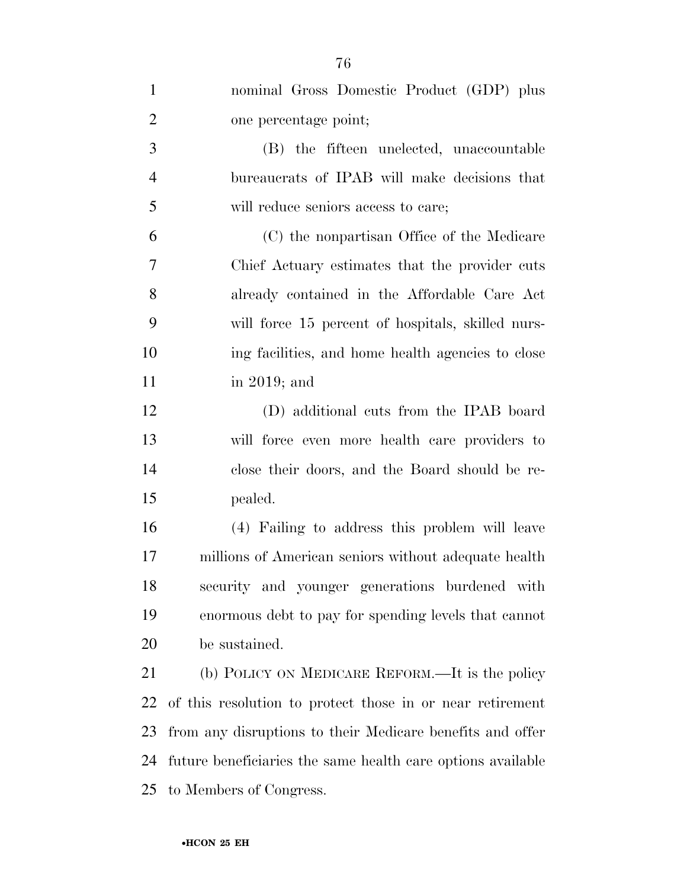| $\mathbf{1}$   | nominal Gross Domestic Product (GDP) plus                   |
|----------------|-------------------------------------------------------------|
| $\overline{2}$ | one percentage point;                                       |
| 3              | (B) the fifteen unelected, unaccountable                    |
| $\overline{4}$ | bureaucrats of IPAB will make decisions that                |
| 5              | will reduce seniors access to care;                         |
| 6              | (C) the nonpartisan Office of the Medicare                  |
| $\overline{7}$ | Chief Actuary estimates that the provider cuts              |
| 8              | already contained in the Affordable Care Act                |
| 9              | will force 15 percent of hospitals, skilled nurs-           |
| 10             | ing facilities, and home health agencies to close           |
| 11             | in 2019; and                                                |
| 12             | (D) additional cuts from the IPAB board                     |
| 13             | will force even more health care providers to               |
| 14             | close their doors, and the Board should be re-              |
| 15             | pealed.                                                     |
| 16             | (4) Failing to address this problem will leave              |
| 17             | millions of American seniors without adequate health        |
| 18             | security and younger generations burdened with              |
| 19             | enormous debt to pay for spending levels that cannot        |
| 20             | be sustained.                                               |
| 21             | (b) POLICY ON MEDICARE REFORM.—It is the policy             |
| 22             | of this resolution to protect those in or near retirement   |
| 23             | from any disruptions to their Medicare benefits and offer   |
| 24             | future beneficiaries the same health care options available |
| 25             | to Members of Congress.                                     |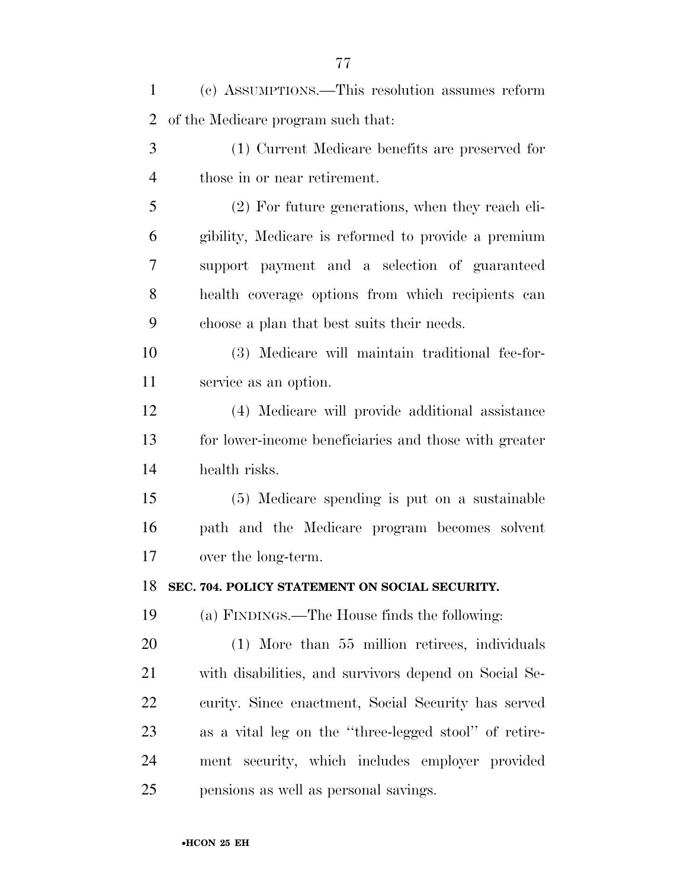| $\mathbf{1}$   | (c) ASSUMPTIONS.—This resolution assumes reform       |
|----------------|-------------------------------------------------------|
| $\overline{2}$ | of the Medicare program such that:                    |
| 3              | (1) Current Medicare benefits are preserved for       |
| $\overline{4}$ | those in or near retirement.                          |
| 5              | (2) For future generations, when they reach eli-      |
| 6              | gibility, Medicare is reformed to provide a premium   |
| 7              | support payment and a selection of guaranteed         |
| 8              | health coverage options from which recipients can     |
| 9              | choose a plan that best suits their needs.            |
| 10             | (3) Medicare will maintain traditional fee-for-       |
| 11             | service as an option.                                 |
| 12             | (4) Medicare will provide additional assistance       |
| 13             | for lower-income beneficiaries and those with greater |
| 14             | health risks.                                         |
| 15             | (5) Medicare spending is put on a sustainable         |
| 16             | path and the Medicare program becomes solvent         |
| 17             | over the long-term.                                   |
| 18             | SEC. 704. POLICY STATEMENT ON SOCIAL SECURITY.        |
| 19             | (a) FINDINGS.—The House finds the following:          |
| 20             | (1) More than 55 million retirees, individuals        |
| 21             | with disabilities, and survivors depend on Social Se- |
| 22             | curity. Since enactment, Social Security has served   |
| 23             | as a vital leg on the "three-legged stool" of retire- |
| 24             | ment security, which includes employer provided       |
| 25             | pensions as well as personal savings.                 |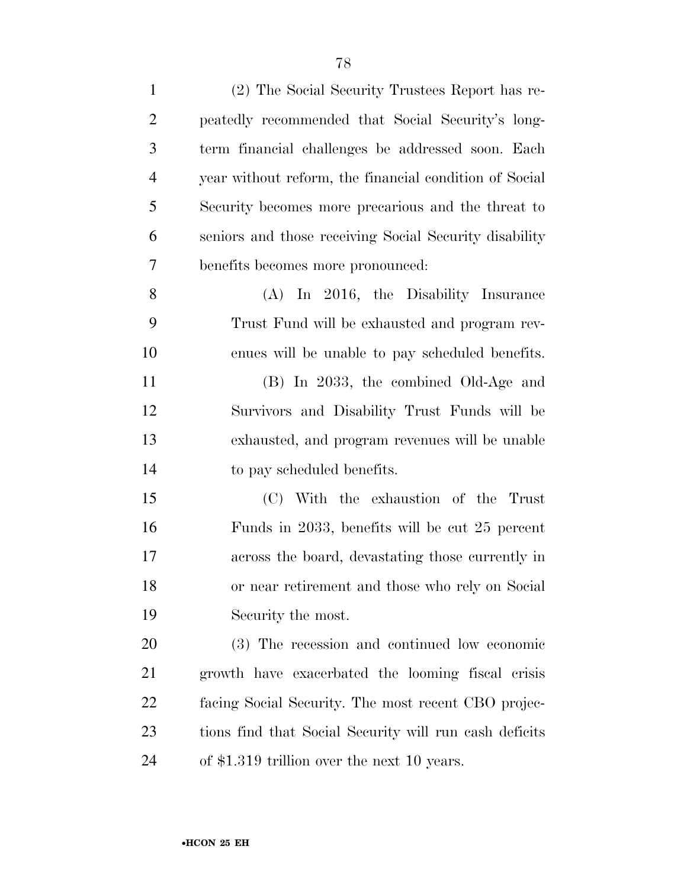| $\mathbf{1}$   | (2) The Social Security Trustees Report has re-        |
|----------------|--------------------------------------------------------|
| $\overline{2}$ | peatedly recommended that Social Security's long-      |
| 3              | term financial challenges be addressed soon. Each      |
| $\overline{4}$ | year without reform, the financial condition of Social |
| 5              | Security becomes more precarious and the threat to     |
| 6              | seniors and those receiving Social Security disability |
| $\overline{7}$ | benefits becomes more pronounced:                      |
| 8              | In 2016, the Disability Insurance<br>(A)               |
| 9              | Trust Fund will be exhausted and program rev-          |
| 10             | enues will be unable to pay scheduled benefits.        |
| 11             | (B) In 2033, the combined Old-Age and                  |
| 12             | Survivors and Disability Trust Funds will be           |
| 13             | exhausted, and program revenues will be unable         |
| 14             | to pay scheduled benefits.                             |
| 15             | (C) With the exhaustion of the Trust                   |
| 16             | Funds in 2033, benefits will be cut 25 percent         |
| 17             | across the board, devastating those currently in       |
| 18             | or near retirement and those who rely on Social        |
| 19             | Security the most.                                     |
| 20             | (3) The recession and continued low economic           |
| 21             | growth have exacerbated the looming fiscal crisis      |
| 22             | facing Social Security. The most recent CBO projec-    |
| 23             | tions find that Social Security will run cash deficits |
| 24             | of \$1.319 trillion over the next 10 years.            |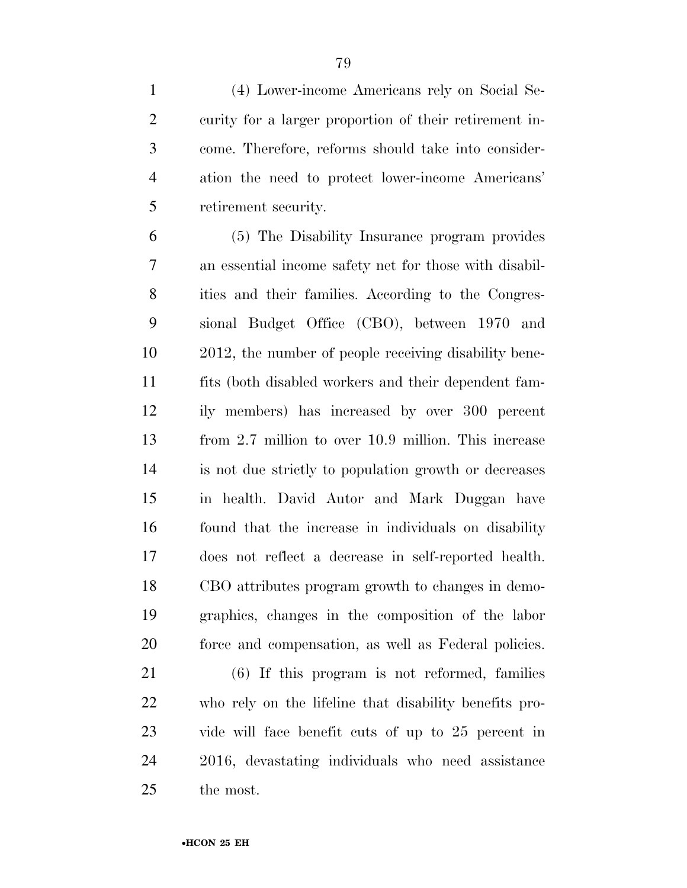(4) Lower-income Americans rely on Social Se- curity for a larger proportion of their retirement in- come. Therefore, reforms should take into consider- ation the need to protect lower-income Americans' retirement security.

 (5) The Disability Insurance program provides an essential income safety net for those with disabil- ities and their families. According to the Congres- sional Budget Office (CBO), between 1970 and 2012, the number of people receiving disability bene- fits (both disabled workers and their dependent fam- ily members) has increased by over 300 percent from 2.7 million to over 10.9 million. This increase is not due strictly to population growth or decreases in health. David Autor and Mark Duggan have found that the increase in individuals on disability does not reflect a decrease in self-reported health. CBO attributes program growth to changes in demo- graphics, changes in the composition of the labor force and compensation, as well as Federal policies.

 (6) If this program is not reformed, families who rely on the lifeline that disability benefits pro- vide will face benefit cuts of up to 25 percent in 2016, devastating individuals who need assistance the most.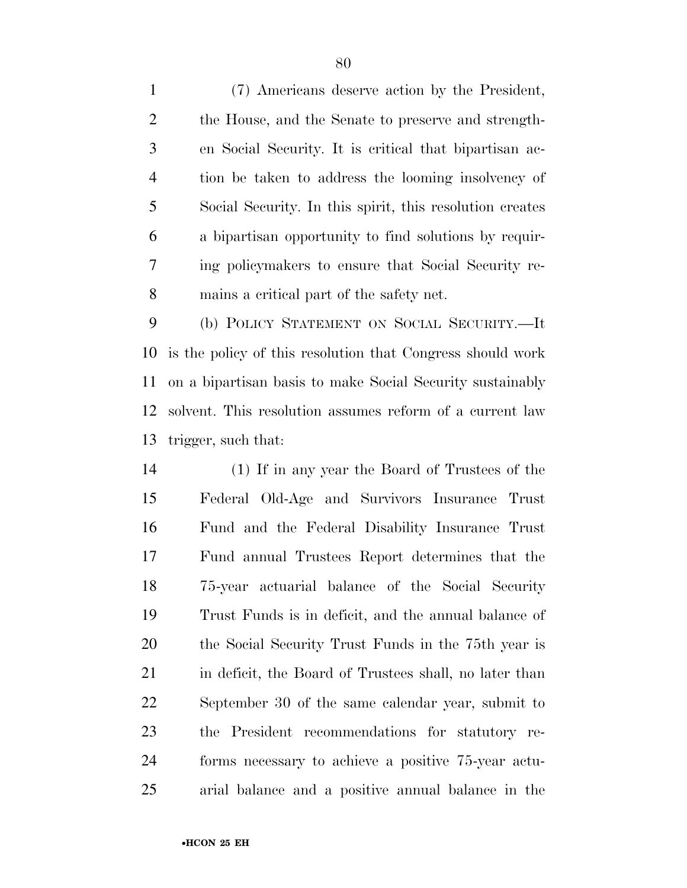(7) Americans deserve action by the President, the House, and the Senate to preserve and strength- en Social Security. It is critical that bipartisan ac- tion be taken to address the looming insolvency of Social Security. In this spirit, this resolution creates a bipartisan opportunity to find solutions by requir- ing policymakers to ensure that Social Security re-mains a critical part of the safety net.

 (b) POLICY STATEMENT ON SOCIAL SECURITY.—It is the policy of this resolution that Congress should work on a bipartisan basis to make Social Security sustainably solvent. This resolution assumes reform of a current law trigger, such that:

 (1) If in any year the Board of Trustees of the Federal Old-Age and Survivors Insurance Trust Fund and the Federal Disability Insurance Trust Fund annual Trustees Report determines that the 75-year actuarial balance of the Social Security Trust Funds is in deficit, and the annual balance of the Social Security Trust Funds in the 75th year is 21 in deficit, the Board of Trustees shall, no later than September 30 of the same calendar year, submit to the President recommendations for statutory re- forms necessary to achieve a positive 75-year actu-arial balance and a positive annual balance in the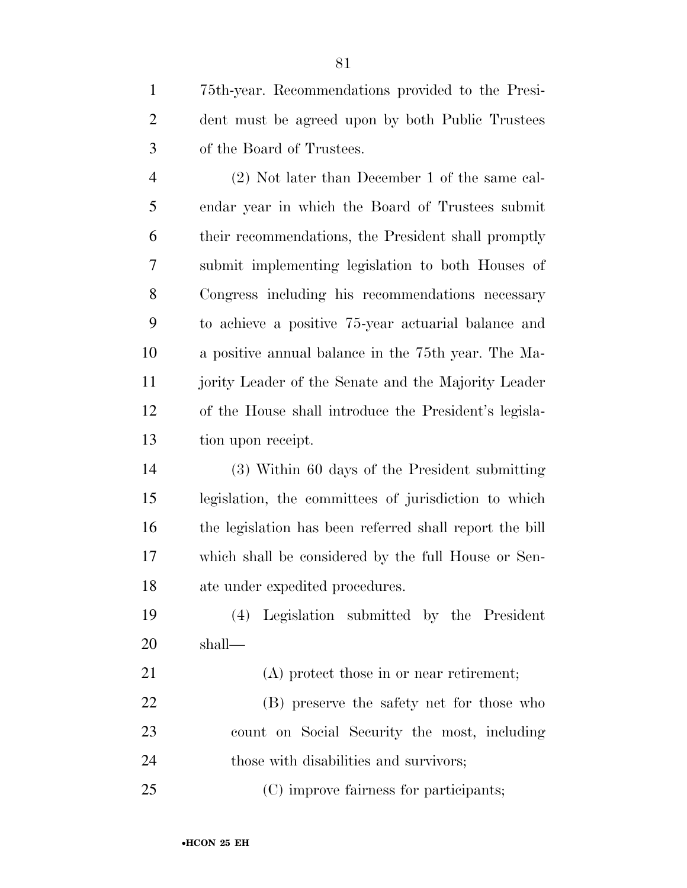75th-year. Recommendations provided to the Presi- dent must be agreed upon by both Public Trustees of the Board of Trustees.

 (2) Not later than December 1 of the same cal- endar year in which the Board of Trustees submit their recommendations, the President shall promptly submit implementing legislation to both Houses of Congress including his recommendations necessary to achieve a positive 75-year actuarial balance and a positive annual balance in the 75th year. The Ma- jority Leader of the Senate and the Majority Leader of the House shall introduce the President's legisla-tion upon receipt.

 (3) Within 60 days of the President submitting legislation, the committees of jurisdiction to which the legislation has been referred shall report the bill which shall be considered by the full House or Sen-ate under expedited procedures.

 (4) Legislation submitted by the President shall—

 (A) protect those in or near retirement; (B) preserve the safety net for those who count on Social Security the most, including

those with disabilities and survivors;

(C) improve fairness for participants;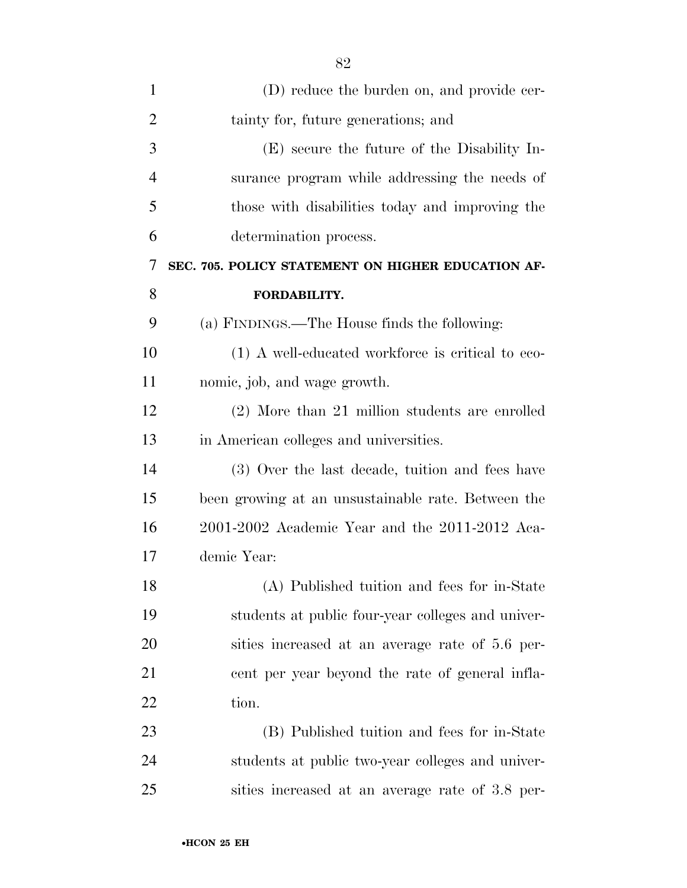| $\mathbf{1}$   | (D) reduce the burden on, and provide cer-         |
|----------------|----------------------------------------------------|
| $\overline{2}$ | tainty for, future generations; and                |
| 3              | (E) secure the future of the Disability In-        |
| $\overline{4}$ | surance program while addressing the needs of      |
| 5              | those with disabilities today and improving the    |
| 6              | determination process.                             |
| 7              | SEC. 705. POLICY STATEMENT ON HIGHER EDUCATION AF- |
| 8              | FORDABILITY.                                       |
| 9              | (a) FINDINGS.—The House finds the following:       |
| 10             | (1) A well-educated workforce is critical to eco-  |
| 11             | nomic, job, and wage growth.                       |
| 12             | (2) More than 21 million students are enrolled     |
| 13             | in American colleges and universities.             |
| 14             | (3) Over the last decade, tuition and fees have    |
| 15             | been growing at an unsustainable rate. Between the |
| 16             | $2001-2002$ Academic Year and the $2011-2012$ Aca- |
| 17             | demic Year:                                        |
| 18             | (A) Published tuition and fees for in-State        |
| 19             | students at public four-year colleges and univer-  |
| 20             | sities increased at an average rate of 5.6 per-    |
| 21             | eent per year beyond the rate of general infla-    |
| 22             | tion.                                              |
| 23             | (B) Published tuition and fees for in-State        |
| 24             | students at public two-year colleges and univer-   |
| 25             | sities increased at an average rate of 3.8 per-    |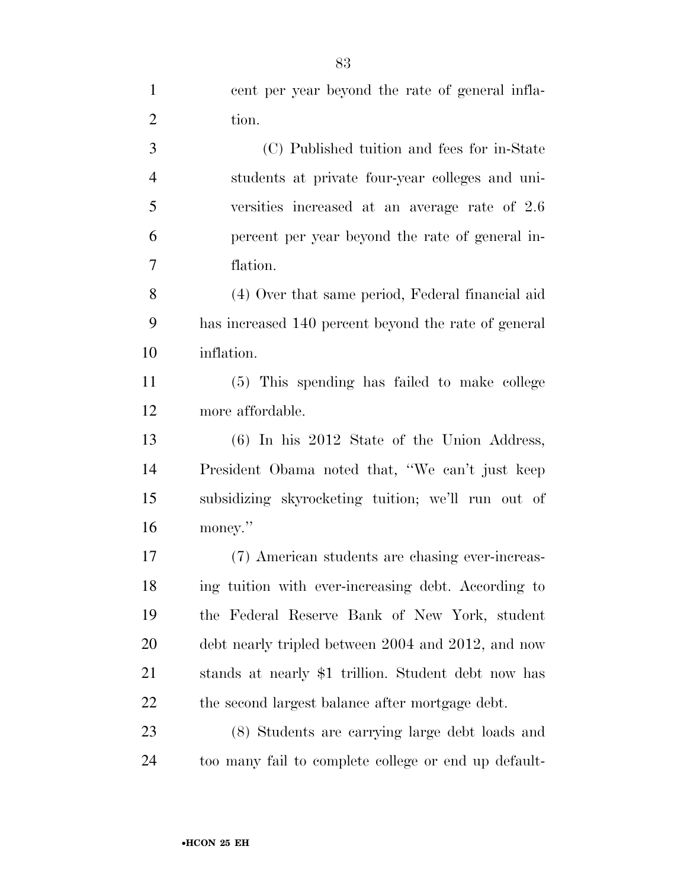| $\mathbf{1}$   | cent per year beyond the rate of general infla-      |
|----------------|------------------------------------------------------|
| $\overline{2}$ | tion.                                                |
| 3              | (C) Published tuition and fees for in-State          |
| $\overline{4}$ | students at private four-year colleges and uni-      |
| 5              | versities increased at an average rate of 2.6        |
| 6              | percent per year beyond the rate of general in-      |
| $\overline{7}$ | flation.                                             |
| 8              | (4) Over that same period, Federal financial aid     |
| 9              | has increased 140 percent beyond the rate of general |
| 10             | inflation.                                           |
| 11             | (5) This spending has failed to make college         |
| 12             | more affordable.                                     |
| 13             | $(6)$ In his 2012 State of the Union Address,        |
| 14             | President Obama noted that, "We can't just keep      |
| 15             | subsidizing skyrocketing tuition; we'll run out of   |
| 16             | money."                                              |
| 17             | (7) American students are chasing ever-increas-      |
| 18             | ing tuition with ever-increasing debt. According to  |
| 19             | the Federal Reserve Bank of New York, student        |
| 20             | debt nearly tripled between 2004 and 2012, and now   |
| 21             | stands at nearly \$1 trillion. Student debt now has  |
| 22             | the second largest balance after mortgage debt.      |
| 23             | (8) Students are carrying large debt loads and       |
| 24             | too many fail to complete college or end up default- |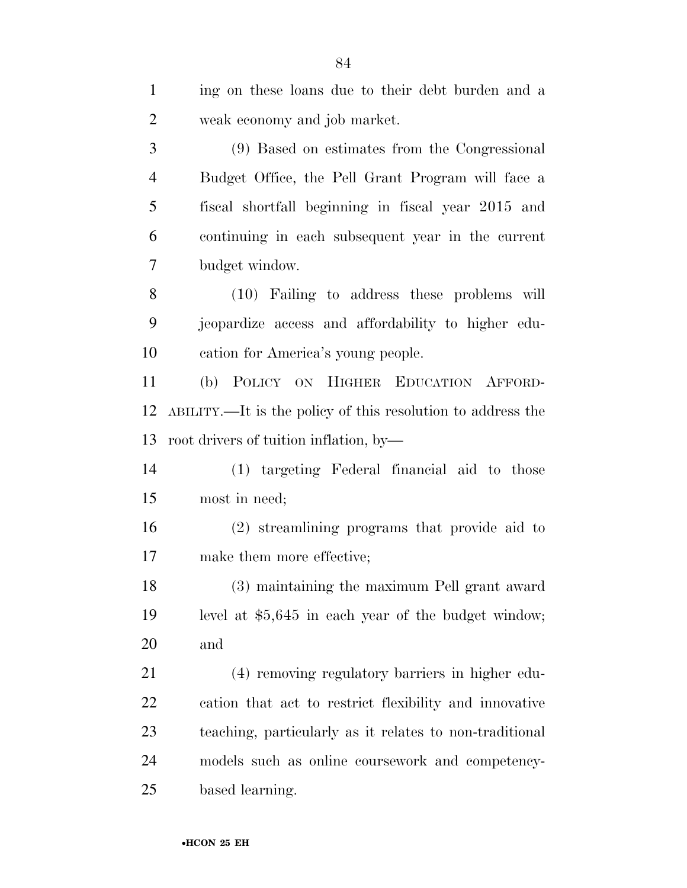| $\mathbf{1}$   | ing on these loans due to their debt burden and a           |
|----------------|-------------------------------------------------------------|
| $\overline{2}$ | weak economy and job market.                                |
| 3              | (9) Based on estimates from the Congressional               |
| $\overline{4}$ | Budget Office, the Pell Grant Program will face a           |
| 5              | fiscal shortfall beginning in fiscal year 2015 and          |
| 6              | continuing in each subsequent year in the current           |
| 7              | budget window.                                              |
| 8              | (10) Failing to address these problems will                 |
| 9              | jeopardize access and affordability to higher edu-          |
| 10             | cation for America's young people.                          |
| 11             | (b) POLICY ON HIGHER EDUCATION AFFORD-                      |
| 12             | ABILITY.—It is the policy of this resolution to address the |
| 13             | root drivers of tuition inflation, by-                      |
| 14             | (1) targeting Federal financial aid to those                |
| 15             | most in need;                                               |
| 16             | (2) streamlining programs that provide aid to               |
| 17             | make them more effective;                                   |
| 18             | (3) maintaining the maximum Pell grant award                |
| 19             | level at $$5,645$ in each year of the budget window;        |
| 20             | and                                                         |
| 21             | (4) removing regulatory barriers in higher edu-             |
| <u>22</u>      | cation that act to restrict flexibility and innovative      |
| 23             | teaching, particularly as it relates to non-traditional     |
| 24             | models such as online coursework and competency-            |
| 25             | based learning.                                             |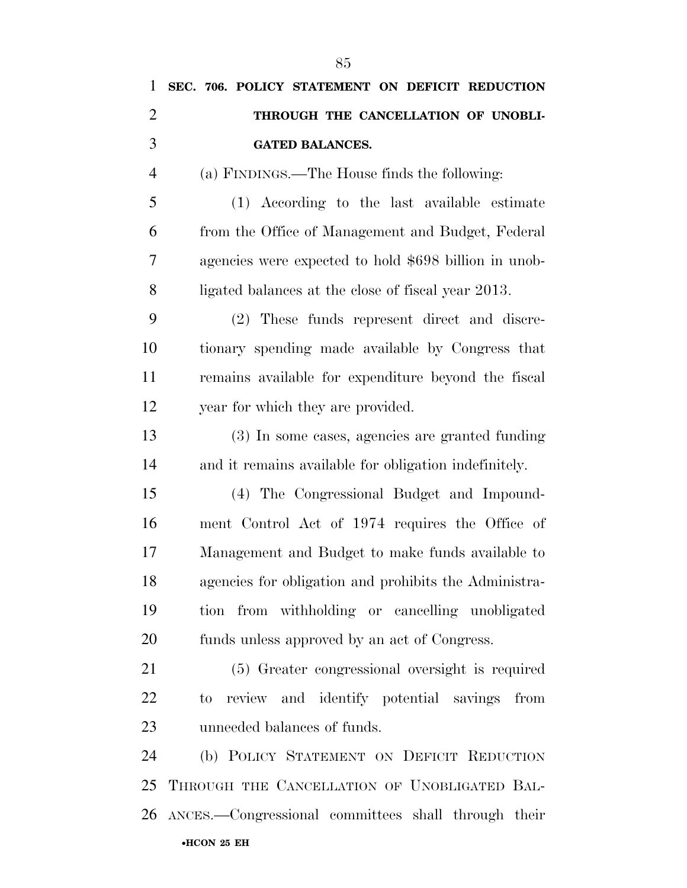| 1              | SEC. 706. POLICY STATEMENT ON DEFICIT REDUCTION       |
|----------------|-------------------------------------------------------|
| $\overline{2}$ | THROUGH THE CANCELLATION OF UNOBLI-                   |
| 3              | <b>GATED BALANCES.</b>                                |
| $\overline{4}$ | (a) FINDINGS.—The House finds the following:          |
| 5              | (1) According to the last available estimate          |
| 6              | from the Office of Management and Budget, Federal     |
| 7              | agencies were expected to hold \$698 billion in unob- |
| 8              | ligated balances at the close of fiscal year 2013.    |
| 9              | (2) These funds represent direct and discre-          |
| 10             | tionary spending made available by Congress that      |
| 11             | remains available for expenditure beyond the fiscal   |
| 12             | year for which they are provided.                     |
| 13             | (3) In some cases, agencies are granted funding       |
| 14             | and it remains available for obligation indefinitely. |
| 15             | (4) The Congressional Budget and Impound-             |
| 16             | ment Control Act of 1974 requires the Office of       |
| 17             | Management and Budget to make funds available to      |
| 18             | agencies for obligation and prohibits the Administra- |
| 19             | tion from withholding or cancelling unobligated       |
| 20             | funds unless approved by an act of Congress.          |
| 21             | (5) Greater congressional oversight is required       |
| 22             | to review and identify potential savings from         |
| 23             | unneeded balances of funds.                           |
| 24             | (b) POLICY STATEMENT ON DEFICIT REDUCTION             |
| 25             | THROUGH THE CANCELLATION OF UNOBLIGATED BAL-          |
| 26             | ANCES.-Congressional committees shall through their   |
|                | •HCON 25 EH                                           |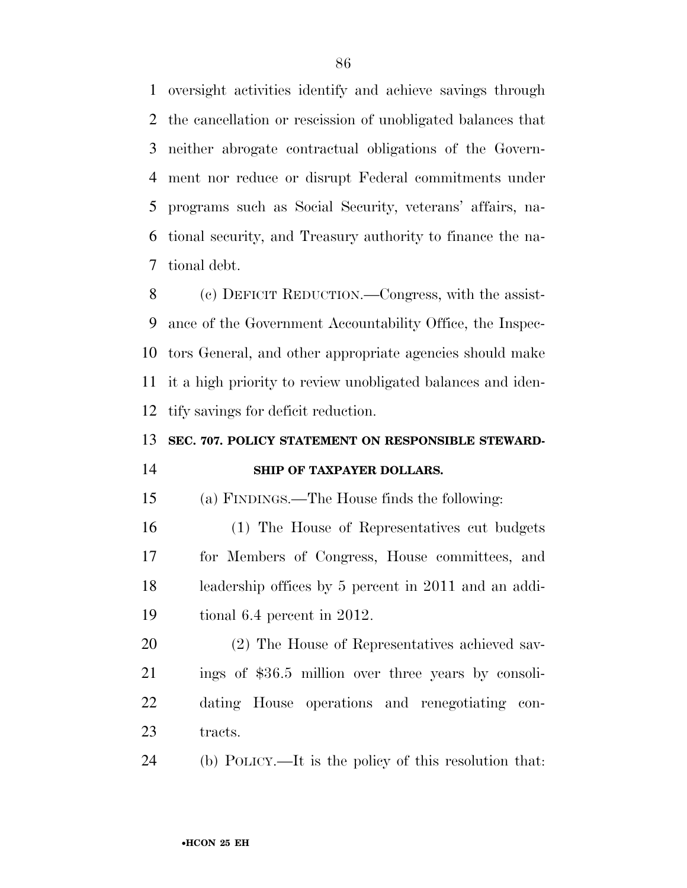oversight activities identify and achieve savings through the cancellation or rescission of unobligated balances that neither abrogate contractual obligations of the Govern- ment nor reduce or disrupt Federal commitments under programs such as Social Security, veterans' affairs, na- tional security, and Treasury authority to finance the na-tional debt.

 (c) DEFICIT REDUCTION.—Congress, with the assist- ance of the Government Accountability Office, the Inspec- tors General, and other appropriate agencies should make it a high priority to review unobligated balances and iden-tify savings for deficit reduction.

### **SEC. 707. POLICY STATEMENT ON RESPONSIBLE STEWARD-**

#### **SHIP OF TAXPAYER DOLLARS.**

(a) FINDINGS.—The House finds the following:

 (1) The House of Representatives cut budgets for Members of Congress, House committees, and leadership offices by 5 percent in 2011 and an addi-tional 6.4 percent in 2012.

 (2) The House of Representatives achieved sav- ings of \$36.5 million over three years by consoli- dating House operations and renegotiating con-23 tracts.

(b) POLICY.—It is the policy of this resolution that: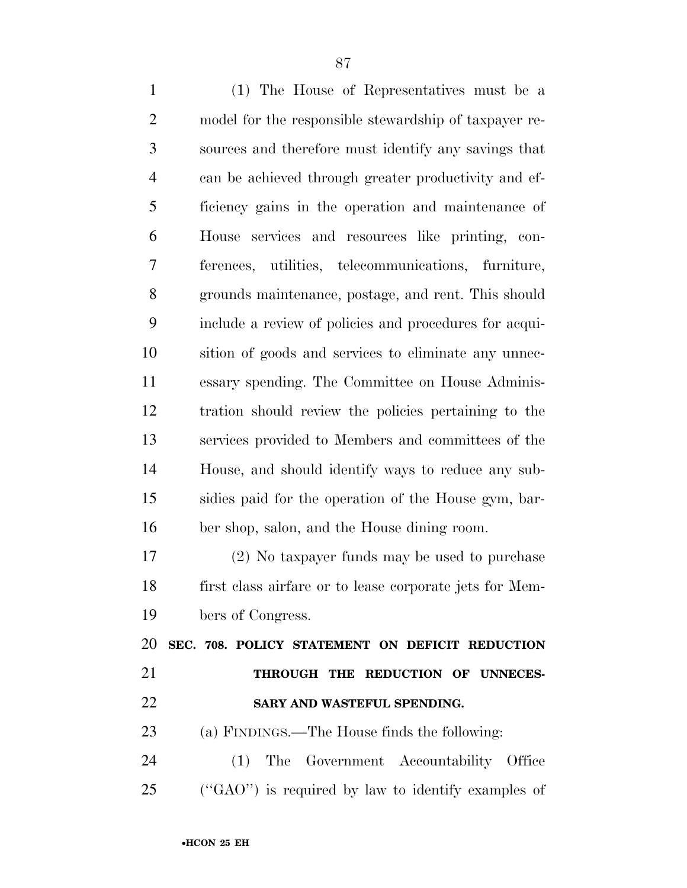(1) The House of Representatives must be a model for the responsible stewardship of taxpayer re- sources and therefore must identify any savings that can be achieved through greater productivity and ef- ficiency gains in the operation and maintenance of House services and resources like printing, con- ferences, utilities, telecommunications, furniture, grounds maintenance, postage, and rent. This should include a review of policies and procedures for acqui- sition of goods and services to eliminate any unnec- essary spending. The Committee on House Adminis- tration should review the policies pertaining to the services provided to Members and committees of the House, and should identify ways to reduce any sub- sidies paid for the operation of the House gym, bar- ber shop, salon, and the House dining room. (2) No taxpayer funds may be used to purchase

 first class airfare or to lease corporate jets for Mem-bers of Congress.

 **SEC. 708. POLICY STATEMENT ON DEFICIT REDUCTION THROUGH THE REDUCTION OF UNNECES-SARY AND WASTEFUL SPENDING.** 

(a) FINDINGS.—The House finds the following:

 (1) The Government Accountability Office (''GAO'') is required by law to identify examples of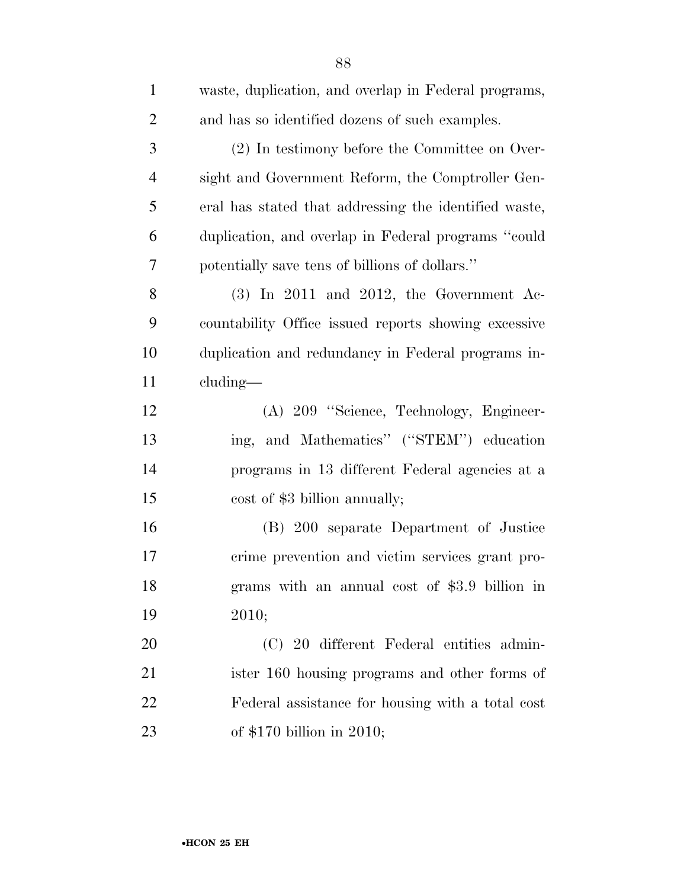| $\mathbf{1}$   | waste, duplication, and overlap in Federal programs,  |
|----------------|-------------------------------------------------------|
| $\overline{2}$ | and has so identified dozens of such examples.        |
| 3              | (2) In testimony before the Committee on Over-        |
| $\overline{4}$ | sight and Government Reform, the Comptroller Gen-     |
| 5              | eral has stated that addressing the identified waste, |
| 6              | duplication, and overlap in Federal programs "could   |
| 7              | potentially save tens of billions of dollars."        |
| 8              | $(3)$ In 2011 and 2012, the Government Ac-            |
| 9              | countability Office issued reports showing excessive  |
| 10             | duplication and redundancy in Federal programs in-    |
| 11             | cluding—                                              |
| 12             | (A) 209 "Science, Technology, Engineer-               |
| 13             | ing, and Mathematics" ("STEM") education              |
| 14             | programs in 13 different Federal agencies at a        |
| 15             | cost of \$3 billion annually;                         |
| 16             | (B) 200 separate Department of Justice                |
| 17             | crime prevention and victim services grant pro-       |
| 18             | grams with an annual cost of \$3.9 billion in         |
| 19             | 2010;                                                 |
| 20             | (C) 20 different Federal entities admin-              |
| 21             | ister 160 housing programs and other forms of         |
| 22             | Federal assistance for housing with a total cost      |
| 23             | of $$170$ billion in 2010;                            |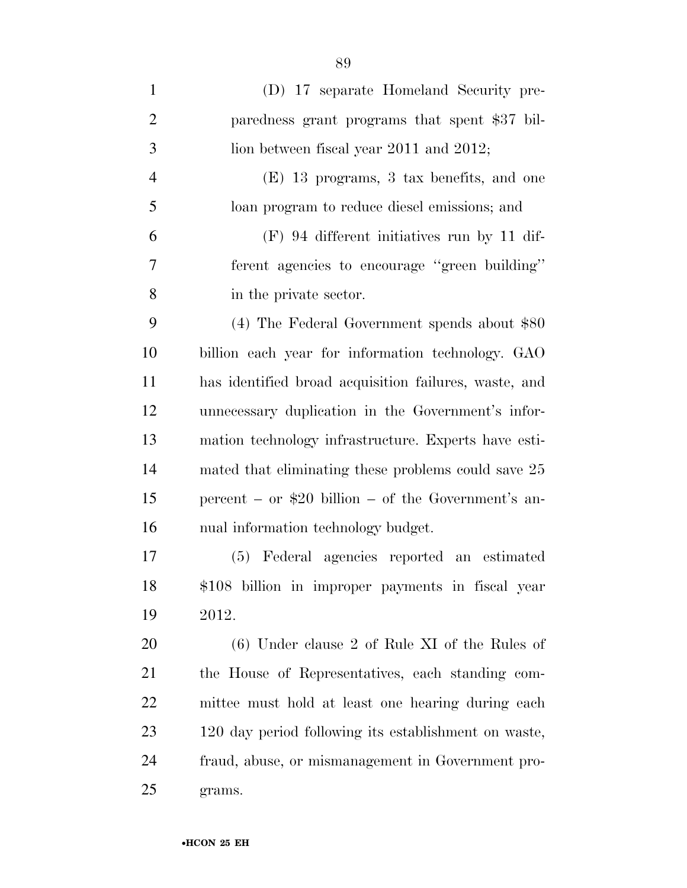| $\mathbf{1}$   | (D) 17 separate Homeland Security pre-                |
|----------------|-------------------------------------------------------|
| $\overline{2}$ | paredness grant programs that spent \$37 bil-         |
| 3              | lion between fiscal year $2011$ and $2012$ ;          |
| $\overline{4}$ | (E) 13 programs, 3 tax benefits, and one              |
| 5              | loan program to reduce diesel emissions; and          |
| 6              | $(F)$ 94 different initiatives run by 11 dif-         |
| $\overline{7}$ | ferent agencies to encourage "green building"         |
| 8              | in the private sector.                                |
| 9              | $(4)$ The Federal Government spends about \$80        |
| 10             | billion each year for information technology. GAO     |
| 11             | has identified broad acquisition failures, waste, and |
| 12             | unnecessary duplication in the Government's infor-    |
| 13             | mation technology infrastructure. Experts have esti-  |
| 14             | mated that eliminating these problems could save 25   |
| 15             | percent – or $$20$ billion – of the Government's an-  |
| 16             | nual information technology budget.                   |
| 17             | (5) Federal agencies reported an estimated            |
| 18             | \$108 billion in improper payments in fiscal year     |
| 19             | 2012.                                                 |
| 20             | $(6)$ Under clause 2 of Rule XI of the Rules of       |
| 21             | the House of Representatives, each standing com-      |
| 22             | mittee must hold at least one hearing during each     |
| 23             | 120 day period following its establishment on waste,  |
| 24             | fraud, abuse, or mismanagement in Government pro-     |
| 25             | grams.                                                |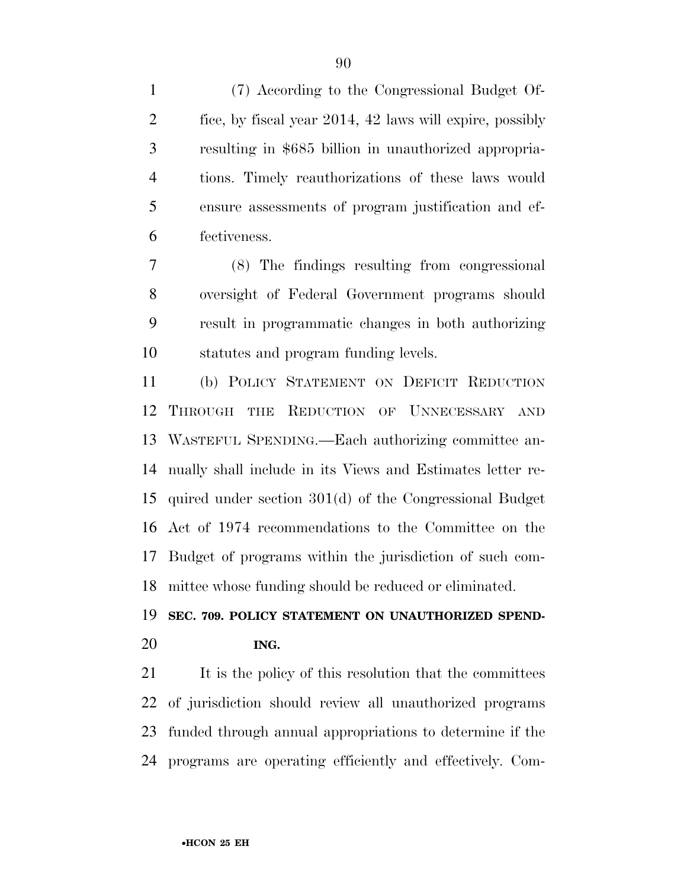(7) According to the Congressional Budget Of- fice, by fiscal year 2014, 42 laws will expire, possibly resulting in \$685 billion in unauthorized appropria- tions. Timely reauthorizations of these laws would ensure assessments of program justification and ef-fectiveness.

 (8) The findings resulting from congressional oversight of Federal Government programs should result in programmatic changes in both authorizing statutes and program funding levels.

 (b) POLICY STATEMENT ON DEFICIT REDUCTION THROUGH THE REDUCTION OF UNNECESSARY AND WASTEFUL SPENDING.—Each authorizing committee an- nually shall include in its Views and Estimates letter re- quired under section 301(d) of the Congressional Budget Act of 1974 recommendations to the Committee on the Budget of programs within the jurisdiction of such com-mittee whose funding should be reduced or eliminated.

## **SEC. 709. POLICY STATEMENT ON UNAUTHORIZED SPEND-ING.**

21 It is the policy of this resolution that the committees of jurisdiction should review all unauthorized programs funded through annual appropriations to determine if the programs are operating efficiently and effectively. Com-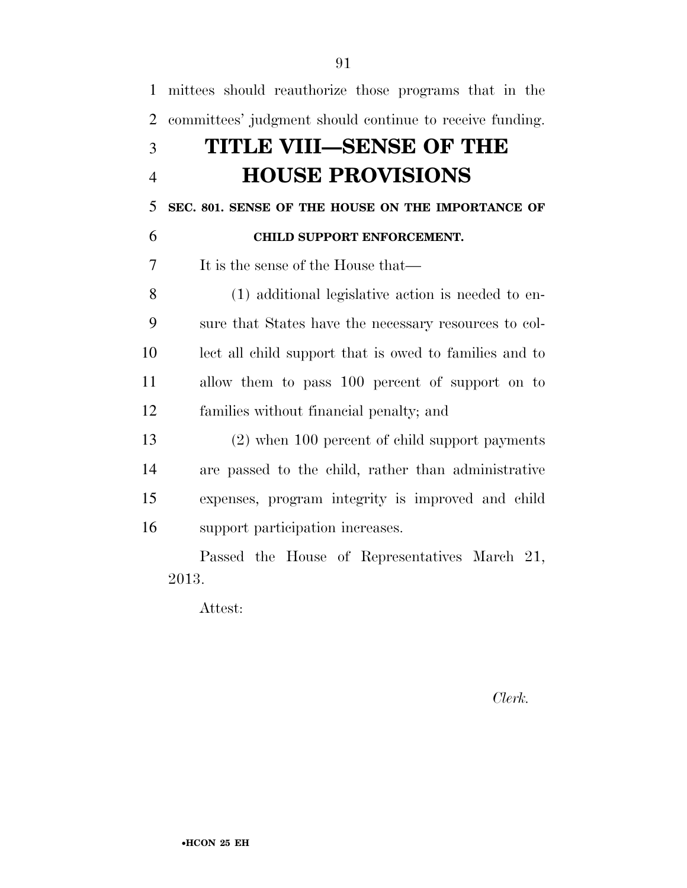| $\mathbf{1}$   | mittees should reauthorize those programs that in the    |
|----------------|----------------------------------------------------------|
| $\overline{2}$ | committees' judgment should continue to receive funding. |
| 3              | TITLE VIII—SENSE OF THE                                  |
| $\overline{4}$ | <b>HOUSE PROVISIONS</b>                                  |
| 5              | SEC. 801. SENSE OF THE HOUSE ON THE IMPORTANCE OF        |
| 6              | CHILD SUPPORT ENFORCEMENT.                               |
| 7              | It is the sense of the House that—                       |
| 8              | (1) additional legislative action is needed to en-       |
| 9              | sure that States have the necessary resources to col-    |
| 10             | lect all child support that is owed to families and to   |
| 11             | allow them to pass 100 percent of support on to          |
| 12             | families without financial penalty; and                  |
| 13             | (2) when 100 percent of child support payments           |
| 14             | are passed to the child, rather than administrative      |
| 15             | expenses, program integrity is improved and child        |
| 16             | support participation increases.                         |
|                | Passed the House of Representatives March 21,            |
|                | 2013.                                                    |

Attest:

*Clerk.*